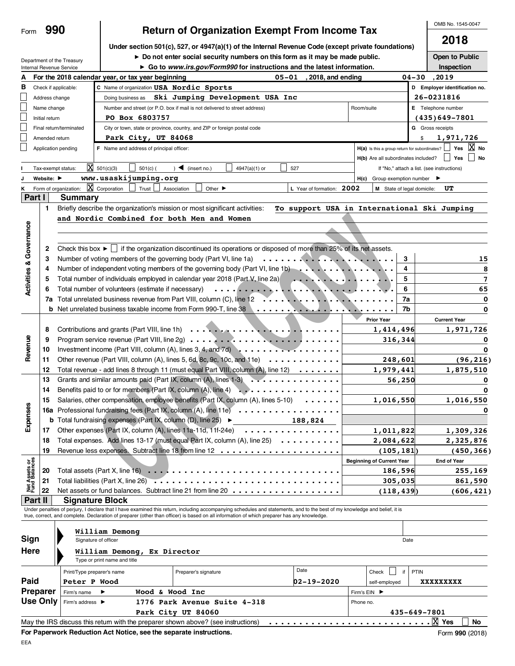| Form                               | 990                            |                                             |                                                                      | <b>Return of Organization Exempt From Income Tax</b>                                                                                                                                                                                                                                                                                    |         |                           |                                  |                                                                                   |              | OMB No. 1545-0047                           |  |  |
|------------------------------------|--------------------------------|---------------------------------------------|----------------------------------------------------------------------|-----------------------------------------------------------------------------------------------------------------------------------------------------------------------------------------------------------------------------------------------------------------------------------------------------------------------------------------|---------|---------------------------|----------------------------------|-----------------------------------------------------------------------------------|--------------|---------------------------------------------|--|--|
|                                    |                                |                                             |                                                                      |                                                                                                                                                                                                                                                                                                                                         |         |                           | 2018                             |                                                                                   |              |                                             |  |  |
|                                    |                                |                                             |                                                                      | Under section 501(c), 527, or 4947(a)(1) of the Internal Revenue Code (except private foundations)                                                                                                                                                                                                                                      |         |                           |                                  |                                                                                   |              |                                             |  |  |
|                                    |                                | Department of the Treasury                  |                                                                      | Do not enter social security numbers on this form as it may be made public.                                                                                                                                                                                                                                                             |         |                           |                                  |                                                                                   |              | Open to Public                              |  |  |
|                                    |                                | Internal Revenue Service                    |                                                                      | ► Go to www.irs.gov/Form990 for instructions and the latest information.                                                                                                                                                                                                                                                                |         |                           |                                  |                                                                                   |              | Inspection                                  |  |  |
|                                    |                                |                                             | For the 2018 calendar year, or tax year beginning                    |                                                                                                                                                                                                                                                                                                                                         | 05-01   | , 2018, and ending        |                                  |                                                                                   | $04 - 30$    | , 2019                                      |  |  |
| в                                  |                                | Check if applicable:                        | C Name of organization USA Nordic Sports                             |                                                                                                                                                                                                                                                                                                                                         |         |                           |                                  |                                                                                   |              | D Employer identification no.               |  |  |
|                                    | Address change                 |                                             |                                                                      | Doing business as Ski Jumping Development USA Inc                                                                                                                                                                                                                                                                                       |         |                           |                                  |                                                                                   |              | 26-0231816                                  |  |  |
|                                    | Name change                    |                                             |                                                                      | Number and street (or P.O. box if mail is not delivered to street address)                                                                                                                                                                                                                                                              |         |                           | Room/suite                       |                                                                                   |              | E Telephone number                          |  |  |
|                                    | Initial return                 |                                             | PO Box 6803757                                                       |                                                                                                                                                                                                                                                                                                                                         |         |                           |                                  |                                                                                   |              | $(435)649 - 7801$                           |  |  |
|                                    |                                | Final return/terminated                     |                                                                      | City or town, state or province, country, and ZIP or foreign postal code                                                                                                                                                                                                                                                                |         |                           |                                  |                                                                                   |              | <b>G</b> Gross receipts                     |  |  |
|                                    | Amended return                 |                                             | Park City, UT 84068                                                  |                                                                                                                                                                                                                                                                                                                                         |         |                           |                                  |                                                                                   | \$           | 1,971,726                                   |  |  |
|                                    |                                | Application pending                         | F Name and address of principal officer:                             |                                                                                                                                                                                                                                                                                                                                         |         |                           |                                  | H(a) Is this a group return for subordinates?                                     |              | <b>IX</b><br>Yes<br>No<br><b>No</b>         |  |  |
|                                    |                                |                                             | $X_{501(c)(3)}$                                                      | $\sum$ (insert no.)                                                                                                                                                                                                                                                                                                                     | 527     |                           |                                  | H(b) Are all subordinates included?                                               |              | Yes                                         |  |  |
|                                    | Website: $\blacktriangleright$ | Tax-exempt status:                          | $501(c)$ (<br>www.usaskijumping.org                                  | 4947(a)(1) or                                                                                                                                                                                                                                                                                                                           |         |                           |                                  |                                                                                   |              | If "No," attach a list. (see instructions)  |  |  |
| ĸ                                  |                                | Form of organization:                       | X Corporation<br>Trust                                               | Other $\blacktriangleright$<br>Association                                                                                                                                                                                                                                                                                              |         | L Year of formation: 2002 |                                  | $H(c)$ Group exemption number $\blacktriangleright$<br>M State of legal domicile: |              | UT                                          |  |  |
| Part I                             |                                | <b>Summary</b>                              |                                                                      |                                                                                                                                                                                                                                                                                                                                         |         |                           |                                  |                                                                                   |              |                                             |  |  |
|                                    | 1.                             |                                             |                                                                      | Briefly describe the organization's mission or most significant activities:                                                                                                                                                                                                                                                             |         |                           |                                  |                                                                                   |              | To support USA in International Ski Jumping |  |  |
|                                    |                                |                                             |                                                                      | and Nordic Combined for both Men and Women                                                                                                                                                                                                                                                                                              |         |                           |                                  |                                                                                   |              |                                             |  |  |
|                                    |                                |                                             |                                                                      |                                                                                                                                                                                                                                                                                                                                         |         |                           |                                  |                                                                                   |              |                                             |  |  |
|                                    |                                |                                             |                                                                      |                                                                                                                                                                                                                                                                                                                                         |         |                           |                                  |                                                                                   |              |                                             |  |  |
| <b>Activities &amp; Governance</b> | 2                              |                                             |                                                                      | Check this box $\blacktriangleright$   if the organization discontinued its operations or disposed of more than 25% of its net assets.                                                                                                                                                                                                  |         |                           |                                  |                                                                                   |              |                                             |  |  |
|                                    | 3                              |                                             |                                                                      | Number of voting members of the governing body (Part VI, line 1a)                                                                                                                                                                                                                                                                       |         |                           |                                  | 3                                                                                 |              | 15                                          |  |  |
|                                    | 4                              |                                             |                                                                      | Number of independent voting members of the governing body (Part VI, line 1b) $\cdots$ ,                                                                                                                                                                                                                                                |         |                           |                                  | 4                                                                                 |              | 8                                           |  |  |
|                                    | 5                              |                                             |                                                                      | Total number of individuals employed in calendar year 2018 (Part V, line 2a)                                                                                                                                                                                                                                                            |         |                           |                                  | 5                                                                                 |              | $\overline{7}$                              |  |  |
|                                    | 6                              |                                             |                                                                      |                                                                                                                                                                                                                                                                                                                                         |         |                           | . <i>. .</i>                     | 6                                                                                 |              | 65                                          |  |  |
|                                    | 7a                             |                                             |                                                                      | Total unrelated business revenue from Part VIII, column (C), line 12                                                                                                                                                                                                                                                                    |         |                           |                                  | 7a                                                                                |              | 0                                           |  |  |
|                                    |                                |                                             |                                                                      | <b>b</b> Net unrelated business taxable income from Form 990-T, line 38 <b>and intervent of the set of the set of the Net</b>                                                                                                                                                                                                           |         |                           |                                  | 7b                                                                                |              | 0                                           |  |  |
|                                    |                                |                                             |                                                                      |                                                                                                                                                                                                                                                                                                                                         |         |                           | <b>Prior Year</b>                |                                                                                   |              | <b>Current Year</b>                         |  |  |
|                                    | 8                              |                                             | 1,414,496                                                            | 1,971,726                                                                                                                                                                                                                                                                                                                               |         |                           |                                  |                                                                                   |              |                                             |  |  |
| Revenue                            | 9                              |                                             |                                                                      |                                                                                                                                                                                                                                                                                                                                         |         |                           |                                  | 316, 344                                                                          |              |                                             |  |  |
|                                    | 10                             |                                             |                                                                      | Investment income (Part VIII, column (A), lines $3,4$ , and 7d) $\cdots$                                                                                                                                                                                                                                                                |         |                           |                                  |                                                                                   |              |                                             |  |  |
|                                    | 11                             |                                             |                                                                      | Other revenue (Part VIII, column (A), lines 5, 6d, 8c, 9c, 10c, and 11e) $\cdots \cdots \cdots$                                                                                                                                                                                                                                         |         |                           |                                  | 248,601                                                                           |              | (96, 216)                                   |  |  |
|                                    | 12                             |                                             |                                                                      | Total revenue - add lines 8 through 11 (must equal Part VIII, column (A), line 12)                                                                                                                                                                                                                                                      |         |                           |                                  | 1,979,441                                                                         |              | 1,875,510                                   |  |  |
|                                    | 13                             |                                             |                                                                      | Grants and similar amounts paid (Part IX, column (A), lines $1-3$ $\cdots$ $\cdots$ $\cdots$                                                                                                                                                                                                                                            |         |                           |                                  | 56,250                                                                            |              |                                             |  |  |
|                                    | 14                             |                                             | Benefits paid to or for members (Part IX, column (A), line 4)        | .<br>Salaries, other compensation, employee benefits (Part IX, column (A), lines 5-10)                                                                                                                                                                                                                                                  |         |                           |                                  |                                                                                   |              | 0                                           |  |  |
|                                    | 15                             |                                             |                                                                      |                                                                                                                                                                                                                                                                                                                                         |         |                           |                                  | 1,016,550                                                                         |              | 1,016,550                                   |  |  |
| Expenses                           |                                |                                             | <b>b</b> Total fundraising expenses (Part IX, column (D), line 25) ► | 16a Professional fundraising fees (Part IX, column (A), line 11e)                                                                                                                                                                                                                                                                       | 188,824 |                           |                                  |                                                                                   |              | 0                                           |  |  |
|                                    | 17                             |                                             | Other expenses (Part IX, column (A), lines 11a-11d, 11f-24e)         |                                                                                                                                                                                                                                                                                                                                         | .       |                           |                                  | 1,011,822                                                                         |              |                                             |  |  |
|                                    | 18                             |                                             |                                                                      | Total expenses. Add lines 13-17 (must equal Part IX, column (A), line 25)                                                                                                                                                                                                                                                               |         |                           |                                  | 2,084,622                                                                         |              | 1,309,326<br>2,325,876                      |  |  |
|                                    | 19                             |                                             |                                                                      |                                                                                                                                                                                                                                                                                                                                         |         |                           |                                  | (105, 181)                                                                        |              | (450, 366)                                  |  |  |
|                                    |                                |                                             |                                                                      |                                                                                                                                                                                                                                                                                                                                         |         |                           | <b>Beginning of Current Year</b> |                                                                                   |              | <b>End of Year</b>                          |  |  |
| Net Assets or<br>Fund Balances     | 20                             |                                             |                                                                      | Total assets (Part X, line 16) $\ldots$ , $\ldots$ , $\ldots$ , $\ldots$ , $\ldots$ , $\ldots$ , $\ldots$ , $\ldots$ , $\ldots$ , $\ldots$ , $\ldots$ , $\ldots$ , $\ldots$ , $\ldots$ , $\ldots$ , $\ldots$ , $\ldots$ , $\ldots$ , $\ldots$ , $\ldots$ , $\ldots$ , $\ldots$ , $\ldots$ , $\ldots$ , $\ldots$ , $\ldots$ , $\ldots$ , |         |                           |                                  | 186,596                                                                           |              | 255,169                                     |  |  |
|                                    | 21                             |                                             |                                                                      |                                                                                                                                                                                                                                                                                                                                         |         |                           |                                  | 305,035                                                                           |              | 861,590                                     |  |  |
|                                    | 22                             |                                             |                                                                      | Net assets or fund balances. Subtract line 21 from line 20                                                                                                                                                                                                                                                                              |         |                           |                                  | (118, 439)                                                                        |              | (606, 421)                                  |  |  |
| Part II                            |                                |                                             | <b>Signature Block</b>                                               |                                                                                                                                                                                                                                                                                                                                         |         |                           |                                  |                                                                                   |              |                                             |  |  |
|                                    |                                |                                             |                                                                      | Under penalties of perjury, I declare that I have examined this return, including accompanying schedules and statements, and to the best of my knowledge and belief, it is                                                                                                                                                              |         |                           |                                  |                                                                                   |              |                                             |  |  |
|                                    |                                |                                             |                                                                      | true, correct, and complete. Declaration of preparer (other than officer) is based on all information of which preparer has any knowledge.                                                                                                                                                                                              |         |                           |                                  |                                                                                   |              |                                             |  |  |
|                                    |                                |                                             | William Demonq                                                       |                                                                                                                                                                                                                                                                                                                                         |         |                           |                                  |                                                                                   |              |                                             |  |  |
| <b>Sign</b>                        |                                |                                             | Signature of officer                                                 |                                                                                                                                                                                                                                                                                                                                         |         |                           |                                  |                                                                                   | Date         |                                             |  |  |
| Here                               |                                |                                             | William Demong, Ex Director                                          |                                                                                                                                                                                                                                                                                                                                         |         |                           |                                  |                                                                                   |              |                                             |  |  |
|                                    |                                |                                             | Type or print name and title                                         |                                                                                                                                                                                                                                                                                                                                         |         |                           |                                  |                                                                                   |              |                                             |  |  |
|                                    |                                | Print/Type preparer's name                  |                                                                      | Preparer's signature                                                                                                                                                                                                                                                                                                                    | Date    |                           | Check                            | if                                                                                | PTIN         |                                             |  |  |
| Paid                               |                                | 02-19-2020<br>Peter P Wood<br>self-employed |                                                                      |                                                                                                                                                                                                                                                                                                                                         |         |                           |                                  |                                                                                   | xxxxxxxxx    |                                             |  |  |
|                                    | <b>Preparer</b>                | Firm's name                                 | Wood & Wood Inc                                                      |                                                                                                                                                                                                                                                                                                                                         |         |                           | Firm's EIN ▶                     |                                                                                   |              |                                             |  |  |
|                                    | <b>Use Only</b>                | Firm's address ▶                            |                                                                      | 1776 Park Avenue Suite 4-318                                                                                                                                                                                                                                                                                                            |         |                           | Phone no.                        |                                                                                   |              |                                             |  |  |
|                                    |                                |                                             |                                                                      | Park City UT 84060                                                                                                                                                                                                                                                                                                                      |         |                           |                                  |                                                                                   | 435-649-7801 |                                             |  |  |
|                                    |                                |                                             |                                                                      | May the IRS discuss this retum with the preparer shown above? (see instructions)                                                                                                                                                                                                                                                        |         |                           |                                  |                                                                                   |              | No                                          |  |  |
|                                    |                                |                                             | For Paperwork Reduction Act Notice, see the separate instructions.   |                                                                                                                                                                                                                                                                                                                                         |         |                           |                                  |                                                                                   |              | Form 990 (2018)                             |  |  |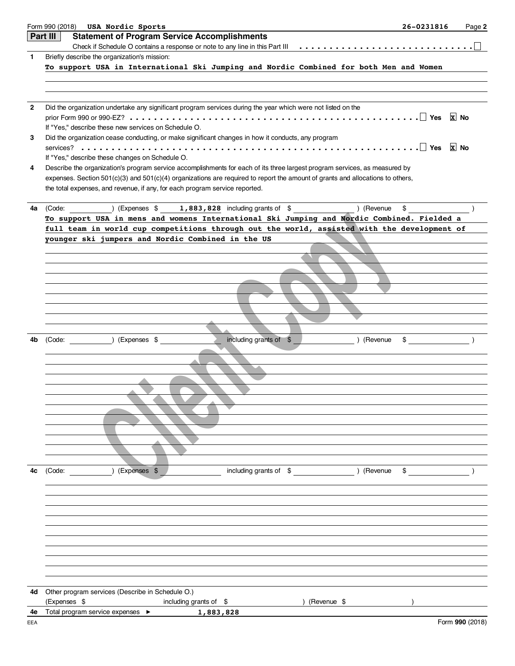|              | Form 990 (2018) USA Nordic Sports                                                                                                                                                                                                                            | 26-0231816<br>Page 2        |
|--------------|--------------------------------------------------------------------------------------------------------------------------------------------------------------------------------------------------------------------------------------------------------------|-----------------------------|
|              | <b>Statement of Program Service Accomplishments</b><br>Part III                                                                                                                                                                                              |                             |
|              |                                                                                                                                                                                                                                                              |                             |
| 1            | Briefly describe the organization's mission:                                                                                                                                                                                                                 |                             |
|              | To support USA in International Ski Jumping and Nordic Combined for both Men and Women                                                                                                                                                                       |                             |
|              |                                                                                                                                                                                                                                                              |                             |
|              |                                                                                                                                                                                                                                                              |                             |
| $\mathbf{2}$ | Did the organization undertake any significant program services during the year which were not listed on the                                                                                                                                                 |                             |
|              |                                                                                                                                                                                                                                                              |                             |
|              | If "Yes," describe these new services on Schedule O.                                                                                                                                                                                                         |                             |
| 3            | Did the organization cease conducting, or make significant changes in how it conducts, any program                                                                                                                                                           |                             |
|              |                                                                                                                                                                                                                                                              |                             |
|              | If "Yes," describe these changes on Schedule O.                                                                                                                                                                                                              |                             |
| 4            | Describe the organization's program service accomplishments for each of its three largest program services, as measured by<br>expenses. Section 501(c)(3) and 501(c)(4) organizations are required to report the amount of grants and allocations to others, |                             |
|              | the total expenses, and revenue, if any, for each program service reported.                                                                                                                                                                                  |                             |
|              |                                                                                                                                                                                                                                                              |                             |
| 4a           | ) (Expenses $$1,883,828$ including grants of $$$<br>(Code:<br>) (Revenue                                                                                                                                                                                     | \$                          |
|              | To support USA in mens and womens International Ski Jumping and Nordic Combined. Fielded a                                                                                                                                                                   |                             |
|              | full team in world cup competitions through out the world, assisted with the development of                                                                                                                                                                  |                             |
|              | younger ski jumpers and Nordic Combined in the US                                                                                                                                                                                                            |                             |
|              |                                                                                                                                                                                                                                                              |                             |
|              |                                                                                                                                                                                                                                                              |                             |
|              |                                                                                                                                                                                                                                                              |                             |
|              |                                                                                                                                                                                                                                                              |                             |
|              |                                                                                                                                                                                                                                                              |                             |
|              |                                                                                                                                                                                                                                                              |                             |
|              |                                                                                                                                                                                                                                                              |                             |
|              |                                                                                                                                                                                                                                                              |                             |
| 4b           | including grants of \$<br>(Code: ) (Expenses \$<br>) (Revenue                                                                                                                                                                                                | $\lambda$<br>$\mathfrak{S}$ |
|              |                                                                                                                                                                                                                                                              |                             |
|              |                                                                                                                                                                                                                                                              |                             |
|              |                                                                                                                                                                                                                                                              |                             |
|              |                                                                                                                                                                                                                                                              |                             |
|              |                                                                                                                                                                                                                                                              |                             |
|              |                                                                                                                                                                                                                                                              |                             |
|              |                                                                                                                                                                                                                                                              |                             |
|              |                                                                                                                                                                                                                                                              |                             |
|              |                                                                                                                                                                                                                                                              |                             |
|              |                                                                                                                                                                                                                                                              |                             |
|              |                                                                                                                                                                                                                                                              |                             |
| 4c           | (Expenses \$<br>including grants of \$<br>) (Revenue<br>(Code:                                                                                                                                                                                               | \$                          |
|              |                                                                                                                                                                                                                                                              |                             |
|              |                                                                                                                                                                                                                                                              |                             |
|              |                                                                                                                                                                                                                                                              |                             |
|              |                                                                                                                                                                                                                                                              |                             |
|              |                                                                                                                                                                                                                                                              |                             |
|              |                                                                                                                                                                                                                                                              |                             |
|              |                                                                                                                                                                                                                                                              |                             |
|              |                                                                                                                                                                                                                                                              |                             |
|              |                                                                                                                                                                                                                                                              |                             |
|              |                                                                                                                                                                                                                                                              |                             |
| 4d           | Other program services (Describe in Schedule O.)                                                                                                                                                                                                             |                             |
|              | (Expenses \$<br>including grants of \$<br>) (Revenue \$                                                                                                                                                                                                      |                             |
| 4е<br>EEA    | Total program service expenses ▶<br>1,883,828                                                                                                                                                                                                                | Form 990 (2018)             |
|              |                                                                                                                                                                                                                                                              |                             |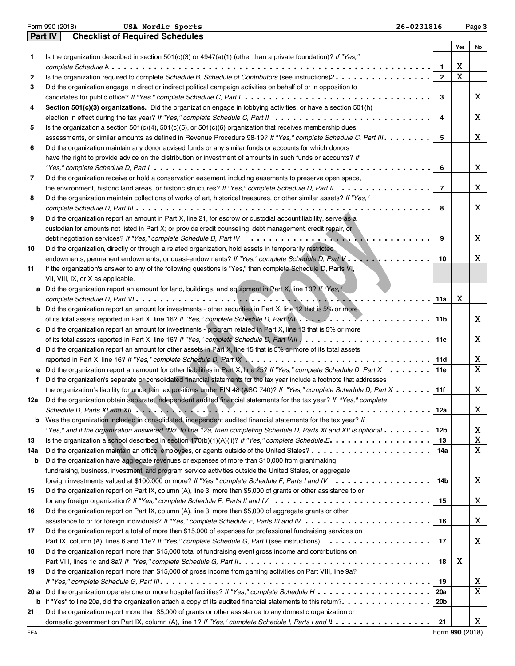|      | Form 990 (2018)<br>USA Nordic Sports<br>26-0231816                                                                                                                                              |                 |     | Page 3 |
|------|-------------------------------------------------------------------------------------------------------------------------------------------------------------------------------------------------|-----------------|-----|--------|
|      | <b>Checklist of Required Schedules</b><br>Part IV                                                                                                                                               |                 |     |        |
|      |                                                                                                                                                                                                 |                 | Yes | No     |
| 1.   | Is the organization described in section 501(c)(3) or $4947(a)(1)$ (other than a private foundation)? If "Yes,"                                                                                 |                 |     |        |
|      |                                                                                                                                                                                                 | $\mathbf{1}$    | X   |        |
| 2    | Is the organization required to complete Schedule B, Schedule of Contributors (see instructions)?                                                                                               | $\mathbf{2}$    | X   |        |
| 3    | Did the organization engage in direct or indirect political campaign activities on behalf of or in opposition to                                                                                |                 |     |        |
|      | candidates for public office? If "Yes," complete Schedule C, Part $l \ldots \ldots \ldots \ldots \ldots \ldots \ldots \ldots \ldots \ldots \ldots \ldots$                                       | 3               |     | X      |
| 4    | Section 501(c)(3) organizations. Did the organization engage in lobbying activities, or have a section 501(h)                                                                                   |                 |     |        |
|      |                                                                                                                                                                                                 | 4               |     | X      |
| 5    | Is the organization a section $501(c)(4)$ , $501(c)(5)$ , or $501(c)(6)$ organization that receives membership dues,                                                                            |                 |     |        |
|      | assessments, or similar amounts as defined in Revenue Procedure 98-19? If "Yes," complete Schedule C, Part III.                                                                                 | 5               |     | X      |
| 6    | Did the organization maintain any donor advised funds or any similar funds or accounts for which donors                                                                                         |                 |     |        |
|      | have the right to provide advice on the distribution or investment of amounts in such funds or accounts? If                                                                                     |                 |     |        |
|      | "Yes," complete Schedule D, Part $1 \ldots \ldots \ldots \ldots \ldots \ldots \ldots \ldots \ldots \ldots$                                                                                      | 6               |     | X      |
| 7    | Did the organization receive or hold a conservation easement, including easements to preserve open space,                                                                                       |                 |     |        |
|      | the environment, historic land areas, or historic structures? If "Yes," complete Schedule D, Part II                                                                                            | $\overline{7}$  |     | X      |
| 8    | Did the organization maintain collections of works of art, historical treasures, or other similar assets? If "Yes,"                                                                             |                 |     |        |
|      |                                                                                                                                                                                                 | 8               |     | X      |
| 9    | Did the organization report an amount in Part X, line 21, for escrow or custodial account liability, serve as a                                                                                 |                 |     |        |
|      | custodian for amounts not listed in Part X; or provide credit counseling, debt management, credit repair, or                                                                                    |                 |     |        |
|      | debt negotiation services? If "Yes," complete Schedule D, Part IV                                                                                                                               | 9               |     | X      |
| 10   | Did the organization, directly or through a related organization, hold assets in temporarily restricted                                                                                         |                 |     |        |
|      | endowments, permanent endowments, or quasi-endowments? If "Yes," complete Schedule D, Part V                                                                                                    | 10              |     | X      |
| 11   | If the organization's answer to any of the following questions is "Yes," then complete Schedule D, Parts VI,                                                                                    |                 |     |        |
|      | VII, VIII, IX, or X as applicable.                                                                                                                                                              |                 |     |        |
|      | a Did the organization report an amount for land, buildings, and equipment in Part X, line 10? If "Yes,"                                                                                        |                 |     |        |
|      |                                                                                                                                                                                                 | 11a             | X   |        |
|      | <b>b</b> Did the organization report an amount for investments - other securities in Part X, line 12 that is 5% or more                                                                         |                 |     |        |
|      | of its total assets reported in Part X, line 16? If "Yes," complete Schedule D, Part VII.                                                                                                       | 11 <sub>b</sub> |     | X      |
|      | c Did the organization report an amount for investments - program related in Part X, line 13 that is 5% or more                                                                                 |                 |     |        |
|      |                                                                                                                                                                                                 | 11c             |     | X      |
|      | d Did the organization report an amount for other assets in Part X, line 15 that is 5% or more of its total assets                                                                              |                 |     |        |
|      | reported in Part X, line 16? If "Yes," complete Schedule D, Part IX                                                                                                                             | 11d             |     | X      |
|      | e Did the organization report an amount for other liabilities in Part X, line 25? If "Yes," complete Schedule D, Part $X \cdot \cdot \cdot \cdot$                                               | 11e             |     | X      |
| f    | Did the organization's separate or consolidated financial statements for the tax year include a footnote that addresses                                                                         |                 |     |        |
|      | the organization's liability for uncertain tax positions under FIN 48 (ASC 740)? If "Yes," complete Schedule D, Part $X \cdot \cdot \cdot \cdot$                                                | 11f             |     | X      |
|      | Did the organization obtain separate, independent audited financial statements for the tax year? If "Yes," complete                                                                             |                 |     |        |
|      | Schedule D, Parts XI and XII $\ldots$ , $\ldots$ , $\ldots$ , $\ldots$ , $\ldots$ , $\ldots$ , $\ldots$ , $\ldots$ , $\ldots$ , $\ldots$ , $\ldots$ , $\ldots$ , $\ldots$ , $\ldots$ , $\ldots$ | 12a             |     | X      |
| b    | Was the organization included in consolidated, independent audited financial statements for the tax year? If                                                                                    |                 |     |        |
|      | "Yes," and if the organization answered "No" to line 12a, then completing Schedule D, Parts XI and XII is optional $\ldots \ldots \ldots$                                                       | 12 <sub>b</sub> |     | X      |
| 13   |                                                                                                                                                                                                 | 13              |     | X      |
| 14a  |                                                                                                                                                                                                 | 14a             |     | X      |
| b    | Did the organization have aggregate revenues or expenses of more than \$10,000 from grantmaking,                                                                                                |                 |     |        |
|      | fundraising, business, investment, and program service activities outside the United States, or aggregate                                                                                       |                 |     |        |
|      | foreign investments valued at \$100,000 or more? If "Yes," complete Schedule F, Parts I and IV                                                                                                  | 14b             |     | X      |
| 15   | Did the organization report on Part IX, column (A), line 3, more than \$5,000 of grants or other assistance to or                                                                               |                 |     |        |
|      | for any foreign organization? If "Yes," complete Schedule F, Parts II and IV $\cdots \cdots \cdots \cdots \cdots \cdots \cdots \cdots$                                                          | 15              |     | X      |
| 16   | Did the organization report on Part IX, column (A), line 3, more than \$5,000 of aggregate grants or other                                                                                      |                 |     |        |
|      |                                                                                                                                                                                                 | 16              |     | X      |
| 17   | Did the organization report a total of more than \$15,000 of expenses for professional fundraising services on                                                                                  |                 |     |        |
|      | Part IX, column (A), lines 6 and 11e? If "Yes," complete Schedule G, Part I (see instructions)                                                                                                  | 17              |     | X      |
| 18   | Did the organization report more than \$15,000 total of fundraising event gross income and contributions on                                                                                     |                 |     |        |
|      |                                                                                                                                                                                                 | 18              | X   |        |
| 19   | Did the organization report more than \$15,000 of gross income from gaming activities on Part VIII, line 9a?                                                                                    |                 |     |        |
|      |                                                                                                                                                                                                 | 19              |     | X      |
| 20 a |                                                                                                                                                                                                 | 20a             |     | X      |
|      |                                                                                                                                                                                                 | 20 <sub>b</sub> |     |        |
| 21   | Did the organization report more than \$5,000 of grants or other assistance to any domestic organization or                                                                                     |                 |     |        |
|      | domestic government on Part IX, column (A), line 1? If "Yes," complete Schedule I, Parts I and II                                                                                               | 21              |     | X      |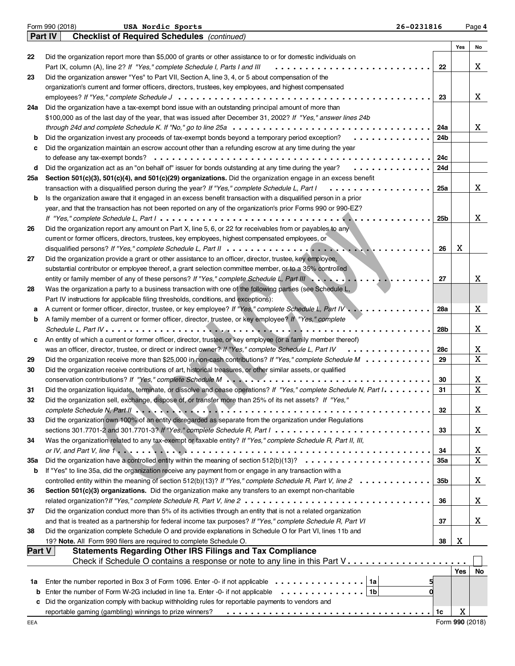|               | Form 990 (2018)<br><b>USA Nordic Sports</b><br>26-0231816                                                                                                                                           |     |                 | Page 4 |
|---------------|-----------------------------------------------------------------------------------------------------------------------------------------------------------------------------------------------------|-----|-----------------|--------|
|               | <b>Checklist of Required Schedules</b> (continued)<br>Part IV                                                                                                                                       |     |                 |        |
|               |                                                                                                                                                                                                     |     | Yes             | No     |
| 22            | Did the organization report more than \$5,000 of grants or other assistance to or for domestic individuals on                                                                                       |     |                 |        |
|               | Part IX, column (A), line 2? If "Yes," complete Schedule I, Parts I and III<br>.                                                                                                                    | 22  |                 | X      |
| 23            | Did the organization answer "Yes" to Part VII, Section A, line 3, 4, or 5 about compensation of the                                                                                                 |     |                 |        |
|               | organization's current and former officers, directors, trustees, key employees, and highest compensated                                                                                             |     |                 |        |
|               |                                                                                                                                                                                                     | 23  |                 | X      |
| 24a           | Did the organization have a tax-exempt bond issue with an outstanding principal amount of more than                                                                                                 |     |                 |        |
|               | \$100,000 as of the last day of the year, that was issued after December 31, 2002? If "Yes," answer lines 24b                                                                                       |     |                 |        |
|               | through 24d and complete Schedule K. If "No," go to line 25a $\dots \dots \dots \dots \dots \dots \dots \dots \dots \dots \dots$                                                                    | 24a |                 | X      |
| b             | Did the organization invest any proceeds of tax-exempt bonds beyond a temporary period exception?                                                                                                   | 24b |                 |        |
| c             | Did the organization maintain an escrow account other than a refunding escrow at any time during the year                                                                                           |     |                 |        |
|               |                                                                                                                                                                                                     | 24с |                 |        |
| d             | Did the organization act as an "on behalf of" issuer for bonds outstanding at any time during the year?<br>.                                                                                        | 24d |                 |        |
| 25a           | Section 501(c)(3), 501(c)(4), and 501(c)(29) organizations. Did the organization engage in an excess benefit                                                                                        |     |                 |        |
|               | transaction with a disqualified person during the year? If "Yes," complete Schedule L, Part I<br>.                                                                                                  | 25a |                 | X      |
| b             | Is the organization aware that it engaged in an excess benefit transaction with a disqualified person in a prior                                                                                    |     |                 |        |
|               | year, and that the transaction has not been reported on any of the organization's prior Forms 990 or 990-EZ?                                                                                        |     |                 |        |
|               | If "Yes," complete Schedule L, Part $1 \ldots \ldots \ldots \ldots \ldots \ldots \ldots \ldots \ldots \ldots \ldots$                                                                                | 25b |                 | X      |
| 26            | Did the organization report any amount on Part X, line 5, 6, or 22 for receivables from or payables to any                                                                                          |     |                 |        |
|               | current or former officers, directors, trustees, key employees, highest compensated employees, or                                                                                                   |     |                 |        |
|               |                                                                                                                                                                                                     | 26  | X               |        |
| 27            | Did the organization provide a grant or other assistance to an officer, director, trustee, key employee,                                                                                            |     |                 |        |
|               | substantial contributor or employee thereof, a grant selection committee member, or to a 35% controlled<br>entity or family member of any of these persons? If "Yes," complete Schedule L, Part III | 27  |                 | X      |
|               |                                                                                                                                                                                                     |     |                 |        |
| 28            | Was the organization a party to a business transaction with one of the following parties (see Schedule L,                                                                                           |     |                 |        |
|               | Part IV instructions for applicable filing thresholds, conditions, and exceptions):<br>A current or former officer, director, trustee, or key employee? If "Yes," complete Schedule L, Part IV      | 28a |                 | X      |
| а<br>b        | A family member of a current or former officer, director, trustee, or key employee? If "Yes," complete                                                                                              |     |                 |        |
|               |                                                                                                                                                                                                     | 28b |                 | X      |
| c             | An entity of which a current or former officer, director, trustee, or key employee (or a family member thereof)                                                                                     |     |                 |        |
|               | was an officer, director, trustee, or direct or indirect owner? If "Yes," complete Schedule L, Part IV                                                                                              | 28c |                 | Χ      |
| 29            | Did the organization receive more than \$25,000 in non-cash contributions? If "Yes," complete Schedule M                                                                                            | 29  |                 | X      |
| 30            | Did the organization receive contributions of art, historical treasures, or other similar assets, or qualified                                                                                      |     |                 |        |
|               |                                                                                                                                                                                                     | 30  |                 | Χ      |
| 31            | Did the organization liquidate, terminate, or dissolve and cease operations? If "Yes," complete Schedule N, Part I.                                                                                 | 31  |                 | X      |
| 32            | Did the organization sell, exchange, dispose of, or transfer more than 25% of its net assets? If "Yes,"                                                                                             |     |                 |        |
|               |                                                                                                                                                                                                     | 32  |                 | X      |
| 33            | Did the organization own 100% of an entity disregarded as separate from the organization under Regulations                                                                                          |     |                 |        |
|               | sections 301.7701-2 and 301.7701-3? If "Yes," complete Schedule R, Part $l \ldots \ldots \ldots \ldots \ldots \ldots \ldots \ldots \ldots$                                                          | 33  |                 | X      |
| 34            | Was the organization related to any tax-exempt or taxable entity? If "Yes," complete Schedule R, Part II, III,                                                                                      |     |                 |        |
|               |                                                                                                                                                                                                     | 34  |                 | X      |
| <b>35a</b>    | Did the organization have a controlled entity within the meaning of section 512(b)(13)? $\ldots$                                                                                                    | 35a |                 | X      |
| b             | If "Yes" to line 35a, did the organization receive any payment from or engage in any transaction with a                                                                                             |     |                 |        |
|               | controlled entity within the meaning of section 512(b)(13)? If "Yes," complete Schedule R, Part V, line 2                                                                                           | 35b |                 | X      |
| 36            | Section 501(c)(3) organizations. Did the organization make any transfers to an exempt non-charitable                                                                                                |     |                 |        |
|               |                                                                                                                                                                                                     | 36  |                 | Χ      |
| 37            | Did the organization conduct more than 5% of its activities through an entity that is not a related organization                                                                                    |     |                 |        |
|               | and that is treated as a partnership for federal income tax purposes? If "Yes," complete Schedule R, Part VI                                                                                        | 37  |                 | X      |
| 38            | Did the organization complete Schedule O and provide explanations in Schedule O for Part VI, lines 11b and                                                                                          |     |                 |        |
|               | 19? Note. All Form 990 filers are required to complete Schedule O.                                                                                                                                  | 38  | X               |        |
| <b>Part V</b> | <b>Statements Regarding Other IRS Filings and Tax Compliance</b>                                                                                                                                    |     |                 |        |
|               | Check if Schedule O contains a response or note to any line in this Part $V \ldots \ldots \ldots \ldots \ldots \ldots$                                                                              |     |                 |        |
|               |                                                                                                                                                                                                     |     | <b>Yes</b>      | No     |
| 1a            | Enter the number reported in Box 3 of Form 1096. Enter -0- if not applicable<br>∣ 1a                                                                                                                | 5   |                 |        |
| b             | Enter the number of Form W-2G included in line 1a. Enter -0- if not applicable<br> 1 <sub>b</sub><br>O                                                                                              |     |                 |        |
| c             | Did the organization comply with backup withholding rules for reportable payments to vendors and                                                                                                    |     |                 |        |
|               | reportable gaming (gambling) winnings to prize winners?                                                                                                                                             | 1c  | X               |        |
| EEA           |                                                                                                                                                                                                     |     | Form 990 (2018) |        |

Form **990** (2018)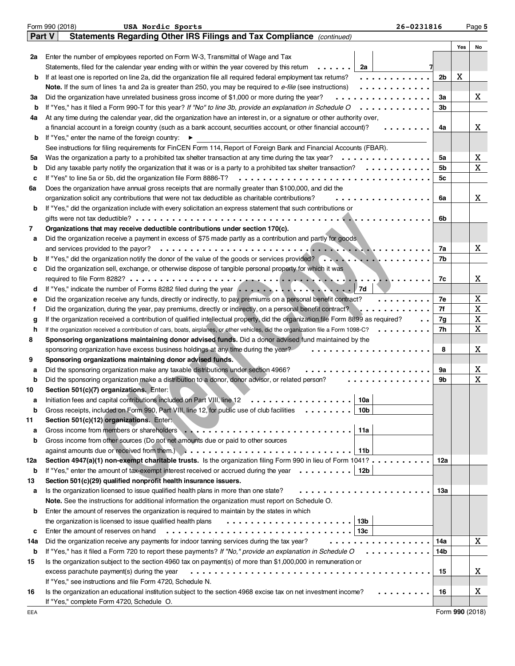|     | Form 990 (2018)<br>USA Nordic Sports                                                                                                    | 26-0231816                 |     | Page 5 |
|-----|-----------------------------------------------------------------------------------------------------------------------------------------|----------------------------|-----|--------|
|     | <b>Statements Regarding Other IRS Filings and Tax Compliance</b> (continued)<br>Part V                                                  |                            |     |        |
|     |                                                                                                                                         |                            | Yes | No     |
| 2a  | Enter the number of employees reported on Form W-3, Transmittal of Wage and Tax                                                         |                            |     |        |
|     | Statements, filed for the calendar year ending with or within the year covered by this retum<br>.<br>2a                                 | 7                          |     |        |
| b   | If at least one is reported on line 2a, did the organization file all required federal employment tax returns?<br>.                     | 2b                         | X   |        |
|     | Note. If the sum of lines 1a and 2a is greater than 250, you may be required to e-file (see instructions)<br>.                          |                            |     |        |
| За  | Did the organization have unrelated business gross income of \$1,000 or more during the year?<br>.                                      | 3a                         |     | X      |
| b   | If "Yes," has it filed a Form 990-T for this year? If "No" to line 3b, provide an explanation in Schedule $O \cdots \cdots \cdots$      | 3b                         |     |        |
| 4a  | At any time during the calendar year, did the organization have an interest in, or a signature or other authority over,                 |                            |     |        |
|     | a financial account in a foreign country (such as a bank account, securities account, or other financial account)?                      | 4a                         |     | X      |
| b   | If "Yes," enter the name of the foreign country:                                                                                        |                            |     |        |
|     | See instructions for filing requirements for FinCEN Form 114, Report of Foreign Bank and Financial Accounts (FBAR).                     |                            |     |        |
| 5a  | .<br>Was the organization a party to a prohibited tax shelter transaction at any time during the tax year?                              | 5a                         |     | X      |
| b   | Did any taxable party notify the organization that it was or is a party to a prohibited tax shelter transaction? $\ldots \ldots \ldots$ | 5b                         |     | X      |
| c   | If "Yes" to line 5a or 5b, did the organization file Form 8886-T?                                                                       | 5с                         |     |        |
| 6a  | Does the organization have annual gross receipts that are normally greater than \$100,000, and did the                                  |                            |     |        |
|     | organization solicit any contributions that were not tax deductible as charitable contributions?                                        | 6a                         |     | X      |
| b   | If "Yes," did the organization include with every solicitation an express statement that such contributions or                          |                            |     |        |
|     |                                                                                                                                         | 6b                         |     |        |
| 7   | Organizations that may receive deductible contributions under section 170(c).                                                           |                            |     |        |
| а   | Did the organization receive a payment in excess of \$75 made partly as a contribution and partly for goods                             |                            |     |        |
|     | and services provided to the payor?                                                                                                     | 7a                         |     | X      |
| b   |                                                                                                                                         | 7b                         |     |        |
| c   | Did the organization sell, exchange, or otherwise dispose of tangible personal property for which it was                                |                            |     |        |
|     |                                                                                                                                         | 7c                         |     | X      |
| d   |                                                                                                                                         |                            |     |        |
| е   | Did the organization receive any funds, directly or indirectly, to pay premiums on a personal benefit contract?                         | 7e<br>.                    |     | X      |
| f.  | Did the organization, during the year, pay premiums, directly or indirectly, on a personal benefit contract?<br>.                       | 7f                         |     | X      |
| g   | If the organization received a contribution of qualified intellectual property, did the organization file Form 8899 as required?        | 7g<br>$\ddot{\phantom{a}}$ |     | X      |
| h   | If the organization received a contribution of cars, boats, airplanes, or other vehicles, did the organization file a Form 1098-C?      | 7h                         |     | Χ      |
| 8   | Sponsoring organizations maintaining donor advised funds. Did a donor advised fund maintained by the                                    |                            |     |        |
|     | sponsoring organization have excess business holdings at any time during the year?<br>.                                                 | 8                          |     | Χ      |
| 9   | Sponsoring organizations maintaining donor advised funds.                                                                               |                            |     |        |
| а   | Did the sponsoring organization make any taxable distributions under section 4966?                                                      | 9а                         |     | X      |
| b   | Did the sponsoring organization make a distribution to a donor, donor advisor, or related person?                                       | 9b                         |     | X      |
| 10  | Section 501(c)(7) organizations. Enter:                                                                                                 |                            |     |        |
|     | Initiation fees and capital contributions included on Part VIII, line 12<br>10a                                                         |                            |     |        |
| b   | Gross receipts, included on Form 990, Part VIII, line 12, for public use of club facilities<br>10b                                      |                            |     |        |
| 11  | Section 501(c)(12) organizations. Enter:                                                                                                |                            |     |        |
| а   | 11a                                                                                                                                     |                            |     |        |
| b   | Gross income from other sources (Do not net amounts due or paid to other sources                                                        |                            |     |        |
|     | against amounts due or received from them.) $\ldots \ldots \ldots \ldots \ldots \ldots \ldots \ldots \ldots \ldots$<br>11b              |                            |     |        |
| 12a | Section 4947(a)(1) non-exempt charitable trusts. Is the organization filing Form 990 in lieu of Form 1041?                              | 12a                        |     |        |
| b   | 12b<br>If "Yes," enter the amount of tax-exempt interest received or accrued during the year $\dots \dots \dots$                        |                            |     |        |
| 13  | Section 501(c)(29) qualified nonprofit health insurance issuers.                                                                        |                            |     |        |
| а   | Is the organization licensed to issue qualified health plans in more than one state?                                                    | 13a                        |     |        |
|     | Note. See the instructions for additional information the organization must report on Schedule O.                                       |                            |     |        |
| b   | Enter the amount of reserves the organization is required to maintain by the states in which                                            |                            |     |        |
|     | the organization is licensed to issue qualified health plans<br>13b                                                                     |                            |     |        |
|     | 13с<br>Enter the amount of reserves on hand                                                                                             |                            |     |        |
| c   | Did the organization receive any payments for indoor tanning services during the tax year?                                              | 14a                        |     | X      |
| 14a | .                                                                                                                                       |                            |     |        |
| b   | If "Yes," has it filed a Form 720 to report these payments? If "No," provide an explanation in Schedule O                               | 14b                        |     |        |
| 15  | Is the organization subject to the section 4960 tax on payment(s) of more than \$1,000,000 in remuneration or                           |                            |     |        |
|     | excess parachute payment(s) during the year                                                                                             | 15                         |     | X      |
|     | If "Yes," see instructions and file Form 4720, Schedule N.                                                                              |                            |     |        |
| 16  | Is the organization an educational institution subject to the section 4968 excise tax on net investment income?                         | 16                         |     | Χ      |
|     | If "Yes," complete Form 4720, Schedule O.                                                                                               |                            |     |        |

Form **990** (2018)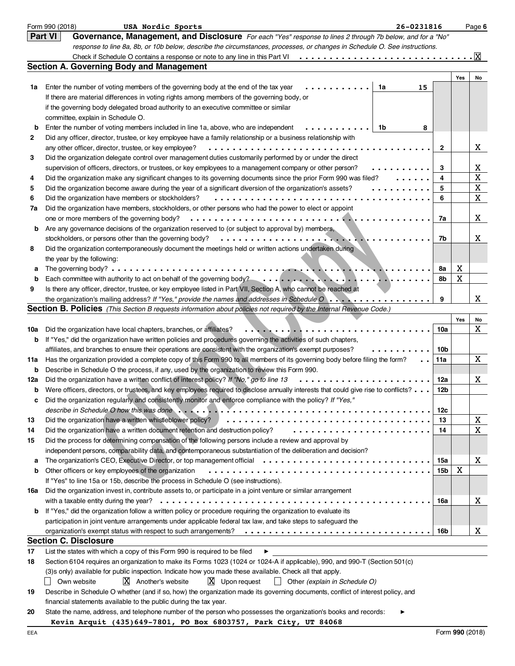|     | Form 990 (2018)<br>USA Nordic Sports<br>26-0231816                                                                                                                |              |     | Page 6 |
|-----|-------------------------------------------------------------------------------------------------------------------------------------------------------------------|--------------|-----|--------|
|     | Part VI<br>Governance, Management, and Disclosure For each "Yes" response to lines 2 through 7b below, and for a "No"                                             |              |     |        |
|     | response to line 8a, 8b, or 10b below, describe the circumstances, processes, or changes in Schedule O. See instructions.                                         |              |     |        |
|     | Check if Schedule O contains a response or note to any line in this Part VI                                                                                       |              |     | ΙX     |
|     | <b>Section A. Governing Body and Management</b>                                                                                                                   |              |     |        |
|     |                                                                                                                                                                   |              | Yes | No     |
| 1a  | Enter the number of voting members of the governing body at the end of the tax year<br>15<br>1a                                                                   |              |     |        |
|     | If there are material differences in voting rights among members of the governing body, or                                                                        |              |     |        |
|     | if the governing body delegated broad authority to an executive committee or similar                                                                              |              |     |        |
|     | committee, explain in Schedule O.                                                                                                                                 |              |     |        |
| b   | Enter the number of voting members included in line 1a, above, who are independent<br>8<br>-1b                                                                    |              |     |        |
| 2   | Did any officer, director, trustee, or key employee have a family relationship or a business relationship with                                                    |              |     |        |
|     | any other officer, director, trustee, or key employee?                                                                                                            | $\mathbf{2}$ |     | X      |
| 3   | Did the organization delegate control over management duties customarily performed by or under the direct                                                         |              |     |        |
|     | supervision of officers, directors, or trustees, or key employees to a management company or other person?                                                        | 3            |     | X      |
| 4   | Did the organization make any significant changes to its governing documents since the prior Form 990 was filed?                                                  | 4            |     | X      |
| 5   | Did the organization become aware during the year of a significant diversion of the organization's assets?                                                        | 5            |     | X      |
| 6   | Did the organization have members or stockholders?                                                                                                                | 6            |     | X      |
| 7a  | Did the organization have members, stockholders, or other persons who had the power to elect or appoint                                                           |              |     |        |
|     | one or more members of the governing body?                                                                                                                        | 7a           |     | X      |
|     | Are any governance decisions of the organization reserved to (or subject to approval by) members,                                                                 |              |     |        |
| b   |                                                                                                                                                                   |              |     | X      |
|     | stockholders, or persons other than the governing body?<br>Did the organization contemporaneously document the meetings held or written actions undertaken during | 7b           |     |        |
| 8   |                                                                                                                                                                   |              |     |        |
|     | the year by the following:                                                                                                                                        |              |     |        |
| а   | The governing body? $\dots \dots \dots \dots \dots \dots \dots \dots \dots \dots \dots \dots \dots$                                                               | 8a           | X   |        |
| b   | Each committee with authority to act on behalf of the governing body?                                                                                             | 8b           | X   |        |
| 9   | Is there any officer, director, trustee, or key employee listed in Part VII, Section A, who cannot be reached at                                                  |              |     |        |
|     |                                                                                                                                                                   | 9            |     | X      |
|     | Section B. Policies (This Section B requests information about policies not required by the Internal Revenue Code.)                                               |              |     |        |
|     |                                                                                                                                                                   |              | Yes | No     |
| 10a | Did the organization have local chapters, branches, or affiliates?                                                                                                | 10a          |     | X      |
| b   | If "Yes," did the organization have written policies and procedures governing the activities of such chapters,                                                    |              |     |        |
|     | affiliates, and branches to ensure their operations are consistent with the organization's exempt purposes?                                                       | 10b          |     |        |
| 11a | Has the organization provided a complete copy of this Form 990 to all members of its governing body before filing the form?                                       | 11a          |     | X      |
| b   | Describe in Schedule O the process, if any, used by the organization to review this Form 990.                                                                     |              |     |        |
| 12a | Did the organization have a written conflict of interest policy? If "No," go to line 13                                                                           | 12a          |     | X      |
| b   | Were officers, directors, or trustees, and key employees required to disclose annually interests that could give rise to conflicts?                               | 12b          |     |        |
| с   | Did the organization regularly and consistently monitor and enforce compliance with the policy? If "Yes,"                                                         |              |     |        |
|     |                                                                                                                                                                   | 12c          |     |        |
| 13  | Did the organization have a written whistleblower policy?                                                                                                         | 13           |     | X      |
| 14  | Did the organization have a written document retention and destruction policy?                                                                                    | 14           |     | X      |
| 15  | Did the process for determining compensation of the following persons include a review and approval by                                                            |              |     |        |
|     | independent persons, comparability data, and contemporaneous substantiation of the deliberation and decision?                                                     |              |     |        |
| а   | The organization's CEO, Executive Director, or top management official                                                                                            | 15a          |     | X      |
| b   | Other officers or key employees of the organization                                                                                                               | 15b          | X   |        |
|     | If "Yes" to line 15a or 15b, describe the process in Schedule O (see instructions).                                                                               |              |     |        |
| 16a | Did the organization invest in, contribute assets to, or participate in a joint venture or similar arrangement                                                    |              |     |        |
|     |                                                                                                                                                                   | 16a          |     | X      |
| b   | If "Yes," did the organization follow a written policy or procedure requiring the organization to evaluate its                                                    |              |     |        |
|     | participation in joint venture arrangements under applicable federal tax law, and take steps to safeguard the                                                     |              |     |        |
|     | organization's exempt status with respect to such arrangements? $\dots\dots\dots\dots\dots\dots\dots\dots\dots\dots\dots\dots\dots\dots$                          | 16b          |     | Χ      |
|     | <b>Section C. Disclosure</b>                                                                                                                                      |              |     |        |
| 17  | List the states with which a copy of this Form 990 is required to be filed<br>▶                                                                                   |              |     |        |
| 18  | Section 6104 requires an organization to make its Forms 1023 (1024 or 1024-A if applicable), 990, and 990-T (Section 501(c)                                       |              |     |        |
|     | (3)s only) available for public inspection. Indicate how you made these available. Check all that apply.                                                          |              |     |        |
|     | $X$ Upon request<br>$\Box$ Other (explain in Schedule O)<br>Own website<br>$ X $ Another's website                                                                |              |     |        |
| 19  | Describe in Schedule O whether (and if so, how) the organization made its governing documents, conflict of interest policy, and                                   |              |     |        |
|     | financial statements available to the public during the tax year.                                                                                                 |              |     |        |
| 20  | State the name, address, and telephone number of the person who possesses the organization's books and records:                                                   |              |     |        |
|     | Kevin Arquit (435)649-7801, PO Box 6803757, Park City, UT 84068                                                                                                   |              |     |        |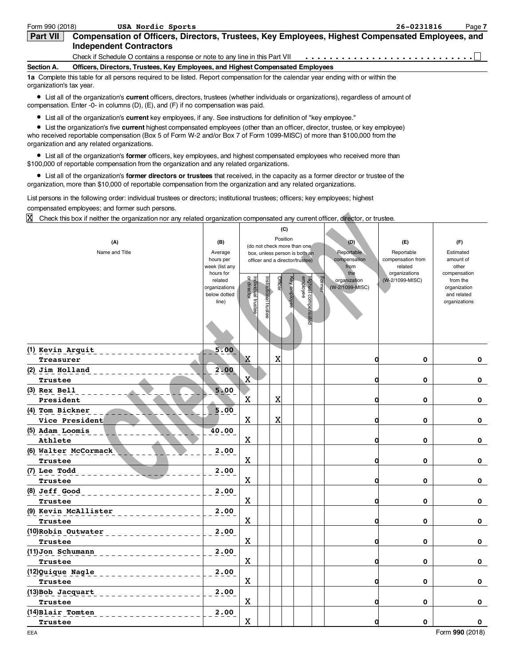| Form 990 (2018)   | <b>USA Nordic Sports</b>                                                                                                          | 26-0231816 | Page 7 |
|-------------------|-----------------------------------------------------------------------------------------------------------------------------------|------------|--------|
| <b>Part VII</b>   | Compensation of Officers, Directors, Trustees, Key Employees, Highest Compensated Employees, and                                  |            |        |
|                   | <b>Independent Contractors</b>                                                                                                    |            |        |
|                   | Check if Schedule O contains a response or note to any line in this Part VII                                                      |            |        |
| <b>Section A.</b> | Officers, Directors, Trustees, Key Employees, and Highest Compensated Employees                                                   |            |        |
|                   | 1a Complete this table for all persons required to be listed. Report compensation for the calendar year ending with or within the |            |        |

List all of the organization's **current** officers, directors, trustees (whether individuals or organizations), regardless of amount of compensation. Enter -0- in columns (D), (E), and (F) if no compensation was paid.

List all of the organization's **current** key employees, if any. See instructions for definition of "key employee."

List the organization's five **current** highest compensated employees (other than an officer, director, trustee, or key employee) who received reportable compensation (Box 5 of Form W-2 and/or Box 7 of Form 1099-MISC) of more than \$100,000 from the organization and any related organizations.

List all of the organization's **former** officers, key employees, and highest compensated employees who received more than \$100,000 of reportable compensation from the organization and any related organizations.

List all of the organization's **former directors or trustees** that received, in the capacity as a former director or trustee of the organization, more than \$10,000 of reportable compensation from the organization and any related organizations.

List persons in the following order: individual trustees or directors; institutional trustees; officers; key employees; highest compensated employees; and former such persons.

| (C)<br>Position<br>(D)<br>(A)<br>(B)<br>(F)<br>(F)<br>(do not check more than one<br>Name and Title<br>Average<br>Reportable<br>Reportable<br>Estimated<br>box, unless person is both an<br>compensation<br>hours per<br>compensation from<br>amount of<br>officer and a director/trustee)<br>from<br>other<br>week (list any<br>related<br>the<br>organizations<br>hours for<br>compensation<br>Individual trustee<br>or director<br>Highest compensated<br>employee<br><b>Officer</b><br>Institutional trustee<br>Key employee<br>Former<br>organization<br>(W-2/1099-MISC)<br>related<br>from the<br>(W-2/1099-MISC)<br>organizations<br>organization<br>below dotted<br>and related<br>line)<br>organizations<br>(1) Kevin Arquit<br>5.00<br>X<br>Χ<br>0<br>0<br>Treasurer<br>0<br>2.00<br>(2) Jim Holland<br>X<br>Trustee<br>0<br>0<br>0<br>5.00<br>(3) Rex Bell<br>X<br>X<br>President<br>0<br>0<br>Ω<br>5.00<br>(4) Tom Bickner<br>X<br>X<br>Vice President<br>0<br>0<br>0<br>40.00<br>(5) Adam Loomis<br>X<br>Athlete<br>0<br>0<br>O<br>(6) Walter McCormack<br>2.00<br>X<br>Trustee<br>0<br>0<br>O<br>2.00<br>(7) Lee Todd<br>X<br>0<br>Trustee<br>0<br>0<br>2.00<br>(8) Jeff Good<br>X<br>0<br>Trustee<br>0<br>Ω<br>2.00<br>(9) Kevin McAllister<br>X<br>0<br>0<br>Trustee<br>O<br>2.00<br>(10) Robin Outwater<br>X<br>Trustee<br>0<br>0<br>O<br>2.00<br>(11) Jon Schumann<br>X<br>$\mathbf 0$<br>0<br><b>Trustee</b><br>Ω<br>2.00<br>(12)Quique Nagle<br>X<br>Trustee<br>0<br>0<br>O<br>2.00<br>(13) Bob Jacquart<br>X<br>0<br>0<br>Trustee<br>O<br>2.00<br>(14) Blair Tomten<br>X<br>0<br>0<br>Trustee<br>ŋ | X<br>Check this box if neither the organization nor any related organization compensated any current officer, director, or trustee. |  |  |  |  |  |
|-------------------------------------------------------------------------------------------------------------------------------------------------------------------------------------------------------------------------------------------------------------------------------------------------------------------------------------------------------------------------------------------------------------------------------------------------------------------------------------------------------------------------------------------------------------------------------------------------------------------------------------------------------------------------------------------------------------------------------------------------------------------------------------------------------------------------------------------------------------------------------------------------------------------------------------------------------------------------------------------------------------------------------------------------------------------------------------------------------------------------------------------------------------------------------------------------------------------------------------------------------------------------------------------------------------------------------------------------------------------------------------------------------------------------------------------------------------------------------------------------------------------------------------------------------------------------------------------------------------------------|-------------------------------------------------------------------------------------------------------------------------------------|--|--|--|--|--|
|                                                                                                                                                                                                                                                                                                                                                                                                                                                                                                                                                                                                                                                                                                                                                                                                                                                                                                                                                                                                                                                                                                                                                                                                                                                                                                                                                                                                                                                                                                                                                                                                                         |                                                                                                                                     |  |  |  |  |  |
|                                                                                                                                                                                                                                                                                                                                                                                                                                                                                                                                                                                                                                                                                                                                                                                                                                                                                                                                                                                                                                                                                                                                                                                                                                                                                                                                                                                                                                                                                                                                                                                                                         |                                                                                                                                     |  |  |  |  |  |
|                                                                                                                                                                                                                                                                                                                                                                                                                                                                                                                                                                                                                                                                                                                                                                                                                                                                                                                                                                                                                                                                                                                                                                                                                                                                                                                                                                                                                                                                                                                                                                                                                         |                                                                                                                                     |  |  |  |  |  |
|                                                                                                                                                                                                                                                                                                                                                                                                                                                                                                                                                                                                                                                                                                                                                                                                                                                                                                                                                                                                                                                                                                                                                                                                                                                                                                                                                                                                                                                                                                                                                                                                                         |                                                                                                                                     |  |  |  |  |  |
|                                                                                                                                                                                                                                                                                                                                                                                                                                                                                                                                                                                                                                                                                                                                                                                                                                                                                                                                                                                                                                                                                                                                                                                                                                                                                                                                                                                                                                                                                                                                                                                                                         |                                                                                                                                     |  |  |  |  |  |
|                                                                                                                                                                                                                                                                                                                                                                                                                                                                                                                                                                                                                                                                                                                                                                                                                                                                                                                                                                                                                                                                                                                                                                                                                                                                                                                                                                                                                                                                                                                                                                                                                         |                                                                                                                                     |  |  |  |  |  |
|                                                                                                                                                                                                                                                                                                                                                                                                                                                                                                                                                                                                                                                                                                                                                                                                                                                                                                                                                                                                                                                                                                                                                                                                                                                                                                                                                                                                                                                                                                                                                                                                                         |                                                                                                                                     |  |  |  |  |  |
|                                                                                                                                                                                                                                                                                                                                                                                                                                                                                                                                                                                                                                                                                                                                                                                                                                                                                                                                                                                                                                                                                                                                                                                                                                                                                                                                                                                                                                                                                                                                                                                                                         |                                                                                                                                     |  |  |  |  |  |
|                                                                                                                                                                                                                                                                                                                                                                                                                                                                                                                                                                                                                                                                                                                                                                                                                                                                                                                                                                                                                                                                                                                                                                                                                                                                                                                                                                                                                                                                                                                                                                                                                         |                                                                                                                                     |  |  |  |  |  |
|                                                                                                                                                                                                                                                                                                                                                                                                                                                                                                                                                                                                                                                                                                                                                                                                                                                                                                                                                                                                                                                                                                                                                                                                                                                                                                                                                                                                                                                                                                                                                                                                                         |                                                                                                                                     |  |  |  |  |  |
|                                                                                                                                                                                                                                                                                                                                                                                                                                                                                                                                                                                                                                                                                                                                                                                                                                                                                                                                                                                                                                                                                                                                                                                                                                                                                                                                                                                                                                                                                                                                                                                                                         |                                                                                                                                     |  |  |  |  |  |
|                                                                                                                                                                                                                                                                                                                                                                                                                                                                                                                                                                                                                                                                                                                                                                                                                                                                                                                                                                                                                                                                                                                                                                                                                                                                                                                                                                                                                                                                                                                                                                                                                         |                                                                                                                                     |  |  |  |  |  |
|                                                                                                                                                                                                                                                                                                                                                                                                                                                                                                                                                                                                                                                                                                                                                                                                                                                                                                                                                                                                                                                                                                                                                                                                                                                                                                                                                                                                                                                                                                                                                                                                                         |                                                                                                                                     |  |  |  |  |  |
|                                                                                                                                                                                                                                                                                                                                                                                                                                                                                                                                                                                                                                                                                                                                                                                                                                                                                                                                                                                                                                                                                                                                                                                                                                                                                                                                                                                                                                                                                                                                                                                                                         |                                                                                                                                     |  |  |  |  |  |
|                                                                                                                                                                                                                                                                                                                                                                                                                                                                                                                                                                                                                                                                                                                                                                                                                                                                                                                                                                                                                                                                                                                                                                                                                                                                                                                                                                                                                                                                                                                                                                                                                         |                                                                                                                                     |  |  |  |  |  |
|                                                                                                                                                                                                                                                                                                                                                                                                                                                                                                                                                                                                                                                                                                                                                                                                                                                                                                                                                                                                                                                                                                                                                                                                                                                                                                                                                                                                                                                                                                                                                                                                                         |                                                                                                                                     |  |  |  |  |  |
|                                                                                                                                                                                                                                                                                                                                                                                                                                                                                                                                                                                                                                                                                                                                                                                                                                                                                                                                                                                                                                                                                                                                                                                                                                                                                                                                                                                                                                                                                                                                                                                                                         |                                                                                                                                     |  |  |  |  |  |
|                                                                                                                                                                                                                                                                                                                                                                                                                                                                                                                                                                                                                                                                                                                                                                                                                                                                                                                                                                                                                                                                                                                                                                                                                                                                                                                                                                                                                                                                                                                                                                                                                         |                                                                                                                                     |  |  |  |  |  |
|                                                                                                                                                                                                                                                                                                                                                                                                                                                                                                                                                                                                                                                                                                                                                                                                                                                                                                                                                                                                                                                                                                                                                                                                                                                                                                                                                                                                                                                                                                                                                                                                                         |                                                                                                                                     |  |  |  |  |  |
|                                                                                                                                                                                                                                                                                                                                                                                                                                                                                                                                                                                                                                                                                                                                                                                                                                                                                                                                                                                                                                                                                                                                                                                                                                                                                                                                                                                                                                                                                                                                                                                                                         |                                                                                                                                     |  |  |  |  |  |
|                                                                                                                                                                                                                                                                                                                                                                                                                                                                                                                                                                                                                                                                                                                                                                                                                                                                                                                                                                                                                                                                                                                                                                                                                                                                                                                                                                                                                                                                                                                                                                                                                         |                                                                                                                                     |  |  |  |  |  |
|                                                                                                                                                                                                                                                                                                                                                                                                                                                                                                                                                                                                                                                                                                                                                                                                                                                                                                                                                                                                                                                                                                                                                                                                                                                                                                                                                                                                                                                                                                                                                                                                                         |                                                                                                                                     |  |  |  |  |  |
|                                                                                                                                                                                                                                                                                                                                                                                                                                                                                                                                                                                                                                                                                                                                                                                                                                                                                                                                                                                                                                                                                                                                                                                                                                                                                                                                                                                                                                                                                                                                                                                                                         |                                                                                                                                     |  |  |  |  |  |
|                                                                                                                                                                                                                                                                                                                                                                                                                                                                                                                                                                                                                                                                                                                                                                                                                                                                                                                                                                                                                                                                                                                                                                                                                                                                                                                                                                                                                                                                                                                                                                                                                         |                                                                                                                                     |  |  |  |  |  |
|                                                                                                                                                                                                                                                                                                                                                                                                                                                                                                                                                                                                                                                                                                                                                                                                                                                                                                                                                                                                                                                                                                                                                                                                                                                                                                                                                                                                                                                                                                                                                                                                                         |                                                                                                                                     |  |  |  |  |  |
|                                                                                                                                                                                                                                                                                                                                                                                                                                                                                                                                                                                                                                                                                                                                                                                                                                                                                                                                                                                                                                                                                                                                                                                                                                                                                                                                                                                                                                                                                                                                                                                                                         |                                                                                                                                     |  |  |  |  |  |
|                                                                                                                                                                                                                                                                                                                                                                                                                                                                                                                                                                                                                                                                                                                                                                                                                                                                                                                                                                                                                                                                                                                                                                                                                                                                                                                                                                                                                                                                                                                                                                                                                         |                                                                                                                                     |  |  |  |  |  |
|                                                                                                                                                                                                                                                                                                                                                                                                                                                                                                                                                                                                                                                                                                                                                                                                                                                                                                                                                                                                                                                                                                                                                                                                                                                                                                                                                                                                                                                                                                                                                                                                                         |                                                                                                                                     |  |  |  |  |  |
|                                                                                                                                                                                                                                                                                                                                                                                                                                                                                                                                                                                                                                                                                                                                                                                                                                                                                                                                                                                                                                                                                                                                                                                                                                                                                                                                                                                                                                                                                                                                                                                                                         |                                                                                                                                     |  |  |  |  |  |
|                                                                                                                                                                                                                                                                                                                                                                                                                                                                                                                                                                                                                                                                                                                                                                                                                                                                                                                                                                                                                                                                                                                                                                                                                                                                                                                                                                                                                                                                                                                                                                                                                         |                                                                                                                                     |  |  |  |  |  |

organization's tax year.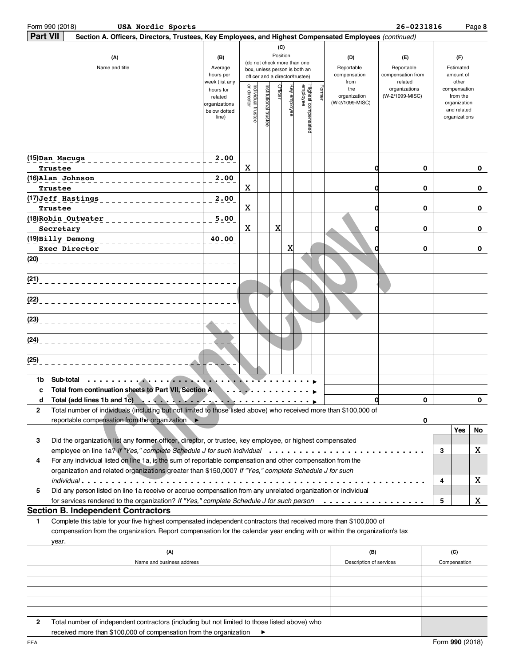| <b>Part VII</b> | Section A. Officers, Directors, Trustees, Key Employees, and Highest Compensated Employees (continued)                                                                                                                                                                                              |                                                       |                                   |                       |        |              |                                 |        |                         |                          |   |                       |              |
|-----------------|-----------------------------------------------------------------------------------------------------------------------------------------------------------------------------------------------------------------------------------------------------------------------------------------------------|-------------------------------------------------------|-----------------------------------|-----------------------|--------|--------------|---------------------------------|--------|-------------------------|--------------------------|---|-----------------------|--------------|
|                 |                                                                                                                                                                                                                                                                                                     |                                                       |                                   |                       | (C)    |              |                                 |        |                         |                          |   |                       |              |
|                 | (A)                                                                                                                                                                                                                                                                                                 | Position<br>(D)<br>(B)<br>(do not check more than one |                                   |                       |        |              | $(\mathsf{E})$                  |        | (F)                     |                          |   |                       |              |
|                 | Name and title                                                                                                                                                                                                                                                                                      | Average                                               |                                   |                       |        |              | box, unless person is both an   |        | Reportable              | Reportable               |   | Estimated             |              |
|                 |                                                                                                                                                                                                                                                                                                     | hours per                                             |                                   |                       |        |              | officer and a director/trustee) |        | compensation            | compensation from        |   | amount of             |              |
|                 |                                                                                                                                                                                                                                                                                                     | week (list any                                        |                                   |                       |        |              |                                 |        | from<br>the             | related<br>organizations |   | other<br>compensation |              |
|                 |                                                                                                                                                                                                                                                                                                     | hours for<br>related                                  | Individual trustee<br>or director | Institutional trustee | 韦<br>h | Key employee | Highest compensated<br>employee | Former | organization            | (W-2/1099-MISC)          |   | from the              |              |
|                 |                                                                                                                                                                                                                                                                                                     | organizations                                         |                                   |                       |        |              |                                 |        | (W-2/1099-MISC)         |                          |   | organization          |              |
|                 |                                                                                                                                                                                                                                                                                                     | below dotted                                          |                                   |                       |        |              |                                 |        |                         |                          |   | and related           |              |
|                 |                                                                                                                                                                                                                                                                                                     | line)                                                 |                                   |                       |        |              |                                 |        |                         |                          |   | organizations         |              |
|                 |                                                                                                                                                                                                                                                                                                     |                                                       |                                   |                       |        |              |                                 |        |                         |                          |   |                       |              |
|                 |                                                                                                                                                                                                                                                                                                     |                                                       |                                   |                       |        |              |                                 |        |                         |                          |   |                       |              |
|                 | (15) Dan Macuga __________________                                                                                                                                                                                                                                                                  | 2.00                                                  | X                                 |                       |        |              |                                 |        | O                       |                          | 0 |                       |              |
|                 | Trustee                                                                                                                                                                                                                                                                                             |                                                       |                                   |                       |        |              |                                 |        |                         |                          |   |                       | 0            |
|                 | (16)Alan Johnson<br><u>.</u>                                                                                                                                                                                                                                                                        | 2.00                                                  | X                                 |                       |        |              |                                 |        |                         |                          |   |                       |              |
|                 | Trustee                                                                                                                                                                                                                                                                                             |                                                       |                                   |                       |        |              |                                 |        | Ω                       |                          | 0 |                       | $\mathbf{o}$ |
|                 | (17) Jeff Hastings<br>$\frac{1}{2}$ = $\frac{1}{2}$ = $\frac{1}{2}$ = $\frac{1}{2}$ = $\frac{1}{2}$ = $\frac{1}{2}$ = $\frac{1}{2}$ = $\frac{1}{2}$ = $\frac{1}{2}$ = $\frac{1}{2}$ = $\frac{1}{2}$ = $\frac{1}{2}$ = $\frac{1}{2}$ = $\frac{1}{2}$ = $\frac{1}{2}$ = $\frac{1}{2}$ = $\frac{1}{2}$ | 2.00                                                  |                                   |                       |        |              |                                 |        |                         |                          |   |                       |              |
|                 | Trustee                                                                                                                                                                                                                                                                                             |                                                       | X                                 |                       |        |              |                                 |        | Ω                       |                          | 0 |                       | $\mathbf 0$  |
|                 | (18) Robin Outwater ________________                                                                                                                                                                                                                                                                | 5.00                                                  |                                   |                       |        |              |                                 |        |                         |                          |   |                       |              |
|                 | Secretary                                                                                                                                                                                                                                                                                           |                                                       | X                                 |                       | X      |              |                                 |        | O                       |                          | 0 |                       | $\mathbf 0$  |
|                 | (19) Billy Demong ____________________                                                                                                                                                                                                                                                              | 40.00                                                 |                                   |                       |        |              |                                 |        |                         |                          |   |                       |              |
|                 | Exec Director                                                                                                                                                                                                                                                                                       |                                                       |                                   |                       |        | X            |                                 |        | O                       |                          | 0 |                       | $\mathbf 0$  |
| (20)            | ___________________________                                                                                                                                                                                                                                                                         |                                                       |                                   |                       |        |              |                                 |        |                         |                          |   |                       |              |
|                 | (21) __________________________                                                                                                                                                                                                                                                                     |                                                       |                                   |                       |        |              |                                 |        |                         |                          |   |                       |              |
|                 |                                                                                                                                                                                                                                                                                                     |                                                       |                                   |                       |        |              |                                 |        |                         |                          |   |                       |              |
|                 | (22) $- - - - - - - - - - - - - - - - - -$                                                                                                                                                                                                                                                          |                                                       |                                   |                       |        |              |                                 |        |                         |                          |   |                       |              |
|                 | (23) $- - - - - - - - - - - - - - - - - -$                                                                                                                                                                                                                                                          |                                                       |                                   |                       |        |              |                                 |        |                         |                          |   |                       |              |
|                 | (24) $- - - - - - - - - - - - - - - - - -$                                                                                                                                                                                                                                                          |                                                       |                                   |                       |        |              |                                 |        |                         |                          |   |                       |              |
| (25)            |                                                                                                                                                                                                                                                                                                     |                                                       |                                   |                       |        |              |                                 |        |                         |                          |   |                       |              |
| 1b              | Sub-total<br>. <b>.</b>                                                                                                                                                                                                                                                                             |                                                       |                                   |                       |        |              |                                 |        |                         |                          |   |                       |              |
| C               | Total from continuation sheets to Part VII, Section A                                                                                                                                                                                                                                               |                                                       | .                                 |                       |        |              |                                 |        |                         |                          |   |                       |              |
| d               |                                                                                                                                                                                                                                                                                                     |                                                       |                                   |                       |        |              |                                 |        | O                       |                          | 0 |                       | 0            |
| 2               | Total number of individuals (including but not limited to those listed above) who received more than \$100,000 of                                                                                                                                                                                   |                                                       |                                   |                       |        |              |                                 |        |                         |                          |   |                       |              |
|                 | reportable compensation from the organization<br>▶                                                                                                                                                                                                                                                  |                                                       |                                   |                       |        |              |                                 |        |                         |                          | 0 |                       |              |
|                 |                                                                                                                                                                                                                                                                                                     |                                                       |                                   |                       |        |              |                                 |        |                         |                          |   | Yes                   | No           |
| 3               | Did the organization list any former officer, director, or trustee, key employee, or highest compensated                                                                                                                                                                                            |                                                       |                                   |                       |        |              |                                 |        |                         |                          |   |                       |              |
|                 | employee on line 1a? If "Yes," complete Schedule J for such individual                                                                                                                                                                                                                              |                                                       |                                   |                       |        |              |                                 |        |                         |                          |   | 3                     | X            |
| 4               | For any individual listed on line 1a, is the sum of reportable compensation and other compensation from the                                                                                                                                                                                         |                                                       |                                   |                       |        |              |                                 |        |                         |                          |   |                       |              |
|                 | organization and related organizations greater than \$150,000? If "Yes," complete Schedule J for such                                                                                                                                                                                               |                                                       |                                   |                       |        |              |                                 |        |                         |                          |   |                       |              |
|                 | individual                                                                                                                                                                                                                                                                                          |                                                       |                                   |                       |        |              |                                 |        |                         |                          |   |                       | X            |
|                 |                                                                                                                                                                                                                                                                                                     |                                                       |                                   |                       |        |              |                                 |        |                         |                          |   | 4                     |              |
| 5               | Did any person listed on line 1a receive or accrue compensation from any unrelated organization or individual                                                                                                                                                                                       |                                                       |                                   |                       |        |              |                                 |        |                         |                          |   |                       |              |
|                 | for services rendered to the organization? If "Yes," complete Schedule J for such person                                                                                                                                                                                                            |                                                       |                                   |                       |        |              |                                 |        | .                       |                          |   | 5                     | Χ            |
|                 | <b>Section B. Independent Contractors</b>                                                                                                                                                                                                                                                           |                                                       |                                   |                       |        |              |                                 |        |                         |                          |   |                       |              |
| 1               | Complete this table for your five highest compensated independent contractors that received more than \$100,000 of                                                                                                                                                                                  |                                                       |                                   |                       |        |              |                                 |        |                         |                          |   |                       |              |
|                 | compensation from the organization. Report compensation for the calendar year ending with or within the organization's tax                                                                                                                                                                          |                                                       |                                   |                       |        |              |                                 |        |                         |                          |   |                       |              |
|                 | year.                                                                                                                                                                                                                                                                                               |                                                       |                                   |                       |        |              |                                 |        |                         |                          |   |                       |              |
|                 | (A)                                                                                                                                                                                                                                                                                                 |                                                       |                                   |                       |        |              |                                 |        | (B)                     |                          |   | (C)                   |              |
|                 | Name and business address                                                                                                                                                                                                                                                                           |                                                       |                                   |                       |        |              |                                 |        | Description of services |                          |   | Compensation          |              |
|                 |                                                                                                                                                                                                                                                                                                     |                                                       |                                   |                       |        |              |                                 |        |                         |                          |   |                       |              |

**2** Total number of independent contractors (including but not limited to those listed above) who received more than \$100,000 of compensation from the organization  $\blacktriangleright$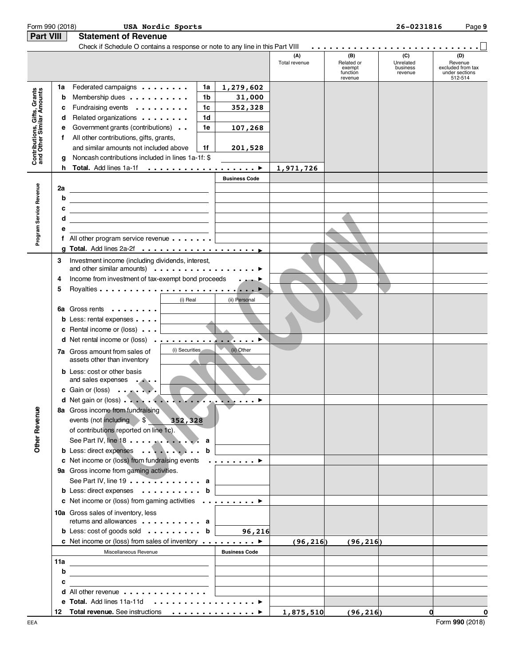| Form 990 (2018)                                           |    | USA Nordic Sports                                                                                                     |               |                      |                      |                                                    | 26-0231816                              | Page 9                                                           |
|-----------------------------------------------------------|----|-----------------------------------------------------------------------------------------------------------------------|---------------|----------------------|----------------------|----------------------------------------------------|-----------------------------------------|------------------------------------------------------------------|
| Part VIII                                                 |    | <b>Statement of Revenue</b>                                                                                           |               |                      |                      |                                                    |                                         |                                                                  |
|                                                           |    | Check if Schedule O contains a response or note to any line in this Part VIII                                         |               |                      | (A)<br>Total revenue | (B)<br>Related or<br>exempt<br>function<br>revenue | (C)<br>Unrelated<br>business<br>revenue | (D)<br>Revenue<br>excluded from tax<br>under sections<br>512-514 |
|                                                           | 1a | Federated campaigns $\dots \dots$                                                                                     | 1a            | 1,279,602            |                      |                                                    |                                         |                                                                  |
| Contributions, Gifts, Grants<br>and Other Similar Amounts | b  | Membership dues                                                                                                       | 1b            | 31,000               |                      |                                                    |                                         |                                                                  |
|                                                           | c  | Fundraising events                                                                                                    | 1c            | 352,328              |                      |                                                    |                                         |                                                                  |
|                                                           | d  | Related organizations                                                                                                 | 1d            |                      |                      |                                                    |                                         |                                                                  |
|                                                           | е  | Government grants (contributions)                                                                                     | 1e            | 107,268              |                      |                                                    |                                         |                                                                  |
|                                                           | f. | All other contributions, gifts, grants,                                                                               |               |                      |                      |                                                    |                                         |                                                                  |
|                                                           |    | and similar amounts not included above                                                                                | 1f            | 201,528              |                      |                                                    |                                         |                                                                  |
|                                                           | g  | Noncash contributions included in lines 1a-1f: \$                                                                     |               |                      |                      |                                                    |                                         |                                                                  |
|                                                           | h. | Total. Add lines 1a-1f ▶                                                                                              |               |                      | 1,971,726            |                                                    |                                         |                                                                  |
|                                                           |    |                                                                                                                       |               | <b>Business Code</b> |                      |                                                    |                                         |                                                                  |
|                                                           | 2a |                                                                                                                       |               |                      |                      |                                                    |                                         |                                                                  |
| Program Service Revenue                                   | b  |                                                                                                                       |               |                      |                      |                                                    |                                         |                                                                  |
|                                                           | с  |                                                                                                                       |               |                      |                      |                                                    |                                         |                                                                  |
|                                                           | d  |                                                                                                                       |               |                      |                      |                                                    |                                         |                                                                  |
|                                                           | е  |                                                                                                                       |               |                      |                      |                                                    |                                         |                                                                  |
|                                                           |    | f All other program service revenue $\dots \dots$                                                                     |               |                      |                      |                                                    |                                         |                                                                  |
|                                                           |    | g Total. Add lines 2a-2f $\ldots$                                                                                     |               |                      |                      |                                                    |                                         |                                                                  |
|                                                           |    |                                                                                                                       |               |                      |                      |                                                    |                                         |                                                                  |
|                                                           | 3  | Investment income (including dividends, interest,<br>and other similar amounts) $\dots \dots \dots \dots \dots \dots$ |               |                      |                      |                                                    |                                         |                                                                  |
|                                                           | 4  | Income from investment of tax-exempt bond proceeds                                                                    |               | $\rightarrow$        |                      |                                                    |                                         |                                                                  |
|                                                           | 5  |                                                                                                                       |               |                      |                      |                                                    |                                         |                                                                  |
|                                                           |    | (i) Real                                                                                                              |               | (ii) Personal        |                      |                                                    |                                         |                                                                  |
|                                                           |    | 6a Gross rents $\ldots \ldots$                                                                                        |               |                      |                      |                                                    |                                         |                                                                  |
|                                                           |    | <b>b</b> Less: rental expenses $\cdots$                                                                               |               |                      |                      |                                                    |                                         |                                                                  |
|                                                           |    | <b>c</b> Rental income or (loss) $\cdot \cdot \cdot$                                                                  |               |                      |                      |                                                    |                                         |                                                                  |
|                                                           |    |                                                                                                                       |               |                      |                      |                                                    |                                         |                                                                  |
|                                                           |    | (i) Securities                                                                                                        |               | (ii) Other           |                      |                                                    |                                         |                                                                  |
|                                                           |    | <b>7a</b> Gross amount from sales of<br>assets other than inventory                                                   |               |                      |                      |                                                    |                                         |                                                                  |
|                                                           |    |                                                                                                                       |               |                      |                      |                                                    |                                         |                                                                  |
|                                                           |    | <b>b</b> Less: cost or other basis<br>and sales expenses                                                              |               |                      |                      |                                                    |                                         |                                                                  |
|                                                           |    | c Gain or (loss) $\cdots$ .                                                                                           |               |                      |                      |                                                    |                                         |                                                                  |
|                                                           |    |                                                                                                                       | $\sim$ $\sim$ | ▶                    |                      |                                                    |                                         |                                                                  |
|                                                           |    | <b>d</b> Net gain or (loss) $\cdots$<br><b>8a</b> Gross income from fundraising                                       |               |                      |                      |                                                    |                                         |                                                                  |
|                                                           |    | events (not including \$<br>352,328                                                                                   |               |                      |                      |                                                    |                                         |                                                                  |
|                                                           |    |                                                                                                                       |               |                      |                      |                                                    |                                         |                                                                  |
|                                                           |    | of contributions reported on line 1c).                                                                                |               |                      |                      |                                                    |                                         |                                                                  |
| <b>Other Revenue</b>                                      |    | See Part IV, line 18 a<br>b Less: direct expenses b                                                                   |               |                      |                      |                                                    |                                         |                                                                  |
|                                                           |    |                                                                                                                       |               |                      |                      |                                                    |                                         |                                                                  |
|                                                           |    | c Net income or (loss) from fundraising events ▶                                                                      |               |                      |                      |                                                    |                                         |                                                                  |
|                                                           |    | 9a Gross income from gaming activities.                                                                               |               |                      |                      |                                                    |                                         |                                                                  |
|                                                           |    | See Part IV, line 19 a                                                                                                |               |                      |                      |                                                    |                                         |                                                                  |
|                                                           |    | b Less: direct expenses b                                                                                             |               |                      |                      |                                                    |                                         |                                                                  |
|                                                           |    | c Net income or (loss) from gaming activities ▶                                                                       |               |                      |                      |                                                    |                                         |                                                                  |
|                                                           |    | 10a Gross sales of inventory, less                                                                                    |               |                      |                      |                                                    |                                         |                                                                  |
|                                                           |    | returns and allowances $\dots \dots \dots$ a                                                                          |               |                      |                      |                                                    |                                         |                                                                  |
|                                                           |    | b Less: cost of goods sold b                                                                                          |               | 96,216               |                      |                                                    |                                         |                                                                  |
|                                                           |    | c Net income or (loss) from sales of inventory $\dots \dots \dots$                                                    |               |                      | (96, 216)            | (96, 216)                                          |                                         |                                                                  |
|                                                           |    | Miscellaneous Revenue                                                                                                 |               | <b>Business Code</b> |                      |                                                    |                                         |                                                                  |
|                                                           |    |                                                                                                                       |               |                      |                      |                                                    |                                         |                                                                  |
|                                                           | b  |                                                                                                                       |               |                      |                      |                                                    |                                         |                                                                  |
|                                                           | c  | <u> 1980 - Andrea Andrew Maria (h. 1980).</u>                                                                         |               |                      |                      |                                                    |                                         |                                                                  |
|                                                           |    | d All other revenue                                                                                                   |               |                      |                      |                                                    |                                         |                                                                  |
|                                                           |    | e Total. Add lines 11a-11d ▶                                                                                          |               |                      |                      |                                                    |                                         |                                                                  |
|                                                           |    |                                                                                                                       |               |                      | 1,875,510            | (96, 216)                                          |                                         | d<br>0                                                           |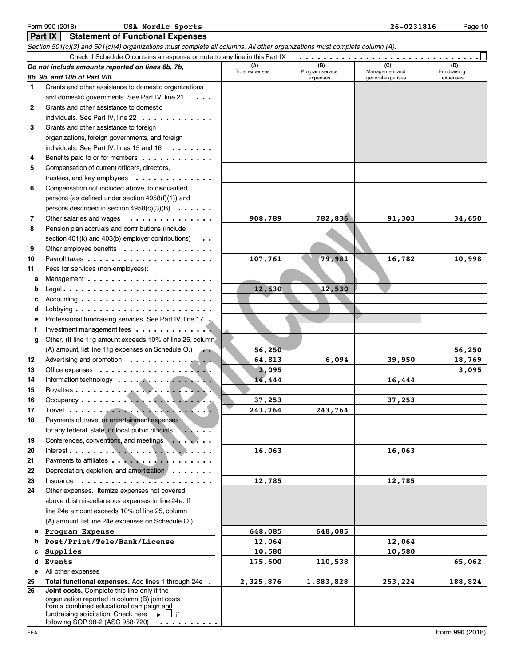**Part IX Statement of Functional Expenses**

| Check if Schedule O contains a response or note to any line in this Part IX<br>.<br>(B)<br>(C)<br>(A)<br>Do not include amounts reported on lines 6b, 7b,<br>Total expenses<br>Program service<br>Management and<br>8b, 9b, and 10b of Part VIII.<br>expenses<br>general expenses<br>Grants and other assistance to domestic organizations<br>1<br>and domestic governments. See Part IV, line 21<br>Grants and other assistance to domestic<br>2<br>individuals. See Part IV, line 22<br>3<br>Grants and other assistance to foreign<br>organizations, foreign governments, and foreign<br>individuals. See Part IV, lines 15 and 16<br>Benefits paid to or for members<br>4<br>5<br>Compensation of current officers, directors,<br>trustees, and key employees $\dots \dots$<br>6<br>Compensation not included above, to disqualified<br>persons (as defined under section $4958(f)(1)$ ) and<br>persons described in section $4958(c)(3)(B) \cdot \cdot \cdot \cdot \cdot$<br>7<br>Other salaries and wages<br>908,789<br>782,836<br>91,303<br>.<br>8<br>Pension plan accruals and contributions (include<br>section 401(k) and 403(b) employer contributions)<br>$\ddot{\phantom{a}}$<br>9<br>Other employee benefits<br>79,981<br>10<br>107,761<br>16,782<br>Fees for services (non-employees):<br>11<br>а<br>12,530<br>Legal<br>12,530<br>$Accounting \dots \dots \dots \dots \dots \dots \dots \dots \dots$ | (D)<br>Fundraising<br>expenses |
|---------------------------------------------------------------------------------------------------------------------------------------------------------------------------------------------------------------------------------------------------------------------------------------------------------------------------------------------------------------------------------------------------------------------------------------------------------------------------------------------------------------------------------------------------------------------------------------------------------------------------------------------------------------------------------------------------------------------------------------------------------------------------------------------------------------------------------------------------------------------------------------------------------------------------------------------------------------------------------------------------------------------------------------------------------------------------------------------------------------------------------------------------------------------------------------------------------------------------------------------------------------------------------------------------------------------------------------------------------------------------------------------------------------------|--------------------------------|
|                                                                                                                                                                                                                                                                                                                                                                                                                                                                                                                                                                                                                                                                                                                                                                                                                                                                                                                                                                                                                                                                                                                                                                                                                                                                                                                                                                                                                     |                                |
|                                                                                                                                                                                                                                                                                                                                                                                                                                                                                                                                                                                                                                                                                                                                                                                                                                                                                                                                                                                                                                                                                                                                                                                                                                                                                                                                                                                                                     |                                |
|                                                                                                                                                                                                                                                                                                                                                                                                                                                                                                                                                                                                                                                                                                                                                                                                                                                                                                                                                                                                                                                                                                                                                                                                                                                                                                                                                                                                                     |                                |
|                                                                                                                                                                                                                                                                                                                                                                                                                                                                                                                                                                                                                                                                                                                                                                                                                                                                                                                                                                                                                                                                                                                                                                                                                                                                                                                                                                                                                     |                                |
|                                                                                                                                                                                                                                                                                                                                                                                                                                                                                                                                                                                                                                                                                                                                                                                                                                                                                                                                                                                                                                                                                                                                                                                                                                                                                                                                                                                                                     |                                |
|                                                                                                                                                                                                                                                                                                                                                                                                                                                                                                                                                                                                                                                                                                                                                                                                                                                                                                                                                                                                                                                                                                                                                                                                                                                                                                                                                                                                                     |                                |
|                                                                                                                                                                                                                                                                                                                                                                                                                                                                                                                                                                                                                                                                                                                                                                                                                                                                                                                                                                                                                                                                                                                                                                                                                                                                                                                                                                                                                     |                                |
|                                                                                                                                                                                                                                                                                                                                                                                                                                                                                                                                                                                                                                                                                                                                                                                                                                                                                                                                                                                                                                                                                                                                                                                                                                                                                                                                                                                                                     |                                |
|                                                                                                                                                                                                                                                                                                                                                                                                                                                                                                                                                                                                                                                                                                                                                                                                                                                                                                                                                                                                                                                                                                                                                                                                                                                                                                                                                                                                                     |                                |
|                                                                                                                                                                                                                                                                                                                                                                                                                                                                                                                                                                                                                                                                                                                                                                                                                                                                                                                                                                                                                                                                                                                                                                                                                                                                                                                                                                                                                     |                                |
|                                                                                                                                                                                                                                                                                                                                                                                                                                                                                                                                                                                                                                                                                                                                                                                                                                                                                                                                                                                                                                                                                                                                                                                                                                                                                                                                                                                                                     |                                |
|                                                                                                                                                                                                                                                                                                                                                                                                                                                                                                                                                                                                                                                                                                                                                                                                                                                                                                                                                                                                                                                                                                                                                                                                                                                                                                                                                                                                                     |                                |
|                                                                                                                                                                                                                                                                                                                                                                                                                                                                                                                                                                                                                                                                                                                                                                                                                                                                                                                                                                                                                                                                                                                                                                                                                                                                                                                                                                                                                     |                                |
|                                                                                                                                                                                                                                                                                                                                                                                                                                                                                                                                                                                                                                                                                                                                                                                                                                                                                                                                                                                                                                                                                                                                                                                                                                                                                                                                                                                                                     |                                |
|                                                                                                                                                                                                                                                                                                                                                                                                                                                                                                                                                                                                                                                                                                                                                                                                                                                                                                                                                                                                                                                                                                                                                                                                                                                                                                                                                                                                                     |                                |
|                                                                                                                                                                                                                                                                                                                                                                                                                                                                                                                                                                                                                                                                                                                                                                                                                                                                                                                                                                                                                                                                                                                                                                                                                                                                                                                                                                                                                     |                                |
|                                                                                                                                                                                                                                                                                                                                                                                                                                                                                                                                                                                                                                                                                                                                                                                                                                                                                                                                                                                                                                                                                                                                                                                                                                                                                                                                                                                                                     |                                |
|                                                                                                                                                                                                                                                                                                                                                                                                                                                                                                                                                                                                                                                                                                                                                                                                                                                                                                                                                                                                                                                                                                                                                                                                                                                                                                                                                                                                                     | 34,650                         |
|                                                                                                                                                                                                                                                                                                                                                                                                                                                                                                                                                                                                                                                                                                                                                                                                                                                                                                                                                                                                                                                                                                                                                                                                                                                                                                                                                                                                                     |                                |
|                                                                                                                                                                                                                                                                                                                                                                                                                                                                                                                                                                                                                                                                                                                                                                                                                                                                                                                                                                                                                                                                                                                                                                                                                                                                                                                                                                                                                     |                                |
|                                                                                                                                                                                                                                                                                                                                                                                                                                                                                                                                                                                                                                                                                                                                                                                                                                                                                                                                                                                                                                                                                                                                                                                                                                                                                                                                                                                                                     |                                |
|                                                                                                                                                                                                                                                                                                                                                                                                                                                                                                                                                                                                                                                                                                                                                                                                                                                                                                                                                                                                                                                                                                                                                                                                                                                                                                                                                                                                                     | 10,998                         |
|                                                                                                                                                                                                                                                                                                                                                                                                                                                                                                                                                                                                                                                                                                                                                                                                                                                                                                                                                                                                                                                                                                                                                                                                                                                                                                                                                                                                                     |                                |
|                                                                                                                                                                                                                                                                                                                                                                                                                                                                                                                                                                                                                                                                                                                                                                                                                                                                                                                                                                                                                                                                                                                                                                                                                                                                                                                                                                                                                     |                                |
|                                                                                                                                                                                                                                                                                                                                                                                                                                                                                                                                                                                                                                                                                                                                                                                                                                                                                                                                                                                                                                                                                                                                                                                                                                                                                                                                                                                                                     |                                |
|                                                                                                                                                                                                                                                                                                                                                                                                                                                                                                                                                                                                                                                                                                                                                                                                                                                                                                                                                                                                                                                                                                                                                                                                                                                                                                                                                                                                                     |                                |
|                                                                                                                                                                                                                                                                                                                                                                                                                                                                                                                                                                                                                                                                                                                                                                                                                                                                                                                                                                                                                                                                                                                                                                                                                                                                                                                                                                                                                     |                                |
| Professional fundraising services. See Part IV, line 17 .<br>е                                                                                                                                                                                                                                                                                                                                                                                                                                                                                                                                                                                                                                                                                                                                                                                                                                                                                                                                                                                                                                                                                                                                                                                                                                                                                                                                                      |                                |
| Investment management fees $\dots \dots \dots \dots$<br>f                                                                                                                                                                                                                                                                                                                                                                                                                                                                                                                                                                                                                                                                                                                                                                                                                                                                                                                                                                                                                                                                                                                                                                                                                                                                                                                                                           |                                |
| Other. (If line 11g amount exceeds 10% of line 25, column<br>g                                                                                                                                                                                                                                                                                                                                                                                                                                                                                                                                                                                                                                                                                                                                                                                                                                                                                                                                                                                                                                                                                                                                                                                                                                                                                                                                                      |                                |
| (A) amount, list line 11g expenses on Schedule O.)<br>56,250                                                                                                                                                                                                                                                                                                                                                                                                                                                                                                                                                                                                                                                                                                                                                                                                                                                                                                                                                                                                                                                                                                                                                                                                                                                                                                                                                        | 56,250                         |
| Advertising and promotion<br>12<br>64,813<br>6,094<br>39,950                                                                                                                                                                                                                                                                                                                                                                                                                                                                                                                                                                                                                                                                                                                                                                                                                                                                                                                                                                                                                                                                                                                                                                                                                                                                                                                                                        | 18,769                         |
| 3,095<br>13<br>Office expenses $\dots \dots \dots \dots \dots \dots$                                                                                                                                                                                                                                                                                                                                                                                                                                                                                                                                                                                                                                                                                                                                                                                                                                                                                                                                                                                                                                                                                                                                                                                                                                                                                                                                                | 3,095                          |
| 16,444<br>14<br>Information technology<br>16,444                                                                                                                                                                                                                                                                                                                                                                                                                                                                                                                                                                                                                                                                                                                                                                                                                                                                                                                                                                                                                                                                                                                                                                                                                                                                                                                                                                    |                                |
| 15<br>Royalties                                                                                                                                                                                                                                                                                                                                                                                                                                                                                                                                                                                                                                                                                                                                                                                                                                                                                                                                                                                                                                                                                                                                                                                                                                                                                                                                                                                                     |                                |
| 37,253<br>16<br>37,253                                                                                                                                                                                                                                                                                                                                                                                                                                                                                                                                                                                                                                                                                                                                                                                                                                                                                                                                                                                                                                                                                                                                                                                                                                                                                                                                                                                              |                                |
| 17<br>243,764<br>243,764                                                                                                                                                                                                                                                                                                                                                                                                                                                                                                                                                                                                                                                                                                                                                                                                                                                                                                                                                                                                                                                                                                                                                                                                                                                                                                                                                                                            |                                |
| 18<br>Payments of travel or entertainment expenses                                                                                                                                                                                                                                                                                                                                                                                                                                                                                                                                                                                                                                                                                                                                                                                                                                                                                                                                                                                                                                                                                                                                                                                                                                                                                                                                                                  |                                |
| for any federal, state, or local public officials                                                                                                                                                                                                                                                                                                                                                                                                                                                                                                                                                                                                                                                                                                                                                                                                                                                                                                                                                                                                                                                                                                                                                                                                                                                                                                                                                                   |                                |
| Conferences, conventions, and meetings<br>19                                                                                                                                                                                                                                                                                                                                                                                                                                                                                                                                                                                                                                                                                                                                                                                                                                                                                                                                                                                                                                                                                                                                                                                                                                                                                                                                                                        |                                |
| 20<br>Interest<br>16,063<br>16,063                                                                                                                                                                                                                                                                                                                                                                                                                                                                                                                                                                                                                                                                                                                                                                                                                                                                                                                                                                                                                                                                                                                                                                                                                                                                                                                                                                                  |                                |
| Payments to affiliates<br>21                                                                                                                                                                                                                                                                                                                                                                                                                                                                                                                                                                                                                                                                                                                                                                                                                                                                                                                                                                                                                                                                                                                                                                                                                                                                                                                                                                                        |                                |
| Depreciation, depletion, and amortization<br>22                                                                                                                                                                                                                                                                                                                                                                                                                                                                                                                                                                                                                                                                                                                                                                                                                                                                                                                                                                                                                                                                                                                                                                                                                                                                                                                                                                     |                                |
| 23<br>$Insurance$<br>12,785<br>12,785                                                                                                                                                                                                                                                                                                                                                                                                                                                                                                                                                                                                                                                                                                                                                                                                                                                                                                                                                                                                                                                                                                                                                                                                                                                                                                                                                                               |                                |
| Other expenses. Itemize expenses not covered<br>24                                                                                                                                                                                                                                                                                                                                                                                                                                                                                                                                                                                                                                                                                                                                                                                                                                                                                                                                                                                                                                                                                                                                                                                                                                                                                                                                                                  |                                |
| above (List miscellaneous expenses in line 24e. If                                                                                                                                                                                                                                                                                                                                                                                                                                                                                                                                                                                                                                                                                                                                                                                                                                                                                                                                                                                                                                                                                                                                                                                                                                                                                                                                                                  |                                |
| line 24e amount exceeds 10% of line 25, column                                                                                                                                                                                                                                                                                                                                                                                                                                                                                                                                                                                                                                                                                                                                                                                                                                                                                                                                                                                                                                                                                                                                                                                                                                                                                                                                                                      |                                |
| (A) amount, list line 24e expenses on Schedule O.)                                                                                                                                                                                                                                                                                                                                                                                                                                                                                                                                                                                                                                                                                                                                                                                                                                                                                                                                                                                                                                                                                                                                                                                                                                                                                                                                                                  |                                |
|                                                                                                                                                                                                                                                                                                                                                                                                                                                                                                                                                                                                                                                                                                                                                                                                                                                                                                                                                                                                                                                                                                                                                                                                                                                                                                                                                                                                                     |                                |
| a Program Expense<br>648,085<br>648,085                                                                                                                                                                                                                                                                                                                                                                                                                                                                                                                                                                                                                                                                                                                                                                                                                                                                                                                                                                                                                                                                                                                                                                                                                                                                                                                                                                             |                                |
| Post/Print/Tele/Bank/License<br>12,064<br>12,064                                                                                                                                                                                                                                                                                                                                                                                                                                                                                                                                                                                                                                                                                                                                                                                                                                                                                                                                                                                                                                                                                                                                                                                                                                                                                                                                                                    |                                |
| Supplies<br>10,580<br>10,580                                                                                                                                                                                                                                                                                                                                                                                                                                                                                                                                                                                                                                                                                                                                                                                                                                                                                                                                                                                                                                                                                                                                                                                                                                                                                                                                                                                        |                                |
| Events<br>175,600<br>110,538<br>d                                                                                                                                                                                                                                                                                                                                                                                                                                                                                                                                                                                                                                                                                                                                                                                                                                                                                                                                                                                                                                                                                                                                                                                                                                                                                                                                                                                   | 65,062                         |
| All other expenses<br>е                                                                                                                                                                                                                                                                                                                                                                                                                                                                                                                                                                                                                                                                                                                                                                                                                                                                                                                                                                                                                                                                                                                                                                                                                                                                                                                                                                                             |                                |
| Total functional expenses. Add lines 1 through 24e .<br>25<br>253,224<br>2,325,876<br>1,883,828                                                                                                                                                                                                                                                                                                                                                                                                                                                                                                                                                                                                                                                                                                                                                                                                                                                                                                                                                                                                                                                                                                                                                                                                                                                                                                                     |                                |
| Joint costs. Complete this line only if the<br>26<br>organization reported in column (B) joint costs<br>from a combined educational campaign and                                                                                                                                                                                                                                                                                                                                                                                                                                                                                                                                                                                                                                                                                                                                                                                                                                                                                                                                                                                                                                                                                                                                                                                                                                                                    | 188,824                        |

fundraising solicitation. Check here  $\quadblacktriangleright\ \bigsqcup\ \textsf{if}$ 

following SOP 98-2 (ASC 958-720)  $\ldots \ldots \ldots$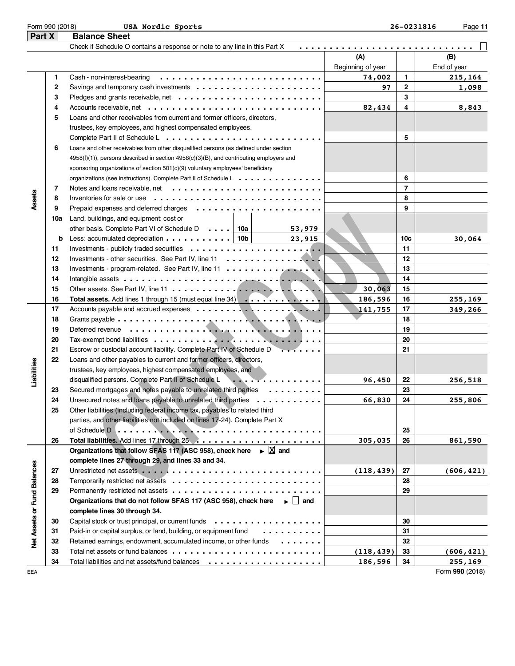**Part X Balance Sheet** 

Check if Schedule O contains a response or note to any line in this Part X

**(A) (B)** Beginning of year  $\parallel$  | End of year **1 1** ........................... Cash - non-interest-bearing **74,002 215,164**  2 Savings and temporary cash investments  $\ldots \ldots \ldots \ldots \ldots \ldots \ldots$  . **97** | 2 | **1,098** 3 Pledges and grants receivable, net  $\dots\dots\dots\dots\dots\dots\dots\dots\dots$ **4 4** Accounts receivable, net ............................. **82,434 8,843 5** Loans and other receivables from current and former officers, directors, trustees, key employees, and highest compensated employees. Complete Part II of Schedule L ............................ **5 6** Loans and other receivables from other disqualified persons (as defined under section 4958(f)(1)), persons described in section 4958(c)(3)(B), and contributing employers and sponsoring organizations of section 501(c)(9) voluntary employees' beneficiary organizations (see instructions). Complete Part II of Schedule L . . . . . . . . . . . . . . . **6 7** Notes and loans receivable, net  $\ldots \ldots \ldots \ldots \ldots \ldots \ldots \ldots$ . **Assets 8 8** Inventories for sale or use ............................ **9 9** Prepaid expenses and deferred charges .....................  **Client Copy 10a** Land, buildings, and equipment: cost or other basis. Complete Part VI of Schedule D .... 10a **53,979 b** Less: accumulated depreciation . . . . . . . . . . 10b **23, 915** 10c 23,915 10c 30,064 **11** Investments - publicly traded securities  $\ldots \ldots \ldots \ldots \ldots \ldots$ **12 12** Investments - other securities. See Part IV, line 11 ................ **13 13** Investments - program-related. See Part IV, line 11 ................ **14 14** Intangible assets ................................. **15 15** Other assets. See Part IV, line 11 ......................... **30,063 16 16 Total assets.** Add lines 1 through 15 (must equal line 34) ............. **186,596 255,169 17 17** Accounts payable and accrued expenses ..................... **141,755 349,266 18 18** Grants payable .................................. **19 19** Deferred revenue ................................ **20 20** Tax-exempt bond liabilities ............................ ....... **21 21** Escrow or custodial account liability. Complete Part IV of Schedule D **22** Loans and other payables to current and former officers, directors, Liabilities **Liabilities** trustees, key employees, highest compensated employees, and disqualified persons. Complete Part II of Schedule L **96,450 256,518**  ............... **22** 23 Secured mortgages and notes payable to unrelated third parties  $\ldots \ldots \ldots$ **24 24** Unsecured notes and loans payable to unrelated third parties ........... **66,830 255,806 25** Other liabilities (including federal income tax, payables to related third parties, and other liabilities not included on lines 17-24). Complete Part X of Schedule D .................................. **25 26 26 Total liabilities.** Add lines 17 through 25 ..................... **305,035 861,590**  Organizations that follow SFAS 117 (ASC 958), check here  $\rightarrow \boxed{\times}$  and **complete lines 27 through 29, and lines 33 and 34.** Net Assets or Fund Balances **Net Assets or Fund Balances (118,439) (606,421)** 27 Unrestricted net assets  $\ldots\ldots\ldots\ldots\ldots\ldots\ldots\ldots\ldots\ldots\ldots\ldots\qquad(118\,439)$  27 28 Temporarily restricted net assets  $\ldots\ldots\ldots\ldots\ldots\ldots\ldots\ldots\ldots\ldots$ 29 Permanently restricted net assets  $\ldots\ldots\ldots\ldots\ldots\ldots\ldots\ldots\ldots$ **Organizations that do not follow SFAS 117 (ASC 958), check here and complete lines 30 through 34. 30 30** Capital stock or trust principal, or current funds .................. .......... **31 31** Paid-in or capital surplus, or land, building, or equipment fund **32 32** Retained earnings, endowment, accumulated income, or other funds ....... **(118,439) (606,421)**  $\texttt{33} \quad \text{Total net assets or fund balances } \dots \dots \dots \dots \dots \dots \dots \dots \dots \quad \textbf{(118,439)} \mid \text{33}$ 34 Total liabilities and net assets/fund balances  $\, \ldots \ldots \ldots \ldots \ldots \ldots \, \, \ldots \, \, \vert \qquad \qquad \, \, 186\, , 596 \, \vert \, \, 34$ **186,596 255,169** EEA Form **990** (2018)

Form 990 (2018) Page **11 USA Nordic Sports 26-0231816**

.............................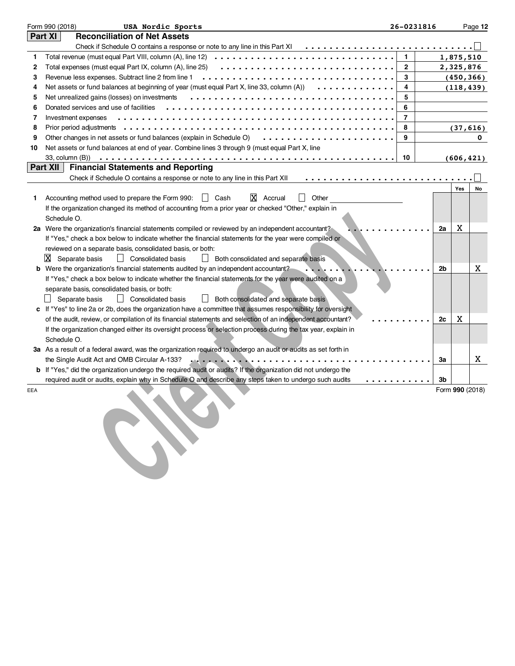|     | Form 990 (2018)<br>USA Nordic Sports                                                                                  | 26-0231816     |    |                 | Page 12 |
|-----|-----------------------------------------------------------------------------------------------------------------------|----------------|----|-----------------|---------|
|     | Part XI<br><b>Reconciliation of Net Assets</b>                                                                        |                |    |                 |         |
|     | Check if Schedule O contains a response or note to any line in this Part XI                                           |                |    |                 |         |
| 1   |                                                                                                                       | 1.             |    | 1,875,510       |         |
| 2   |                                                                                                                       | $\mathbf{2}$   |    | 2,325,876       |         |
| 3   | Revenue less expenses. Subtract line 2 from line 1                                                                    | 3              |    | (450, 366)      |         |
| 4   | Net assets or fund balances at beginning of year (must equal Part X, line 33, column (A))                             | 4              |    | (118, 439)      |         |
| 5   | Net unrealized gains (losses) on investments                                                                          | 5              |    |                 |         |
| 6   | Donated services and use of facilities                                                                                | 6              |    |                 |         |
| 7   | Investment expenses                                                                                                   | $\overline{7}$ |    |                 |         |
| 8   |                                                                                                                       | 8              |    | (37, 616)       |         |
| 9   | Other changes in net assets or fund balances (explain in Schedule O)                                                  | 9              |    |                 | 0       |
| 10  | Net assets or fund balances at end of year. Combine lines 3 through 9 (must equal Part X, line                        |                |    |                 |         |
|     |                                                                                                                       | 10             |    | (606, 421)      |         |
|     | <b>Part XII</b><br><b>Financial Statements and Reporting</b>                                                          |                |    |                 |         |
|     | Check if Schedule O contains a response or note to any line in this Part XII                                          |                |    |                 |         |
|     |                                                                                                                       |                |    | Yes             | No      |
| 1   | X<br>Cash<br>Accrual<br>Other<br>Accounting method used to prepare the Form 990:                                      |                |    |                 |         |
|     | If the organization changed its method of accounting from a prior year or checked "Other," explain in                 |                |    |                 |         |
|     | Schedule O.                                                                                                           |                |    |                 |         |
|     | 2a Were the organization's financial statements compiled or reviewed by an independent accountant?                    |                | 2a | X               |         |
|     | If "Yes," check a box below to indicate whether the financial statements for the year were compiled or                |                |    |                 |         |
|     | reviewed on a separate basis, consolidated basis, or both:                                                            |                |    |                 |         |
|     | ΙX<br>Separate basis<br>Consolidated basis<br>Both consolidated and separate basis<br>$\perp$<br>$\perp$              |                |    |                 |         |
|     | <b>b</b> Were the organization's financial statements audited by an independent accountant?                           |                | 2b |                 | X       |
|     | If "Yes," check a box below to indicate whether the financial statements for the year were audited on a               |                |    |                 |         |
|     | separate basis, consolidated basis, or both:                                                                          |                |    |                 |         |
|     | <b>Consolidated basis</b><br>Both consolidated and separate basis<br>Separate basis<br>$\mathbf{1}$                   |                |    |                 |         |
| c   | If "Yes" to line 2a or 2b, does the organization have a committee that assumes responsibility for oversight           |                |    |                 |         |
|     | of the audit, review, or compilation of its financial statements and selection of an independent accountant?          |                | 2c | X               |         |
|     | If the organization changed either its oversight process or selection process during the tax year, explain in         |                |    |                 |         |
|     | Schedule O.                                                                                                           |                |    |                 |         |
|     | 3a As a result of a federal award, was the organization required to undergo an audit or audits as set forth in        |                |    |                 |         |
|     |                                                                                                                       |                | 3a |                 | X       |
|     | <b>b</b> If "Yes," did the organization undergo the required audit or audits? If the organization did not undergo the |                |    |                 |         |
|     | required audit or audits, explain why in Schedule O and describe any steps taken to undergo such audits<br>.          |                | 3b |                 |         |
| EEA |                                                                                                                       |                |    | Form 990 (2018) |         |
|     |                                                                                                                       |                |    |                 |         |
|     |                                                                                                                       |                |    |                 |         |
|     |                                                                                                                       |                |    |                 |         |
|     |                                                                                                                       |                |    |                 |         |
|     |                                                                                                                       |                |    |                 |         |
|     |                                                                                                                       |                |    |                 |         |
|     |                                                                                                                       |                |    |                 |         |
|     |                                                                                                                       |                |    |                 |         |
|     |                                                                                                                       |                |    |                 |         |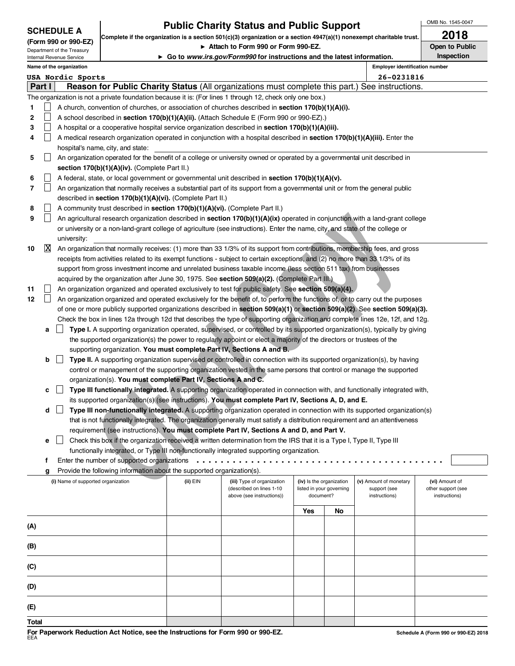| <b>SCHEDULE A</b> |  |
|-------------------|--|
|-------------------|--|

# **Complete if the organization is a section 501(c)(3) organization or a section 4947(a)(1) nonexempt charitable trust.<br>
■ Attach to Form 990 or Form 990-EZ. ● △ Attach to Fublic Altach to Form 990 or Form 990-EZ.**

OMB No. 1545-0047

|  | (Form 990 or 990-EZ)       |
|--|----------------------------|
|  | Department of the Treasury |

Internal Revenue Service

**(D)**

**(E) Total**  $\blacktriangleright$  **Attach to Form 990 or Form 990-EZ.** 

**Inspection**

**Go to** *www.irs.gov/Form990* **for instructions and the latest information.**

|     |                 | Name of the organization                                                                                                            |          |                            |                          |                          | <b>Employer identification number</b> |                    |  |
|-----|-----------------|-------------------------------------------------------------------------------------------------------------------------------------|----------|----------------------------|--------------------------|--------------------------|---------------------------------------|--------------------|--|
|     |                 | USA Nordic Sports                                                                                                                   |          |                            |                          |                          | 26-0231816                            |                    |  |
|     | <b>Part I</b>   | Reason for Public Charity Status (All organizations must complete this part.) See instructions.                                     |          |                            |                          |                          |                                       |                    |  |
|     |                 | The organization is not a private foundation because it is: (For lines 1 through 12, check only one box.)                           |          |                            |                          |                          |                                       |                    |  |
| 1.  |                 | A church, convention of churches, or association of churches described in section 170(b)(1)(A)(i).                                  |          |                            |                          |                          |                                       |                    |  |
| 2   |                 | A school described in section 170(b)(1)(A)(ii). (Attach Schedule E (Form 990 or 990-EZ).)                                           |          |                            |                          |                          |                                       |                    |  |
| 3   |                 | A hospital or a cooperative hospital service organization described in section 170(b)(1)(A)(iii).                                   |          |                            |                          |                          |                                       |                    |  |
| 4   |                 | A medical research organization operated in conjunction with a hospital described in section 170(b)(1)(A)(iii). Enter the           |          |                            |                          |                          |                                       |                    |  |
|     |                 |                                                                                                                                     |          |                            |                          |                          |                                       |                    |  |
|     |                 | hospital's name, city, and state:                                                                                                   |          |                            |                          |                          |                                       |                    |  |
| 5   |                 | An organization operated for the benefit of a college or university owned or operated by a governmental unit described in           |          |                            |                          |                          |                                       |                    |  |
|     |                 | section 170(b)(1)(A)(iv). (Complete Part II.)                                                                                       |          |                            |                          |                          |                                       |                    |  |
| 6   |                 | A federal, state, or local government or governmental unit described in section 170(b)(1)(A)(v).                                    |          |                            |                          |                          |                                       |                    |  |
| 7   | $\vert \ \vert$ | An organization that normally receives a substantial part of its support from a governmental unit or from the general public        |          |                            |                          |                          |                                       |                    |  |
|     |                 | described in section 170(b)(1)(A)(vi). (Complete Part II.)                                                                          |          |                            |                          |                          |                                       |                    |  |
| 8   |                 | A community trust described in section 170(b)(1)(A)(vi). (Complete Part II.)                                                        |          |                            |                          |                          |                                       |                    |  |
| 9   | $\Box$          | An agricultural research organization described in section 170(b)(1)(A)(ix) operated in conjunction with a land-grant college       |          |                            |                          |                          |                                       |                    |  |
|     |                 | or university or a non-land-grant college of agriculture (see instructions). Enter the name, city, and state of the college or      |          |                            |                          |                          |                                       |                    |  |
|     |                 | university:                                                                                                                         |          |                            |                          |                          |                                       |                    |  |
| 10  | X               | An organization that normally receives: (1) more than 33 1/3% of its support from contributions, membership fees, and gross         |          |                            |                          |                          |                                       |                    |  |
|     |                 | receipts from activities related to its exempt functions - subject to certain exceptions, and (2) no more than 33 1/3% of its       |          |                            |                          |                          |                                       |                    |  |
|     |                 | support from gross investment income and unrelated business taxable income (less section 511 tax) from businesses                   |          |                            |                          |                          |                                       |                    |  |
|     |                 | acquired by the organization after June 30, 1975. See section 509(a)(2). (Complete Part III.)                                       |          |                            |                          |                          |                                       |                    |  |
| 11  |                 | An organization organized and operated exclusively to test for public safety. See section 509(a)(4).                                |          |                            |                          |                          |                                       |                    |  |
| 12  |                 | An organization organized and operated exclusively for the benefit of, to perform the functions of, or to carry out the purposes    |          |                            |                          |                          |                                       |                    |  |
|     |                 | of one or more publicly supported organizations described in section 509(a)(1) or section 509(a)(2). See section 509(a)(3).         |          |                            |                          |                          |                                       |                    |  |
|     |                 | Check the box in lines 12a through 12d that describes the type of supporting organization and complete lines 12e, 12f, and 12g.     |          |                            |                          |                          |                                       |                    |  |
|     | a               | Type I. A supporting organization operated, supervised, or controlled by its supported organization(s), typically by giving         |          |                            |                          |                          |                                       |                    |  |
|     |                 | the supported organization(s) the power to regularly appoint or elect a majority of the directors or trustees of the                |          |                            |                          |                          |                                       |                    |  |
|     |                 | supporting organization. You must complete Part IV, Sections A and B.                                                               |          |                            |                          |                          |                                       |                    |  |
|     | b               | $\Box$<br>Type II. A supporting organization supervised or controlled in connection with its supported organization(s), by having   |          |                            |                          |                          |                                       |                    |  |
|     |                 | control or management of the supporting organization vested in the same persons that control or manage the supported                |          |                            |                          |                          |                                       |                    |  |
|     |                 | organization(s). You must complete Part IV, Sections A and C.                                                                       |          |                            |                          |                          |                                       |                    |  |
|     | c               | П<br>Type III functionally integrated. A supporting organization operated in connection with, and functionally integrated with,     |          |                            |                          |                          |                                       |                    |  |
|     |                 | its supported organization(s) (see instructions). You must complete Part IV, Sections A, D, and E.                                  |          |                            |                          |                          |                                       |                    |  |
|     | d               | $\Box$<br>Type III non-functionally integrated. A supporting organization operated in connection with its supported organization(s) |          |                            |                          |                          |                                       |                    |  |
|     |                 | that is not functionally integrated. The organization generally must satisfy a distribution requirement and an attentiveness        |          |                            |                          |                          |                                       |                    |  |
|     |                 | requirement (see instructions). You must complete Part IV, Sections A and D, and Part V.                                            |          |                            |                          |                          |                                       |                    |  |
|     | е               | Check this box if the organization received a written determination from the IRS that it is a Type I, Type II, Type III             |          |                            |                          |                          |                                       |                    |  |
|     |                 | functionally integrated, or Type III non-functionally integrated supporting organization.                                           |          |                            |                          |                          |                                       |                    |  |
|     | f               | Enter the number of supported organizations                                                                                         |          |                            |                          |                          |                                       |                    |  |
|     | g               | Provide the following information about the supported organization(s).                                                              |          |                            |                          |                          |                                       |                    |  |
|     |                 | (i) Name of supported organization                                                                                                  | (ii) EIN | (iii) Type of organization | (iv) Is the organization |                          | (v) Amount of monetary                | (vi) Amount of     |  |
|     |                 |                                                                                                                                     |          | (described on lines 1-10   |                          | listed in your governing | support (see                          | other support (see |  |
|     |                 |                                                                                                                                     |          | above (see instructions))  | document?                |                          | instructions)                         | instructions)      |  |
|     |                 |                                                                                                                                     |          |                            | Yes                      | No                       |                                       |                    |  |
|     |                 |                                                                                                                                     |          |                            |                          |                          |                                       |                    |  |
| (A) |                 |                                                                                                                                     |          |                            |                          |                          |                                       |                    |  |
| (B) |                 |                                                                                                                                     |          |                            |                          |                          |                                       |                    |  |
|     |                 |                                                                                                                                     |          |                            |                          |                          |                                       |                    |  |
| (C) |                 |                                                                                                                                     |          |                            |                          |                          |                                       |                    |  |
|     |                 |                                                                                                                                     |          |                            |                          |                          |                                       |                    |  |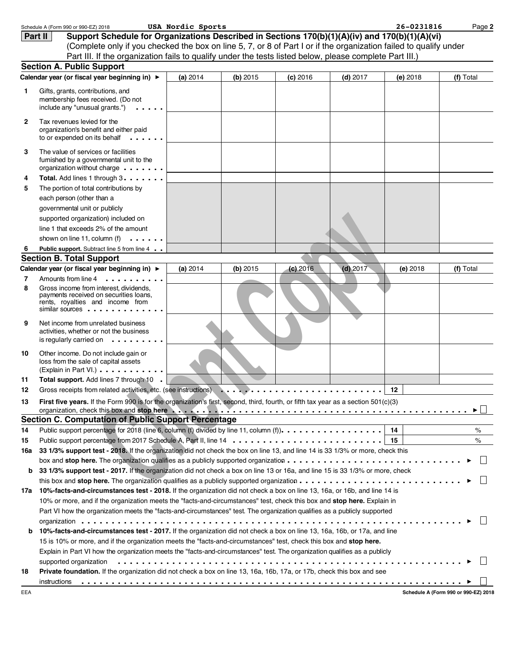|              | Schedule A (Form 990 or 990-EZ) 2018                                                                                                                                                                                           | <b>USA Nordic Sports</b> |          |            |            | 26-0231816 | Page 2                               |
|--------------|--------------------------------------------------------------------------------------------------------------------------------------------------------------------------------------------------------------------------------|--------------------------|----------|------------|------------|------------|--------------------------------------|
|              | Support Schedule for Organizations Described in Sections 170(b)(1)(A)(iv) and 170(b)(1)(A)(vi)<br>Part II                                                                                                                      |                          |          |            |            |            |                                      |
|              | (Complete only if you checked the box on line 5, 7, or 8 of Part I or if the organization failed to qualify under                                                                                                              |                          |          |            |            |            |                                      |
|              | Part III. If the organization fails to qualify under the tests listed below, please complete Part III.)                                                                                                                        |                          |          |            |            |            |                                      |
|              | <b>Section A. Public Support</b>                                                                                                                                                                                               |                          |          |            |            |            |                                      |
|              | Calendar year (or fiscal year beginning in) ►                                                                                                                                                                                  | (a) 2014                 | (b) 2015 | $(c)$ 2016 | $(d)$ 2017 | $(e)$ 2018 | (f) Total                            |
| 1            | Gifts, grants, contributions, and                                                                                                                                                                                              |                          |          |            |            |            |                                      |
|              | membership fees received. (Do not                                                                                                                                                                                              |                          |          |            |            |            |                                      |
|              | include any "unusual grants.")                                                                                                                                                                                                 |                          |          |            |            |            |                                      |
| $\mathbf{2}$ | Tax revenues levied for the                                                                                                                                                                                                    |                          |          |            |            |            |                                      |
|              | organization's benefit and either paid                                                                                                                                                                                         |                          |          |            |            |            |                                      |
|              | to or expended on its behalf                                                                                                                                                                                                   |                          |          |            |            |            |                                      |
| 3            | The value of services or facilities                                                                                                                                                                                            |                          |          |            |            |            |                                      |
|              | furnished by a governmental unit to the                                                                                                                                                                                        |                          |          |            |            |            |                                      |
|              | organization without charge                                                                                                                                                                                                    |                          |          |            |            |            |                                      |
| 4            | Total. Add lines 1 through 3.                                                                                                                                                                                                  |                          |          |            |            |            |                                      |
| 5            | The portion of total contributions by                                                                                                                                                                                          |                          |          |            |            |            |                                      |
|              | each person (other than a                                                                                                                                                                                                      |                          |          |            |            |            |                                      |
|              | governmental unit or publicly                                                                                                                                                                                                  |                          |          |            |            |            |                                      |
|              | supported organization) included on                                                                                                                                                                                            |                          |          |            |            |            |                                      |
|              | line 1 that exceeds 2% of the amount                                                                                                                                                                                           |                          |          |            |            |            |                                      |
|              | shown on line 11, column (f) $\cdots$                                                                                                                                                                                          |                          |          |            |            |            |                                      |
| 6            | Public support. Subtract line 5 from line 4                                                                                                                                                                                    |                          |          |            |            |            |                                      |
|              | <b>Section B. Total Support</b>                                                                                                                                                                                                |                          |          |            |            |            |                                      |
|              | Calendar year (or fiscal year beginning in) ▶                                                                                                                                                                                  | (a) 2014                 | (b) 2015 | $(c)$ 2016 | $(d)$ 2017 | $(e)$ 2018 | (f) Total                            |
| 7            | Amounts from line 4                                                                                                                                                                                                            |                          |          |            |            |            |                                      |
| 8            | Gross income from interest, dividends,                                                                                                                                                                                         |                          |          |            |            |            |                                      |
|              | payments received on securities loans,<br>rents, royalties and income from                                                                                                                                                     |                          |          |            |            |            |                                      |
|              | similar sources $\dots \dots$                                                                                                                                                                                                  |                          |          |            |            |            |                                      |
| 9            | Net income from unrelated business                                                                                                                                                                                             |                          |          |            |            |            |                                      |
|              | activities, whether or not the business                                                                                                                                                                                        |                          |          |            |            |            |                                      |
|              | is regularly carried on $\dots \dots$                                                                                                                                                                                          |                          |          |            |            |            |                                      |
| 10           | Other income. Do not include gain or                                                                                                                                                                                           |                          |          |            |            |            |                                      |
|              | loss from the sale of capital assets                                                                                                                                                                                           |                          |          |            |            |            |                                      |
|              | (Explain in Part VI.)                                                                                                                                                                                                          |                          |          |            |            |            |                                      |
| 11           | Total support. Add lines 7 through 10 .                                                                                                                                                                                        |                          |          |            |            |            |                                      |
| 12           | Gross receipts from related activities, etc. (see instructions)                                                                                                                                                                |                          |          |            |            | $12 \,$    |                                      |
| 13           | First five years. If the Form 990 is for the organization's first, second, third, fourth, or fifth tax year as a section 501(c)(3)                                                                                             |                          |          |            |            |            |                                      |
|              |                                                                                                                                                                                                                                |                          |          |            |            |            |                                      |
|              | <b>Section C. Computation of Public Support Percentage</b>                                                                                                                                                                     |                          |          |            |            |            |                                      |
| 14           | Public support percentage for 2018 (line 6, column (f) divided by line 11, column (f)). $\ldots \ldots \ldots \ldots \ldots$                                                                                                   |                          |          |            |            |            | %                                    |
| 15           |                                                                                                                                                                                                                                |                          |          |            |            |            | $\%$                                 |
| 16a          | 33 1/3% support test - 2018. If the organization did not check the box on line 13, and line 14 is 33 1/3% or more, check this                                                                                                  |                          |          |            |            |            |                                      |
|              |                                                                                                                                                                                                                                |                          |          |            |            |            |                                      |
| b            | 33 1/3% support test - 2017. If the organization did not check a box on line 13 or 16a, and line 15 is 33 1/3% or more, check                                                                                                  |                          |          |            |            |            |                                      |
|              | this box and stop here. The organization qualifies as a publicly supported organization $\ldots \ldots \ldots \ldots \ldots \ldots \ldots \ldots \ldots$                                                                       |                          |          |            |            |            |                                      |
|              | 17a 10%-facts-and-circumstances test - 2018. If the organization did not check a box on line 13, 16a, or 16b, and line 14 is                                                                                                   |                          |          |            |            |            |                                      |
|              | 10% or more, and if the organization meets the "facts-and-circumstances" test, check this box and stop here. Explain in                                                                                                        |                          |          |            |            |            |                                      |
|              | Part VI how the organization meets the "facts-and-circumstances" test. The organization qualifies as a publicly supported                                                                                                      |                          |          |            |            |            |                                      |
|              |                                                                                                                                                                                                                                |                          |          |            |            |            |                                      |
| b            | 10%-facts-and-circumstances test - 2017. If the organization did not check a box on line 13, 16a, 16b, or 17a, and line                                                                                                        |                          |          |            |            |            |                                      |
|              | 15 is 10% or more, and if the organization meets the "facts-and-circumstances" test, check this box and stop here.                                                                                                             |                          |          |            |            |            |                                      |
|              | Explain in Part VI how the organization meets the "facts-and-circumstances" test. The organization qualifies as a publicly                                                                                                     |                          |          |            |            |            |                                      |
|              | supported organization (all cases of contact of the set of contact of the set of contact or set of the set of the set of the set of the set of the set of the set of the set of the set of the set of the set of the set of th |                          |          |            |            |            |                                      |
| 18           | Private foundation. If the organization did not check a box on line 13, 16a, 16b, 17a, or 17b, check this box and see                                                                                                          |                          |          |            |            |            |                                      |
|              | instructions                                                                                                                                                                                                                   |                          |          |            |            |            |                                      |
| EEA          |                                                                                                                                                                                                                                |                          |          |            |            |            | Schedule A (Form 990 or 990-EZ) 2018 |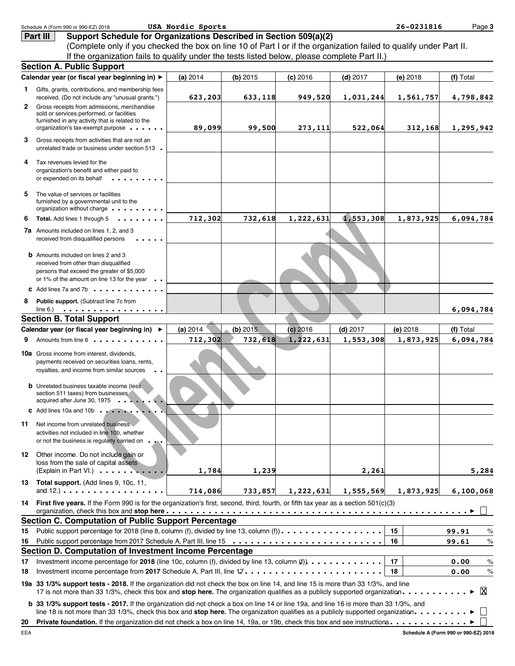|                  | Schedule A (Form 990 or 990-EZ) 2018                                                                                                                                                                                                                                                           | <b>USA Nordic Sports</b> |            |            |            | 26-0231816 | Page 3       |
|------------------|------------------------------------------------------------------------------------------------------------------------------------------------------------------------------------------------------------------------------------------------------------------------------------------------|--------------------------|------------|------------|------------|------------|--------------|
|                  | Support Schedule for Organizations Described in Section 509(a)(2)<br>Part III                                                                                                                                                                                                                  |                          |            |            |            |            |              |
|                  | (Complete only if you checked the box on line 10 of Part I or if the organization failed to qualify under Part II.                                                                                                                                                                             |                          |            |            |            |            |              |
|                  | If the organization fails to qualify under the tests listed below, please complete Part II.)                                                                                                                                                                                                   |                          |            |            |            |            |              |
|                  | <b>Section A. Public Support</b>                                                                                                                                                                                                                                                               |                          |            |            |            |            |              |
|                  | Calendar year (or fiscal year beginning in) ▶                                                                                                                                                                                                                                                  | (a) 2014                 | $(b)$ 2015 | $(c)$ 2016 | $(d)$ 2017 | $(e)$ 2018 | (f) Total    |
| 1.               | Gifts, grants, contributions, and membership fees<br>received. (Do not include any "unusual grants.")                                                                                                                                                                                          | 623,203                  | 633,118    | 949,520    | 1,031,244  | 1,561,757  | 4,798,842    |
| 2                | Gross receipts from admissions, merchandise<br>sold or services performed, or facilities                                                                                                                                                                                                       |                          |            |            |            |            |              |
|                  | furnished in any activity that is related to the<br>organization's tax-exempt purpose .                                                                                                                                                                                                        | 89,099                   | 99,500     | 273,111    | 522,064    | 312,168    | 1,295,942    |
| З.               | Gross receipts from activities that are not an<br>unrelated trade or business under section 513 .                                                                                                                                                                                              |                          |            |            |            |            |              |
| 4                | Tax revenues levied for the<br>organization's benefit and either paid to<br>or expended on its behalf                                                                                                                                                                                          |                          |            |            |            |            |              |
| 5                | The value of services or facilities<br>furnished by a governmental unit to the<br>organization without charge                                                                                                                                                                                  |                          |            |            |            |            |              |
| 6                | Total. Add lines 1 through 5<br>.                                                                                                                                                                                                                                                              | 712,302                  | 732,618    | 1,222,631  | 1,553,308  | 1,873,925  | 6,094,784    |
|                  | <b>7a</b> Amounts included on lines 1, 2, and 3<br>received from disqualified persons                                                                                                                                                                                                          |                          |            |            |            |            |              |
|                  | <b>b</b> Amounts included on lines 2 and 3                                                                                                                                                                                                                                                     |                          |            |            |            |            |              |
|                  | received from other than disqualified                                                                                                                                                                                                                                                          |                          |            |            |            |            |              |
|                  | persons that exceed the greater of \$5,000<br>or 1% of the amount on line 13 for the year                                                                                                                                                                                                      |                          |            |            |            |            |              |
|                  | <b>C</b> Add lines 7a and 7b $\cdot \cdot \cdot \cdot \cdot \cdot$                                                                                                                                                                                                                             |                          |            |            |            |            |              |
| 8                | Public support. (Subtract line 7c from                                                                                                                                                                                                                                                         |                          |            |            |            |            |              |
|                  | line $6.$ )<br>. <b>.</b> .                                                                                                                                                                                                                                                                    |                          |            |            |            |            | 6,094,784    |
|                  | <b>Section B. Total Support</b>                                                                                                                                                                                                                                                                |                          |            |            |            |            |              |
|                  | Calendar year (or fiscal year beginning in) ▶                                                                                                                                                                                                                                                  | (a) 2014                 | (b) 2015   | $(c)$ 2016 | $(d)$ 2017 | (e) 2018   | (f) Total    |
| 9                | Amounts from line 6                                                                                                                                                                                                                                                                            | 712,302                  | 732,618    | 1,222,631  | 1,553,308  | 1,873,925  | 6,094,784    |
|                  | <b>10a</b> Gross income from interest, dividends,<br>payments received on securities loans, rents,<br>royalties, and income from similar sources                                                                                                                                               |                          |            |            |            |            |              |
|                  | <b>b</b> Unrelated business taxable income (less<br>section 511 taxes) from businesses<br>acquired after June 30, 1975                                                                                                                                                                         |                          |            |            |            |            |              |
|                  | <b>C</b> Add lines 10a and 10b $\cdots$ $\cdots$ $\cdots$ $\cdots$                                                                                                                                                                                                                             |                          |            |            |            |            |              |
| 11               | Net income from unrelated business<br>activities not included in line 10b, whether<br>or not the business is regularly carried on                                                                                                                                                              |                          |            |            |            |            |              |
| 12 <sup>12</sup> | Other income. Do not include gain or<br>loss from the sale of capital assets<br>(Explain in Part VI.)                                                                                                                                                                                          | 1,784                    | 1,239      |            | 2,261      |            | 5,284        |
|                  | 13 Total support. (Add lines 9, 10c, 11,<br>and 12.) $\ldots$ $\ldots$ $\ldots$ $\ldots$ $\ldots$ $\ldots$ $\ldots$                                                                                                                                                                            | 714,086                  | 733,857    | 1,222,631  | 1,555,569  | 1,873,925  | 6,100,068    |
|                  | 14 First five years. If the Form 990 is for the organization's first, second, third, fourth, or fifth tax year as a section 501(c)(3)                                                                                                                                                          |                          |            |            |            |            |              |
|                  | <b>Section C. Computation of Public Support Percentage</b>                                                                                                                                                                                                                                     |                          |            |            |            |            |              |
| 15               | Public support percentage for 2018 (line 8, column (f), divided by line 13, column (f)).                                                                                                                                                                                                       |                          |            |            |            | 15         | 99.91<br>%   |
| 16               | Public support percentage from 2017 Schedule A, Part III, line 15                                                                                                                                                                                                                              |                          |            |            |            | 16         | 99.61<br>%   |
|                  | Section D. Computation of Investment Income Percentage                                                                                                                                                                                                                                         |                          |            |            |            |            |              |
| 17               | Investment income percentage for 2018 (line 10c, column (f), divided by line 13, column (f)) $\dots \dots \dots \dots$                                                                                                                                                                         |                          |            |            |            | 17         | 0.00<br>%    |
| 18               | Investment income percentage from 2017 Schedule A, Part III, line 17.                                                                                                                                                                                                                          |                          |            |            |            | 18         | $\%$<br>0.00 |
|                  | 19a 33 1/3% support tests - 2018. If the organization did not check the box on line 14, and line 15 is more than 33 1/3%, and line<br>17 is not more than 33 1/3%, check this box and stop here. The organization qualifies as a publicly supported organization.                              |                          |            |            |            |            | X            |
|                  | <b>b</b> 33 1/3% support tests - 2017. If the organization did not check a box on line 14 or line 19a, and line 16 is more than 33 1/3%, and<br>line 18 is not more than 33 1/3%, check this box and stop here. The organization qualifies as a publicly supported organization. $\dots \dots$ |                          |            |            |            |            |              |
| 20               |                                                                                                                                                                                                                                                                                                |                          |            |            |            |            |              |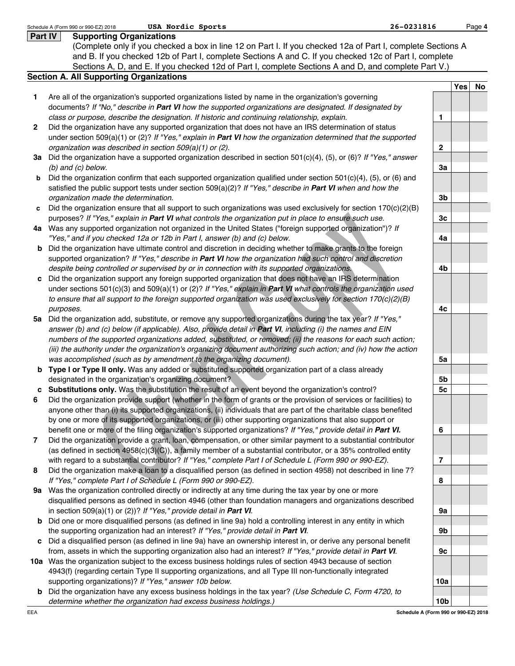| Part IV | <b>Supporting Organizations</b>                                                                                          |                 |            |    |
|---------|--------------------------------------------------------------------------------------------------------------------------|-----------------|------------|----|
|         | (Complete only if you checked a box in line 12 on Part I. If you checked 12a of Part I, complete Sections A              |                 |            |    |
|         | and B. If you checked 12b of Part I, complete Sections A and C. If you checked 12c of Part I, complete                   |                 |            |    |
|         | Sections A, D, and E. If you checked 12d of Part I, complete Sections A and D, and complete Part V.)                     |                 |            |    |
|         | <b>Section A. All Supporting Organizations</b>                                                                           |                 |            |    |
|         |                                                                                                                          |                 | <b>Yes</b> | No |
| 1       | Are all of the organization's supported organizations listed by name in the organization's governing                     |                 |            |    |
|         | documents? If "No," describe in Part VI how the supported organizations are designated. If designated by                 |                 |            |    |
|         | class or purpose, describe the designation. If historic and continuing relationship, explain.                            | 1               |            |    |
| 2       | Did the organization have any supported organization that does not have an IRS determination of status                   |                 |            |    |
|         | under section 509(a)(1) or (2)? If "Yes," explain in <b>Part VI</b> how the organization determined that the supported   |                 |            |    |
|         | organization was described in section 509(a)(1) or (2).                                                                  | 2               |            |    |
| За      | Did the organization have a supported organization described in section $501(c)(4)$ , (5), or (6)? If "Yes," answer      |                 |            |    |
|         | $(b)$ and $(c)$ below.                                                                                                   | 3a              |            |    |
| b       | Did the organization confirm that each supported organization qualified under section $501(c)(4)$ , $(5)$ , or $(6)$ and |                 |            |    |
|         | satisfied the public support tests under section $509(a)(2)?$ If "Yes," describe in Part VI when and how the             |                 |            |    |
|         | organization made the determination.                                                                                     | 3 <sub>b</sub>  |            |    |
|         | Did the organization ensure that all support to such organizations was used exclusively for section $170(c)(2)(B)$       |                 |            |    |
| c       |                                                                                                                          |                 |            |    |
|         | purposes? If "Yes," explain in Part VI what controls the organization put in place to ensure such use.                   | 3 <sub>c</sub>  |            |    |
|         | 4a Was any supported organization not organized in the United States ("foreign supported organization")? If              |                 |            |    |
|         | "Yes," and if you checked 12a or 12b in Part I, answer (b) and (c) below.                                                | 4a              |            |    |
| b       | Did the organization have ultimate control and discretion in deciding whether to make grants to the foreign              |                 |            |    |
|         | supported organization? If "Yes," describe in Part VI how the organization had such control and discretion               |                 |            |    |
|         | despite being controlled or supervised by or in connection with its supported organizations.                             | 4b              |            |    |
| c       | Did the organization support any foreign supported organization that does not have an IRS determination                  |                 |            |    |
|         | under sections 501(c)(3) and 509(a)(1) or (2)? If "Yes," explain in Part VI what controls the organization used          |                 |            |    |
|         | to ensure that all support to the foreign supported organization was used exclusively for section 170(c)(2)(B)           |                 |            |    |
|         | purposes.                                                                                                                | 4c              |            |    |
| 5а      | Did the organization add, substitute, or remove any supported organizations during the tax year? If "Yes,"               |                 |            |    |
|         | answer (b) and (c) below (if applicable). Also, provide detail in Part VI, including (i) the names and EIN               |                 |            |    |
|         | numbers of the supported organizations added, substituted, or removed; (ii) the reasons for each such action;            |                 |            |    |
|         | (iii) the authority under the organization's organizing document authorizing such action; and (iv) how the action        |                 |            |    |
|         | was accomplished (such as by amendment to the organizing document).                                                      | 5a              |            |    |
| b       | Type I or Type II only. Was any added or substituted supported organization part of a class already                      |                 |            |    |
|         | designated in the organization's organizing document?                                                                    | 5b              |            |    |
| c       | Substitutions only. Was the substitution the result of an event beyond the organization's control?                       | 5 <sub>c</sub>  |            |    |
| 6       | Did the organization provide support (whether in the form of grants or the provision of services or facilities) to       |                 |            |    |
|         | anyone other than (i) its supported organizations, (ii) individuals that are part of the charitable class benefited      |                 |            |    |
|         | by one or more of its supported organizations, or (iii) other supporting organizations that also support or              |                 |            |    |
|         | benefit one or more of the filing organization's supported organizations? If "Yes," provide detail in Part VI.           | 6               |            |    |
| 7       | Did the organization provide a grant, loan, compensation, or other similar payment to a substantial contributor          |                 |            |    |
|         | (as defined in section 4958(c)(3)(C)), a family member of a substantial contributor, or a 35% controlled entity          |                 |            |    |
|         | with regard to a substantial contributor? If "Yes," complete Part I of Schedule L (Form 990 or 990-EZ).                  | 7               |            |    |
| 8       | Did the organization make a loan to a disqualified person (as defined in section 4958) not described in line 7?          |                 |            |    |
|         | If "Yes," complete Part I of Schedule L (Form 990 or 990-EZ).                                                            | 8               |            |    |
|         | Was the organization controlled directly or indirectly at any time during the tax year by one or more                    |                 |            |    |
| 9а      |                                                                                                                          |                 |            |    |
|         | disqualified persons as defined in section 4946 (other than foundation managers and organizations described              |                 |            |    |
|         | in section 509(a)(1) or (2))? If "Yes," provide detail in Part VI.                                                       | 9a              |            |    |
| b       | Did one or more disqualified persons (as defined in line 9a) hold a controlling interest in any entity in which          |                 |            |    |
|         | the supporting organization had an interest? If "Yes," provide detail in Part VI.                                        | 9b              |            |    |
| c       | Did a disqualified person (as defined in line 9a) have an ownership interest in, or derive any personal benefit          |                 |            |    |
|         | from, assets in which the supporting organization also had an interest? If "Yes," provide detail in Part VI.             | 9c              |            |    |
|         | 10a Was the organization subject to the excess business holdings rules of section 4943 because of section                |                 |            |    |
|         | 4943(f) (regarding certain Type II supporting organizations, and all Type III non-functionally integrated                |                 |            |    |
|         | supporting organizations)? If "Yes," answer 10b below.                                                                   | 10a             |            |    |
| b       | Did the organization have any excess business holdings in the tax year? (Use Schedule C, Form 4720, to                   |                 |            |    |
|         | determine whether the organization had excess business holdings.)                                                        | 10 <sub>b</sub> |            |    |
| EEA     | Schedule A (Form 990 or 990-EZ) 2018                                                                                     |                 |            |    |
|         |                                                                                                                          |                 |            |    |

Schedule A (Form 990 or 990-EZ) 2018 **USA Nordic Sports 26-0231816**

26-0231816 Page 4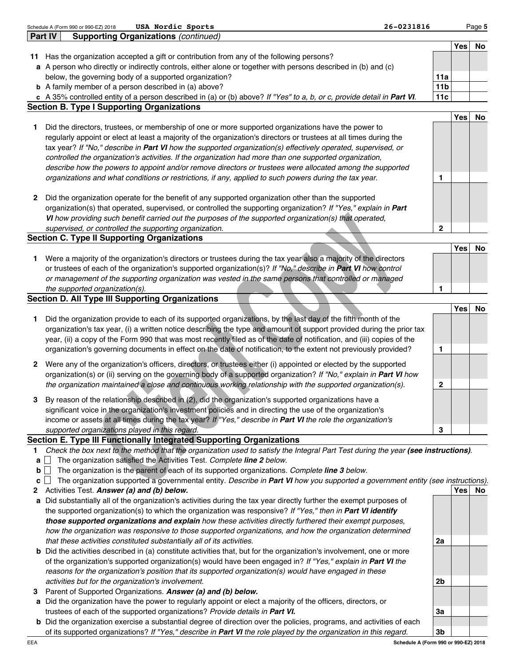|              | <b>Supporting Organizations (continued)</b><br><b>Part IV</b>                                                                              |                 |            |           |
|--------------|--------------------------------------------------------------------------------------------------------------------------------------------|-----------------|------------|-----------|
|              |                                                                                                                                            |                 | Yes        | No        |
| 11           | Has the organization accepted a gift or contribution from any of the following persons?                                                    |                 |            |           |
|              | a A person who directly or indirectly controls, either alone or together with persons described in (b) and (c)                             |                 |            |           |
|              | below, the governing body of a supported organization?                                                                                     | 11a             |            |           |
|              | <b>b</b> A family member of a person described in (a) above?                                                                               | 11 <sub>b</sub> |            |           |
|              | c A 35% controlled entity of a person described in (a) or (b) above? If "Yes" to a, b, or c, provide detail in Part VI.                    | 11c             |            |           |
|              | <b>Section B. Type I Supporting Organizations</b>                                                                                          |                 |            |           |
|              |                                                                                                                                            |                 | Yes        | No        |
| 1            | Did the directors, trustees, or membership of one or more supported organizations have the power to                                        |                 |            |           |
|              | regularly appoint or elect at least a majority of the organization's directors or trustees at all times during the                         |                 |            |           |
|              | tax year? If "No," describe in Part VI how the supported organization(s) effectively operated, supervised, or                              |                 |            |           |
|              | controlled the organization's activities. If the organization had more than one supported organization,                                    |                 |            |           |
|              | describe how the powers to appoint and/or remove directors or trustees were allocated among the supported                                  |                 |            |           |
|              | organizations and what conditions or restrictions, if any, applied to such powers during the tax year.                                     | 1               |            |           |
|              |                                                                                                                                            |                 |            |           |
| $\mathbf{2}$ | Did the organization operate for the benefit of any supported organization other than the supported                                        |                 |            |           |
|              | organization(s) that operated, supervised, or controlled the supporting organization? If "Yes," explain in Part                            |                 |            |           |
|              | VI how providing such benefit carried out the purposes of the supported organization(s) that operated,                                     |                 |            |           |
|              | supervised, or controlled the supporting organization.                                                                                     | $\mathbf{2}$    |            |           |
|              | <b>Section C. Type II Supporting Organizations</b>                                                                                         |                 |            |           |
|              |                                                                                                                                            |                 | <b>Yes</b> | No        |
| 1            | Were a majority of the organization's directors or trustees during the tax year also a majority of the directors                           |                 |            |           |
|              | or trustees of each of the organization's supported organization(s)? If "No," describe in Part VI how control                              |                 |            |           |
|              | or management of the supporting organization was vested in the same persons that controlled or managed                                     |                 |            |           |
|              | the supported organization(s).<br><b>Section D. All Type III Supporting Organizations</b>                                                  | 1               |            |           |
|              |                                                                                                                                            |                 | <b>Yes</b> | No        |
| 1            | Did the organization provide to each of its supported organizations, by the last day of the fifth month of the                             |                 |            |           |
|              | organization's tax year, (i) a written notice describing the type and amount of support provided during the prior tax                      |                 |            |           |
|              | year, (ii) a copy of the Form 990 that was most recently filed as of the date of notification, and (iii) copies of the                     |                 |            |           |
|              | organization's governing documents in effect on the date of notification, to the extent not previously provided?                           | 1               |            |           |
|              |                                                                                                                                            |                 |            |           |
| $\mathbf{2}$ | Were any of the organization's officers, directors, or trustees either (i) appointed or elected by the supported                           |                 |            |           |
|              | organization(s) or (ii) serving on the governing body of a supported organization? If "No," explain in Part VI how                         |                 |            |           |
|              | the organization maintained a close and continuous working relationship with the supported organization(s).                                | 2               |            |           |
| 3            | By reason of the relationship described in (2), did the organization's supported organizations have a                                      |                 |            |           |
|              | significant voice in the organization's investment policies and in directing the use of the organization's                                 |                 |            |           |
|              | income or assets at all times during the tax year? If "Yes," describe in Part VI the role the organization's                               |                 |            |           |
|              | supported organizations played in this regard.                                                                                             | 3               |            |           |
|              | Section E. Type III Functionally Integrated Supporting Organizations                                                                       |                 |            |           |
| 1.           | Check the box next to the method that the organization used to satisfy the Integral Part Test during the year (see instructions).          |                 |            |           |
| a            | The organization satisfied the Activities Test. Complete line 2 below.                                                                     |                 |            |           |
|              | The organization is the parent of each of its supported organizations. Complete line 3 below.<br>$b \mid$                                  |                 |            |           |
| c            | The organization supported a governmental entity. Describe in Part VI how you supported a government entity (see instructions).<br>$\perp$ |                 |            |           |
| 2            | Activities Test. Answer (a) and (b) below.                                                                                                 |                 | Yes        | <b>No</b> |
| a            | Did substantially all of the organization's activities during the tax year directly further the exempt purposes of                         |                 |            |           |
|              | the supported organization(s) to which the organization was responsive? If "Yes," then in Part VI identify                                 |                 |            |           |
|              | those supported organizations and explain how these activities directly furthered their exempt purposes,                                   |                 |            |           |
|              | how the organization was responsive to those supported organizations, and how the organization determined                                  |                 |            |           |
|              | that these activities constituted substantially all of its activities.                                                                     | 2a              |            |           |
|              | <b>b</b> Did the activities described in (a) constitute activities that, but for the organization's involvement, one or more               |                 |            |           |
|              | of the organization's supported organization(s) would have been engaged in? If "Yes," explain in Part VI the                               |                 |            |           |
|              | reasons for the organization's position that its supported organization(s) would have engaged in these                                     |                 |            |           |
|              | activities but for the organization's involvement.                                                                                         | 2 <sub>b</sub>  |            |           |
| 3            | Parent of Supported Organizations. Answer (a) and (b) below.                                                                               |                 |            |           |
| а            | Did the organization have the power to regularly appoint or elect a majority of the officers, directors, or                                |                 |            |           |
|              | trustees of each of the supported organizations? Provide details in Part VI.                                                               | За              |            |           |
|              | <b>b</b> Did the organization exercise a substantial degree of direction over the policies, programs, and activities of each               |                 |            |           |
|              | of its supported organizations? If "Yes," describe in Part VI the role played by the organization in this regard.                          | 3 <sub>b</sub>  |            |           |
| EEA          | Schedule A (Form 990 or 990-EZ) 2018                                                                                                       |                 |            |           |

Schedule A (Form 990 or 990-EZ) 2018 **USA Nordic Sports 26-0231816**

Page **5**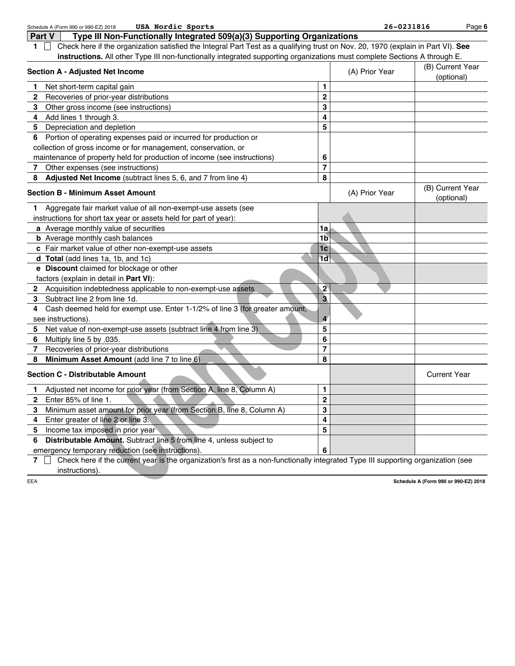|     | USA Nordic Sports<br>Schedule A (Form 990 or 990-EZ) 2018                                                                                   |                         | 26-0231816     |                                      | Page 6 |
|-----|---------------------------------------------------------------------------------------------------------------------------------------------|-------------------------|----------------|--------------------------------------|--------|
|     | Type III Non-Functionally Integrated 509(a)(3) Supporting Organizations<br><b>Part V</b>                                                    |                         |                |                                      |        |
| 1.  | Check here if the organization satisfied the Integral Part Test as a qualifying trust on Nov. 20, 1970 (explain in Part VI). See<br>$\perp$ |                         |                |                                      |        |
|     | instructions. All other Type III non-functionally integrated supporting organizations must complete Sections A through E.                   |                         |                |                                      |        |
|     | <b>Section A - Adjusted Net Income</b>                                                                                                      |                         | (A) Prior Year | (B) Current Year<br>(optional)       |        |
| 1   | Net short-term capital gain                                                                                                                 | 1                       |                |                                      |        |
| 2   | Recoveries of prior-year distributions                                                                                                      | $\mathbf 2$             |                |                                      |        |
| 3   | Other gross income (see instructions)                                                                                                       | 3                       |                |                                      |        |
| 4   | Add lines 1 through 3.                                                                                                                      | 4                       |                |                                      |        |
| 5   | Depreciation and depletion                                                                                                                  | 5                       |                |                                      |        |
| 6   | Portion of operating expenses paid or incurred for production or                                                                            |                         |                |                                      |        |
|     | collection of gross income or for management, conservation, or                                                                              |                         |                |                                      |        |
|     | maintenance of property held for production of income (see instructions)                                                                    | 6                       |                |                                      |        |
| 7   | Other expenses (see instructions)                                                                                                           | $\overline{7}$          |                |                                      |        |
| 8   | Adjusted Net Income (subtract lines 5, 6, and 7 from line 4)                                                                                | 8                       |                |                                      |        |
|     | <b>Section B - Minimum Asset Amount</b>                                                                                                     |                         | (A) Prior Year | (B) Current Year<br>(optional)       |        |
| 1   | Aggregate fair market value of all non-exempt-use assets (see                                                                               |                         |                |                                      |        |
|     | instructions for short tax year or assets held for part of year):                                                                           |                         |                |                                      |        |
|     | a Average monthly value of securities                                                                                                       | 1a                      |                |                                      |        |
|     | <b>b</b> Average monthly cash balances                                                                                                      | 1 <sub>b</sub>          |                |                                      |        |
|     | c Fair market value of other non-exempt-use assets                                                                                          | 1 <sub>c</sub>          |                |                                      |        |
|     | d Total (add lines 1a, 1b, and 1c)                                                                                                          | 1 <sub>d</sub>          |                |                                      |        |
|     | e Discount claimed for blockage or other                                                                                                    |                         |                |                                      |        |
|     | factors (explain in detail in Part VI):                                                                                                     |                         |                |                                      |        |
|     | 2 Acquisition indebtedness applicable to non-exempt-use assets                                                                              | $\overline{2}$          |                |                                      |        |
| 3   | Subtract line 2 from line 1d.                                                                                                               | $\overline{\mathbf{3}}$ |                |                                      |        |
| 4   | Cash deemed held for exempt use. Enter 1-1/2% of line 3 (for greater amount,                                                                |                         |                |                                      |        |
|     | see instructions).                                                                                                                          | 4                       |                |                                      |        |
| 5   | Net value of non-exempt-use assets (subtract line 4 from line 3)                                                                            | 5                       |                |                                      |        |
| 6   | Multiply line 5 by .035.                                                                                                                    | 6                       |                |                                      |        |
| 7   | Recoveries of prior-year distributions                                                                                                      | $\overline{7}$          |                |                                      |        |
| 8   | Minimum Asset Amount (add line 7 to line 6)                                                                                                 | 8                       |                |                                      |        |
|     | <b>Section C - Distributable Amount</b>                                                                                                     |                         |                |                                      |        |
|     |                                                                                                                                             |                         |                | <b>Current Year</b>                  |        |
| 1   | Adjusted net income for prior year (from Section A, line 8, Column A)                                                                       | 1                       |                |                                      |        |
| 2   | Enter 85% of line 1.                                                                                                                        | 2                       |                |                                      |        |
| 3   | Minimum asset amount for prior year (from Section B, line 8, Column A)                                                                      | 3                       |                |                                      |        |
| 4   | Enter greater of line 2 or line 3.                                                                                                          | 4                       |                |                                      |        |
| 5   | Income tax imposed in prior year                                                                                                            | 5                       |                |                                      |        |
| 6   | Distributable Amount. Subtract line 5 from line 4, unless subject to                                                                        |                         |                |                                      |        |
|     | emergency temporary reduction (see instructions).                                                                                           | 6                       |                |                                      |        |
| 7   | Check here if the current year is the organization's first as a non-functionally integrated Type III supporting organization (see           |                         |                |                                      |        |
|     | instructions).                                                                                                                              |                         |                |                                      |        |
| EEA |                                                                                                                                             |                         |                | Schedule A (Form 990 or 990-EZ) 2018 |        |
|     |                                                                                                                                             |                         |                |                                      |        |
|     |                                                                                                                                             |                         |                |                                      |        |
|     |                                                                                                                                             |                         |                |                                      |        |
|     |                                                                                                                                             |                         |                |                                      |        |
|     |                                                                                                                                             |                         |                |                                      |        |
|     |                                                                                                                                             |                         |                |                                      |        |
|     |                                                                                                                                             |                         |                |                                      |        |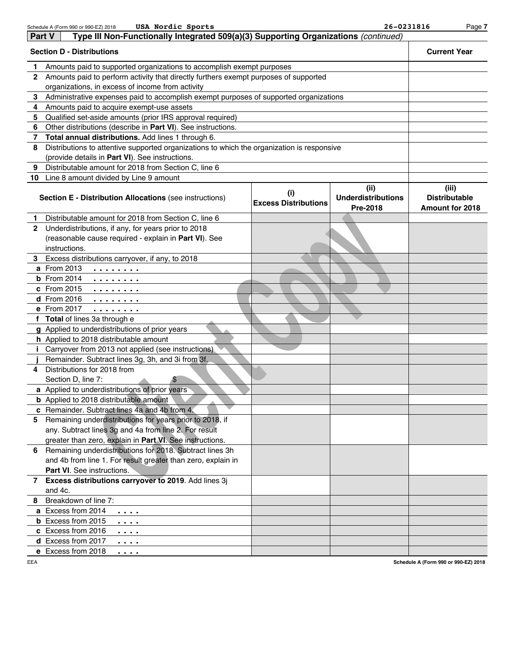| Part V         | USA Nordic Sports<br>Schedule A (Form 990 or 990-EZ) 2018<br>Type III Non-Functionally Integrated 509(a)(3) Supporting Organizations (continued) |                                    | 26-0231816                                     | Page 7                                           |
|----------------|--------------------------------------------------------------------------------------------------------------------------------------------------|------------------------------------|------------------------------------------------|--------------------------------------------------|
|                | <b>Section D - Distributions</b>                                                                                                                 |                                    |                                                | <b>Current Year</b>                              |
| 1.             | Amounts paid to supported organizations to accomplish exempt purposes                                                                            |                                    |                                                |                                                  |
| $\mathbf{2}$   | Amounts paid to perform activity that directly furthers exempt purposes of supported                                                             |                                    |                                                |                                                  |
|                | organizations, in excess of income from activity                                                                                                 |                                    |                                                |                                                  |
| 3              | Administrative expenses paid to accomplish exempt purposes of supported organizations                                                            |                                    |                                                |                                                  |
| 4              | Amounts paid to acquire exempt-use assets                                                                                                        |                                    |                                                |                                                  |
| 5              | Qualified set-aside amounts (prior IRS approval required)                                                                                        |                                    |                                                |                                                  |
| 6              | Other distributions (describe in Part VI). See instructions.                                                                                     |                                    |                                                |                                                  |
| 7              | Total annual distributions. Add lines 1 through 6.                                                                                               |                                    |                                                |                                                  |
| 8              | Distributions to attentive supported organizations to which the organization is responsive                                                       |                                    |                                                |                                                  |
|                | (provide details in Part VI). See instructions.                                                                                                  |                                    |                                                |                                                  |
| 9              | Distributable amount for 2018 from Section C, line 6                                                                                             |                                    |                                                |                                                  |
| 10             | Line 8 amount divided by Line 9 amount                                                                                                           |                                    |                                                |                                                  |
|                | Section E - Distribution Allocations (see instructions)                                                                                          | (i)<br><b>Excess Distributions</b> | (iii)<br><b>Underdistributions</b><br>Pre-2018 | (iii)<br><b>Distributable</b><br>Amount for 2018 |
| 1.             | Distributable amount for 2018 from Section C, line 6                                                                                             |                                    |                                                |                                                  |
| $\mathbf{2}^-$ | Underdistributions, if any, for years prior to 2018                                                                                              |                                    |                                                |                                                  |
|                | (reasonable cause required - explain in Part VI). See                                                                                            |                                    |                                                |                                                  |
|                | instructions.                                                                                                                                    |                                    |                                                |                                                  |
| 3              | Excess distributions carryover, if any, to 2018                                                                                                  |                                    |                                                |                                                  |
|                | a From 2013<br>.                                                                                                                                 |                                    |                                                |                                                  |
|                | $b$ From 2014<br>.                                                                                                                               |                                    |                                                |                                                  |
|                | c From 2015<br>.                                                                                                                                 |                                    |                                                |                                                  |
|                | d From 2016<br>.                                                                                                                                 |                                    |                                                |                                                  |
|                | e From 2017<br>.                                                                                                                                 |                                    |                                                |                                                  |
|                | f Total of lines 3a through e                                                                                                                    |                                    |                                                |                                                  |
|                | g Applied to underdistributions of prior years                                                                                                   |                                    |                                                |                                                  |
|                | h Applied to 2018 distributable amount                                                                                                           |                                    |                                                |                                                  |
|                | <i>i</i> Carryover from 2013 not applied (see instructions)                                                                                      |                                    |                                                |                                                  |
|                | Remainder. Subtract lines 3g, 3h, and 3i from 3f.                                                                                                |                                    |                                                |                                                  |
| 4              | Distributions for 2018 from                                                                                                                      |                                    |                                                |                                                  |
|                | Section D, line 7:<br>\$                                                                                                                         |                                    |                                                |                                                  |
|                | a Applied to underdistributions of prior years                                                                                                   |                                    |                                                |                                                  |
|                | <b>b</b> Applied to 2018 distributable amount                                                                                                    |                                    |                                                |                                                  |
|                | c Remainder. Subtract lines 4a and 4b from 4.                                                                                                    |                                    |                                                |                                                  |
|                | 5 Remaining underdistributions for years prior to 2018, if                                                                                       |                                    |                                                |                                                  |
|                | any. Subtract lines 3g and 4a from line 2. For result                                                                                            |                                    |                                                |                                                  |
|                | greater than zero, explain in Part VI. See instructions.                                                                                         |                                    |                                                |                                                  |
|                | 6 Remaining underdistributions for 2018. Subtract lines 3h                                                                                       |                                    |                                                |                                                  |
|                | and 4b from line 1. For result greater than zero, explain in                                                                                     |                                    |                                                |                                                  |
|                | <b>Part VI.</b> See instructions.                                                                                                                |                                    |                                                |                                                  |
|                | 7 Excess distributions carryover to 2019. Add lines 3j                                                                                           |                                    |                                                |                                                  |
|                | and 4c.<br>Breakdown of line 7:                                                                                                                  |                                    |                                                |                                                  |
| 8              | a Excess from 2014                                                                                                                               |                                    |                                                |                                                  |
|                | .<br><b>b</b> Excess from 2015                                                                                                                   |                                    |                                                |                                                  |
|                | $\cdots$<br>c Excess from 2016                                                                                                                   |                                    |                                                |                                                  |
|                | $\cdots$<br>d Excess from 2017                                                                                                                   |                                    |                                                |                                                  |
|                | $\cdots$<br>e Excess from 2018<br>$\cdots$                                                                                                       |                                    |                                                |                                                  |
| EEA            |                                                                                                                                                  |                                    |                                                | Schedule A (Form 990 or 990-EZ) 2018             |
|                |                                                                                                                                                  |                                    |                                                |                                                  |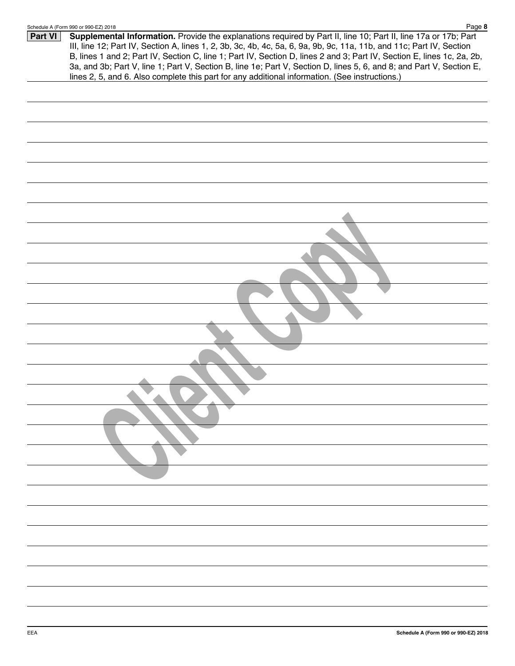| Part VI | Supplemental Information. Provide the explanations required by Part II, line 10; Part II, line 17a or 17b; Part<br>III, line 12; Part IV, Section A, lines 1, 2, 3b, 3c, 4b, 4c, 5a, 6, 9a, 9b, 9c, 11a, 11b, and 11c; Part IV, Section<br>B, lines 1 and 2; Part IV, Section C, line 1; Part IV, Section D, lines 2 and 3; Part IV, Section E, lines 1c, 2a, 2b, |
|---------|-------------------------------------------------------------------------------------------------------------------------------------------------------------------------------------------------------------------------------------------------------------------------------------------------------------------------------------------------------------------|
|         | 3a, and 3b; Part V, line 1; Part V, Section B, line 1e; Part V, Section D, lines 5, 6, and 8; and Part V, Section E,<br>lines 2, 5, and 6. Also complete this part for any additional information. (See instructions.)                                                                                                                                            |
|         |                                                                                                                                                                                                                                                                                                                                                                   |
|         |                                                                                                                                                                                                                                                                                                                                                                   |
|         |                                                                                                                                                                                                                                                                                                                                                                   |
|         |                                                                                                                                                                                                                                                                                                                                                                   |
|         |                                                                                                                                                                                                                                                                                                                                                                   |
|         |                                                                                                                                                                                                                                                                                                                                                                   |
|         |                                                                                                                                                                                                                                                                                                                                                                   |
|         |                                                                                                                                                                                                                                                                                                                                                                   |
|         |                                                                                                                                                                                                                                                                                                                                                                   |
|         |                                                                                                                                                                                                                                                                                                                                                                   |
|         |                                                                                                                                                                                                                                                                                                                                                                   |
|         |                                                                                                                                                                                                                                                                                                                                                                   |
|         |                                                                                                                                                                                                                                                                                                                                                                   |
|         |                                                                                                                                                                                                                                                                                                                                                                   |
|         |                                                                                                                                                                                                                                                                                                                                                                   |
|         |                                                                                                                                                                                                                                                                                                                                                                   |
|         |                                                                                                                                                                                                                                                                                                                                                                   |
|         |                                                                                                                                                                                                                                                                                                                                                                   |
|         |                                                                                                                                                                                                                                                                                                                                                                   |
|         |                                                                                                                                                                                                                                                                                                                                                                   |
|         |                                                                                                                                                                                                                                                                                                                                                                   |
|         |                                                                                                                                                                                                                                                                                                                                                                   |
|         |                                                                                                                                                                                                                                                                                                                                                                   |
|         |                                                                                                                                                                                                                                                                                                                                                                   |
|         |                                                                                                                                                                                                                                                                                                                                                                   |
|         |                                                                                                                                                                                                                                                                                                                                                                   |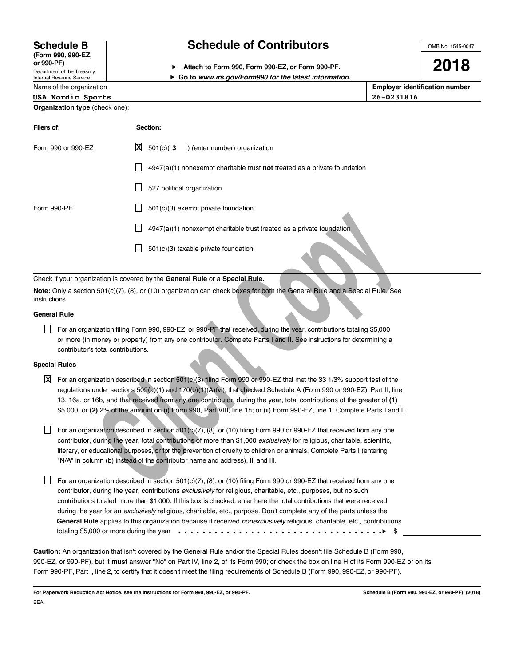## **(Form 990, 990-EZ,**

| Department of the Treasury |  |
|----------------------------|--|
| Internal Revenue Service   |  |

## **Schedule B Schedule of Contributors**

**or 990-PF) Attach to Form 990, Form 990-EZ, or Form 990-PF.**

**Go to** *www.irs.gov/Form990 for the latest information.*

OMB No. 1545-0047

**2018**

**Employer identification number**

| Name of the organization | <b>Employer ident</b> |
|--------------------------|-----------------------|
| USA Nordic Sports        | 26-0231816            |

**Organization type** (check one):

| Filers of:         | Section:                                                                    |
|--------------------|-----------------------------------------------------------------------------|
| Form 990 or 990-EZ | X<br>$501(c)$ (3<br>) (enter number) organization                           |
|                    | $4947(a)(1)$ nonexempt charitable trust not treated as a private foundation |
|                    | 527 political organization                                                  |
| Form 990-PF        | $501(c)(3)$ exempt private foundation                                       |
|                    | 4947(a)(1) nonexempt charitable trust treated as a private foundation       |
|                    | 501(c)(3) taxable private foundation                                        |

Check if your organization is covered by the **General Rule** or a **Special Rule.**

**Note:** Only a section 501(c)(7), (8), or (10) organization can check boxes for both the General Rule and a Special Rule. See instructions.

#### **General Rule**

For an organization filing Form 990, 990-EZ, or 990-PF that received, during the year, contributions totaling \$5,000 or more (in money or property) from any one contributor. Complete Parts I and II. See instructions for determining a contributor's total contributions.

#### **Special Rules**

 $\overline{X}$  For an organization described in section 501(c)(3) filing Form 990 or 990-EZ that met the 33 1/3% support test of the regulations under sections 509(a)(1) and 170(b)(1)(A)(vi), that checked Schedule A (Form 990 or 990-EZ), Part II, line 13, 16a, or 16b, and that received from any one contributor, during the year, total contributions of the greater of **(1)** \$5,000; or **(2)** 2% of the amount on (i) Form 990, Part VIII, line 1h; or (ii) Form 990-EZ, line 1. Complete Parts I and II.

For an organization described in section 501 $\langle c \rangle$ (7), (8), or (10) filing Form 990 or 990-EZ that received from any one contributor, during the year, total contributions of more than \$1,000 *exclusively* for religious, charitable, scientific, literary, or educational purposes, or for the prevention of cruelty to children or animals. Complete Parts I (entering "N/A" in column (b) instead of the contributor name and address), II, and III.

**Control of the system and the system of the system of the system of the system of the system of the system of the system of the System of the System of the System of the System of the System of the System of the System of** For an organization described in section 501(c)(7), (8), or (10) filing Form 990 or 990-EZ that received from any one contributor, during the year, contributions *exclusively* for religious, charitable, etc., purposes, but no such contributions totaled more than \$1,000. If this box is checked, enter here the total contributions that were received during the year for an *exclusively* religious, charitable, etc., purpose. Don't complete any of the parts unless the **General Rule** applies to this organization because it received *nonexclusively* religious, charitable, etc., contributions totaling \$5,000 or more during the year \$ ..................................

**Caution:** An organization that isn't covered by the General Rule and/or the Special Rules doesn't file Schedule B (Form 990, 990-EZ, or 990-PF), but it **must** answer "No" on Part IV, line 2, of its Form 990; or check the box on line H of its Form 990-EZ or on its Form 990-PF, Part I, line 2, to certify that it doesn't meet the filing requirements of Schedule B (Form 990, 990-EZ, or 990-PF).

**For Paperwork Reduction Act Notice, see the Instructions for Form 990, 990-EZ, or 990-PF. Schedule B (Form 990, 990-EZ, or 990-PF) (2018)**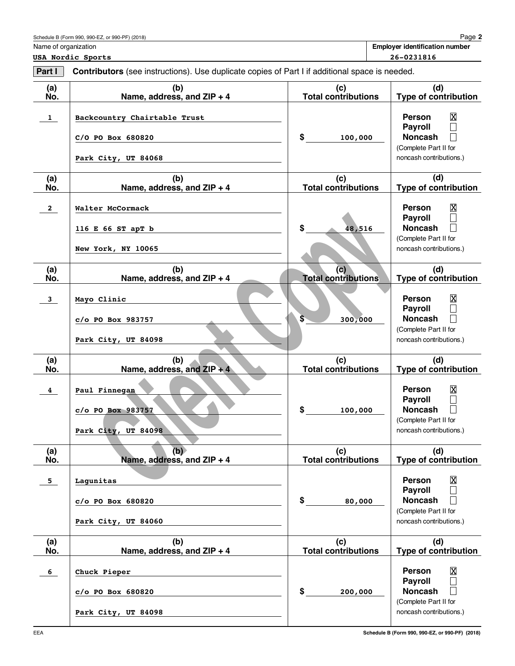| Schedule B (Form 990, 990-EZ, or 990-PF) (2018) |  |  |  |
|-------------------------------------------------|--|--|--|
|-------------------------------------------------|--|--|--|

Name of organization

**2** Page **Employer identification number**

**USA Nordic Sports 26-0231816**

| Part I                  | <b>Contributors</b> (see instructions). Use duplicate copies of Part I if additional space is needed. |                                    |                                                                                                                                |
|-------------------------|-------------------------------------------------------------------------------------------------------|------------------------------------|--------------------------------------------------------------------------------------------------------------------------------|
| (a)<br>No.              | (b)<br>Name, address, and ZIP + 4                                                                     | (c)<br><b>Total contributions</b>  | (d)<br><b>Type of contribution</b>                                                                                             |
| $\mathbf{1}$            | Backcountry Chairtable Trust<br>C/O PO Box 680820<br>Park City, UT 84068                              | \$<br>100,000                      | X<br><b>Person</b><br>$\Box$<br>Payroll<br><b>Noncash</b><br>$\Box$<br>(Complete Part II for<br>noncash contributions.)        |
| (a)                     | (b)                                                                                                   | (c)<br><b>Total contributions</b>  | (d)<br>Type of contribution                                                                                                    |
| No.<br>$\mathbf{2}$     | Name, address, and ZIP + 4<br>Walter McCormack<br>116 E 66 ST apT b<br>New York, NY 10065             | \$<br>48,516                       | X<br><b>Person</b><br>$\Box$<br><b>Payroll</b><br><b>Noncash</b><br>$\Box$<br>(Complete Part II for<br>noncash contributions.) |
| (a)<br>No.              | (b)<br>Name, address, and ZIP + 4                                                                     | (c)<br><b>Total contributions</b>  | (d)<br><b>Type of contribution</b>                                                                                             |
| 3 <sub>1</sub>          | Mayo Clinic<br>c/o PO Box 983757<br>Park City, UT 84098                                               | $\overline{\mathbb{S}}$<br>300,000 | X<br><b>Person</b><br>$\Box$<br>Payroll<br><b>Noncash</b><br>$\Box$<br>(Complete Part II for<br>noncash contributions.)        |
| (a)<br>No.              | (b)<br>Name, address, and ZIP + 4                                                                     | (c)<br><b>Total contributions</b>  | (d)<br><b>Type of contribution</b>                                                                                             |
| $\overline{\mathbf{4}}$ | Paul Finnegan<br>c/o PO Box 983757<br>Park City, UT 84098                                             | \$<br>100,000                      | X<br><b>Person</b><br>$\Box$<br><b>Payroll</b><br><b>Noncash</b><br>$\Box$<br>(Complete Part II for<br>noncash contributions.) |
| (a)<br>No.              | (b)<br>Name, address, and ZIP + 4                                                                     | (c)<br><b>Total contributions</b>  | (d)<br><b>Type of contribution</b>                                                                                             |
| 5 <sub>5</sub>          | Lagunitas<br>c/o PO Box 680820<br>Park City, UT 84060                                                 | \$<br>80,000                       | X<br><b>Person</b><br>$\Box$<br>Payroll<br><b>Noncash</b><br>$\Box$<br>(Complete Part II for<br>noncash contributions.)        |
| (a)<br>No.              | (b)<br>Name, address, and ZIP + 4                                                                     | (c)<br><b>Total contributions</b>  | (d)<br><b>Type of contribution</b>                                                                                             |
| 6                       | Chuck Pieper<br>c/o PO Box 680820<br>Park City, UT 84098                                              | \$<br>200,000                      | X<br><b>Person</b><br>$\Box$<br>Payroll<br><b>Noncash</b><br>$\Box$<br>(Complete Part II for<br>noncash contributions.)        |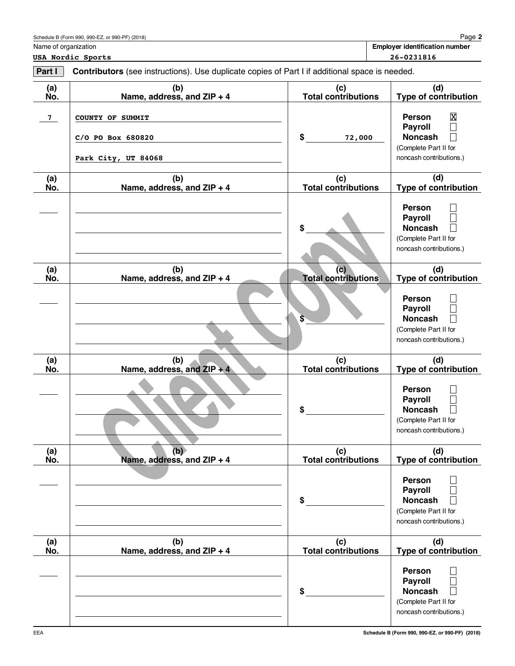| Schedule B (Form 990, 990-EZ, or 990-PF) (2018) |  |
|-------------------------------------------------|--|
|-------------------------------------------------|--|

Name of organization

**2** Page **Employer identification number**

**USA Nordic Sports 26-0231816**

| Part I     | <b>Contributors</b> (see instructions). Use duplicate copies of Part I if additional space is needed. |                                   |                                                                                                                                        |
|------------|-------------------------------------------------------------------------------------------------------|-----------------------------------|----------------------------------------------------------------------------------------------------------------------------------------|
| (a)<br>No. | (b)<br>Name, address, and ZIP + 4                                                                     | (c)<br><b>Total contributions</b> | (d)<br>Type of contribution                                                                                                            |
| 7          | <b>COUNTY OF SUMMIT</b><br>C/O PO Box 680820<br>Park City, UT 84068                                   | \$<br>72,000                      | Χ<br><b>Person</b><br>$\Box$<br><b>Payroll</b><br><b>Noncash</b><br>$\mathbb{R}^n$<br>(Complete Part II for<br>noncash contributions.) |
| (a)<br>No. | (b)<br>Name, address, and ZIP + 4                                                                     | (c)<br><b>Total contributions</b> | (d)<br>Type of contribution                                                                                                            |
|            |                                                                                                       | \$                                | <b>Person</b><br><b>Payroll</b><br><b>Noncash</b><br>(Complete Part II for<br>noncash contributions.)                                  |
| (a)<br>No. | (b)<br>Name, address, and ZIP + 4                                                                     | (c)<br><b>Total contributions</b> | (d)<br>Type of contribution                                                                                                            |
|            |                                                                                                       | \$                                | <b>Person</b><br><b>Payroll</b><br><b>Noncash</b><br>(Complete Part II for<br>noncash contributions.)                                  |
| (a)<br>No. | (b)<br>Name, address, and $ZIP + 4$                                                                   | (c)<br><b>Total contributions</b> | (d)<br><b>Type of contribution</b>                                                                                                     |
|            |                                                                                                       | \$                                | <b>Person</b><br><b>Payroll</b><br><b>Noncash</b><br>$\Box$<br>(Complete Part II for<br>noncash contributions.)                        |
| (a)<br>No. | (b)<br>Name, address, and ZIP + 4                                                                     | (c)<br><b>Total contributions</b> | (d)<br><b>Type of contribution</b>                                                                                                     |
|            |                                                                                                       | \$                                | <b>Person</b><br><b>Payroll</b><br><b>Noncash</b><br>(Complete Part II for<br>noncash contributions.)                                  |
| (a)<br>No. | (b)<br>Name, address, and ZIP + 4                                                                     | (c)<br><b>Total contributions</b> | (d)<br><b>Type of contribution</b>                                                                                                     |
|            |                                                                                                       | \$                                | <b>Person</b><br><b>Payroll</b><br><b>Noncash</b><br>(Complete Part II for<br>noncash contributions.)                                  |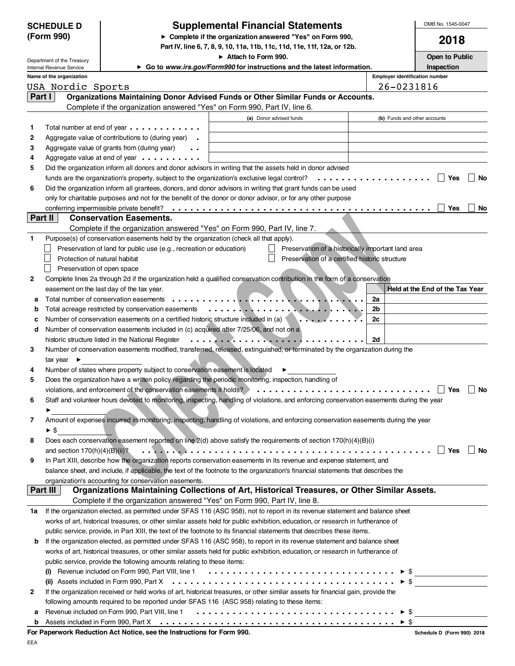| (Form 990)<br>► Complete if the organization answered "Yes" on Form 990,<br>2018<br>Part IV, line 6, 7, 8, 9, 10, 11a, 11b, 11c, 11d, 11e, 11f, 12a, or 12b.<br>$\triangleright$ Attach to Form 990.<br>Open to Public<br>Department of the Treasury<br>► Go to www.irs.gov/Form990 for instructions and the latest information.<br>Inspection<br>Internal Revenue Service<br><b>Employer identification number</b><br>Name of the organization<br>USA Nordic Sports<br>26-0231816<br>Organizations Maintaining Donor Advised Funds or Other Similar Funds or Accounts.<br>Part I<br>Complete if the organization answered "Yes" on Form 990, Part IV, line 6.<br>(a) Donor advised funds<br>(b) Funds and other accounts<br>Total number at end of year $\dots \dots \dots \dots$<br>1.<br>2<br>Aggregate value of contributions to (during year) .<br>3<br>Aggregate value of grants from (during year)<br>$\ddot{\phantom{a}}$<br>4<br>Aggregate value at end of year $\dots \dots \dots$<br>Did the organization inform all donors and donor advisors in writing that the assets held in donor advised<br>5<br>$\vert$ $\vert$<br>Yes<br>funds are the organization's property, subject to the organization's exclusive legal control? $\dots \dots \dots \dots \dots \dots$<br>No<br>Did the organization inform all grantees, donors, and donor advisors in writing that grant funds can be used<br>6<br>only for charitable purposes and not for the benefit of the donor or donor advisor, or for any other purpose<br>Yes<br>No<br>Part II<br><b>Conservation Easements.</b><br>Complete if the organization answered "Yes" on Form 990, Part IV, line 7.<br>$\mathbf{1}$<br>Purpose(s) of conservation easements held by the organization (check all that apply).<br>Preservation of land for public use (e.g., recreation or education)<br>Preservation of a historically important land area<br>Preservation of a certified historic structure<br>Protection of natural habitat<br>Preservation of open space<br>Complete lines 2a through 2d if the organization held a qualified conservation contribution in the form of a conservation<br>2<br><b>Held at the End of the Tax Year</b><br>easement on the last day of the tax year.<br>Total number of conservation easements<br>2a<br>а<br>2b<br>Total acreage restricted by conservation easements<br>b<br>Number of conservation easements on a certified historic structure included in (a)<br>2c<br>.<br>с<br>Number of conservation easements included in (c) acquired after 7/25/06, and not on a<br>d<br>historic structure listed in the National Register<br>2d<br>Number of conservation easements modified, transferred, released, extinguished, or terminated by the organization during the<br>3<br>tax year $\rightarrow$<br>Number of states where property subject to conservation easement is located<br>4<br>Does the organization have a written policy regarding the periodic monitoring, inspection, handling of<br>5<br>violations, and enforcement of the conservation easements it holds? $\rightarrow \ldots \ldots \ldots \ldots \ldots \ldots \ldots \ldots \ldots \ldots \ldots$<br>Yes<br>No<br>Staff and volunteer hours devoted to monitoring, inspecting, handling of violations, and enforcing conservation easements during the year<br>6<br>Amount of expenses incurred in monitoring, inspecting, handling of violations, and enforcing conservation easements during the year<br>7<br>► \$<br>Does each conservation easement reported on line 2(d) above satisfy the requirements of section 170(h)(4)(B)(i)<br>8<br>$\Box$ Yes<br>and section $170(h)(4)(B)(ii)$ ?<br>No<br>In Part XIII, describe how the organization reports conservation easements in its revenue and expense statement, and<br>9<br>balance sheet, and include, if applicable, the text of the footnote to the organization's financial statements that describes the<br>organization's accounting for conservation easements.<br>Organizations Maintaining Collections of Art, Historical Treasures, or Other Similar Assets.<br><b>Part III</b><br>Complete if the organization answered "Yes" on Form 990, Part IV, line 8.<br>If the organization elected, as permitted under SFAS 116 (ASC 958), not to report in its revenue statement and balance sheet<br>1a<br>works of art, historical treasures, or other similar assets held for public exhibition, education, or research in furtherance of<br>public service, provide, in Part XIII, the text of the footnote to its financial statements that describes these items.<br>If the organization elected, as permitted under SFAS 116 (ASC 958), to report in its revenue statement and balance sheet<br>b<br>works of art, historical treasures, or other similar assets held for public exhibition, education, or research in furtherance of<br>public service, provide the following amounts relating to these items:<br>(i) Revenue included on Form 990, Part VIII, line 1 $\ldots \ldots \ldots \ldots \ldots \ldots \ldots \ldots \ldots \ldots \ldots$<br>$\triangleright$ \$<br>If the organization received or held works of art, historical treasures, or other similar assets for financial gain, provide the<br>2<br>following amounts required to be reported under SFAS 116 (ASC 958) relating to these items:<br>$\triangleright$ S<br>а<br>b<br>For Paperwork Reduction Act Notice, see the Instructions for Form 990.<br>Schedule D (Form 990) 2018 | <b>SCHEDULE D</b> | <b>Supplemental Financial Statements</b> | OMB No. 1545-0047 |
|-------------------------------------------------------------------------------------------------------------------------------------------------------------------------------------------------------------------------------------------------------------------------------------------------------------------------------------------------------------------------------------------------------------------------------------------------------------------------------------------------------------------------------------------------------------------------------------------------------------------------------------------------------------------------------------------------------------------------------------------------------------------------------------------------------------------------------------------------------------------------------------------------------------------------------------------------------------------------------------------------------------------------------------------------------------------------------------------------------------------------------------------------------------------------------------------------------------------------------------------------------------------------------------------------------------------------------------------------------------------------------------------------------------------------------------------------------------------------------------------------------------------------------------------------------------------------------------------------------------------------------------------------------------------------------------------------------------------------------------------------------------------------------------------------------------------------------------------------------------------------------------------------------------------------------------------------------------------------------------------------------------------------------------------------------------------------------------------------------------------------------------------------------------------------------------------------------------------------------------------------------------------------------------------------------------------------------------------------------------------------------------------------------------------------------------------------------------------------------------------------------------------------------------------------------------------------------------------------------------------------------------------------------------------------------------------------------------------------------------------------------------------------------------------------------------------------------------------------------------------------------------------------------------------------------------------------------------------------------------------------------------------------------------------------------------------------------------------------------------------------------------------------------------------------------------------------------------------------------------------------------------------------------------------------------------------------------------------------------------------------------------------------------------------------------------------------------------------------------------------------------------------------------------------------------------------------------------------------------------------------------------------------------------------------------------------------------------------------------------------------------------------------------------------------------------------------------------------------------------------------------------------------------------------------------------------------------------------------------------------------------------------------------------------------------------------------------------------------------------------------------------------------------------------------------------------------------------------------------------------------------------------------------------------------------------------------------------------------------------------------------------------------------------------------------------------------------------------------------------------------------------------------------------------------------------------------------------------------------------------------------------------------------------------------------------------------------------------------------------------------------------------------------------------------------------------------------------------------------------------------------------------------------------------------------------------------------------------------------------------------------------------------------------------------------------------------------------------------------------------------------------------------------------------------------------------------------------------------------------------------------------------------------------------------------------------------------------------------------------------------------------------------------------------------------------------------------------------------------------------------------------|-------------------|------------------------------------------|-------------------|
|                                                                                                                                                                                                                                                                                                                                                                                                                                                                                                                                                                                                                                                                                                                                                                                                                                                                                                                                                                                                                                                                                                                                                                                                                                                                                                                                                                                                                                                                                                                                                                                                                                                                                                                                                                                                                                                                                                                                                                                                                                                                                                                                                                                                                                                                                                                                                                                                                                                                                                                                                                                                                                                                                                                                                                                                                                                                                                                                                                                                                                                                                                                                                                                                                                                                                                                                                                                                                                                                                                                                                                                                                                                                                                                                                                                                                                                                                                                                                                                                                                                                                                                                                                                                                                                                                                                                                                                                                                                                                                                                                                                                                                                                                                                                                                                                                                                                                                                                                                                                                                                                                                                                                                                                                                                                                                                                                                                                                                                                                                             |                   |                                          |                   |
|                                                                                                                                                                                                                                                                                                                                                                                                                                                                                                                                                                                                                                                                                                                                                                                                                                                                                                                                                                                                                                                                                                                                                                                                                                                                                                                                                                                                                                                                                                                                                                                                                                                                                                                                                                                                                                                                                                                                                                                                                                                                                                                                                                                                                                                                                                                                                                                                                                                                                                                                                                                                                                                                                                                                                                                                                                                                                                                                                                                                                                                                                                                                                                                                                                                                                                                                                                                                                                                                                                                                                                                                                                                                                                                                                                                                                                                                                                                                                                                                                                                                                                                                                                                                                                                                                                                                                                                                                                                                                                                                                                                                                                                                                                                                                                                                                                                                                                                                                                                                                                                                                                                                                                                                                                                                                                                                                                                                                                                                                                             |                   |                                          |                   |
|                                                                                                                                                                                                                                                                                                                                                                                                                                                                                                                                                                                                                                                                                                                                                                                                                                                                                                                                                                                                                                                                                                                                                                                                                                                                                                                                                                                                                                                                                                                                                                                                                                                                                                                                                                                                                                                                                                                                                                                                                                                                                                                                                                                                                                                                                                                                                                                                                                                                                                                                                                                                                                                                                                                                                                                                                                                                                                                                                                                                                                                                                                                                                                                                                                                                                                                                                                                                                                                                                                                                                                                                                                                                                                                                                                                                                                                                                                                                                                                                                                                                                                                                                                                                                                                                                                                                                                                                                                                                                                                                                                                                                                                                                                                                                                                                                                                                                                                                                                                                                                                                                                                                                                                                                                                                                                                                                                                                                                                                                                             |                   |                                          |                   |
|                                                                                                                                                                                                                                                                                                                                                                                                                                                                                                                                                                                                                                                                                                                                                                                                                                                                                                                                                                                                                                                                                                                                                                                                                                                                                                                                                                                                                                                                                                                                                                                                                                                                                                                                                                                                                                                                                                                                                                                                                                                                                                                                                                                                                                                                                                                                                                                                                                                                                                                                                                                                                                                                                                                                                                                                                                                                                                                                                                                                                                                                                                                                                                                                                                                                                                                                                                                                                                                                                                                                                                                                                                                                                                                                                                                                                                                                                                                                                                                                                                                                                                                                                                                                                                                                                                                                                                                                                                                                                                                                                                                                                                                                                                                                                                                                                                                                                                                                                                                                                                                                                                                                                                                                                                                                                                                                                                                                                                                                                                             |                   |                                          |                   |
|                                                                                                                                                                                                                                                                                                                                                                                                                                                                                                                                                                                                                                                                                                                                                                                                                                                                                                                                                                                                                                                                                                                                                                                                                                                                                                                                                                                                                                                                                                                                                                                                                                                                                                                                                                                                                                                                                                                                                                                                                                                                                                                                                                                                                                                                                                                                                                                                                                                                                                                                                                                                                                                                                                                                                                                                                                                                                                                                                                                                                                                                                                                                                                                                                                                                                                                                                                                                                                                                                                                                                                                                                                                                                                                                                                                                                                                                                                                                                                                                                                                                                                                                                                                                                                                                                                                                                                                                                                                                                                                                                                                                                                                                                                                                                                                                                                                                                                                                                                                                                                                                                                                                                                                                                                                                                                                                                                                                                                                                                                             |                   |                                          |                   |
|                                                                                                                                                                                                                                                                                                                                                                                                                                                                                                                                                                                                                                                                                                                                                                                                                                                                                                                                                                                                                                                                                                                                                                                                                                                                                                                                                                                                                                                                                                                                                                                                                                                                                                                                                                                                                                                                                                                                                                                                                                                                                                                                                                                                                                                                                                                                                                                                                                                                                                                                                                                                                                                                                                                                                                                                                                                                                                                                                                                                                                                                                                                                                                                                                                                                                                                                                                                                                                                                                                                                                                                                                                                                                                                                                                                                                                                                                                                                                                                                                                                                                                                                                                                                                                                                                                                                                                                                                                                                                                                                                                                                                                                                                                                                                                                                                                                                                                                                                                                                                                                                                                                                                                                                                                                                                                                                                                                                                                                                                                             |                   |                                          |                   |
|                                                                                                                                                                                                                                                                                                                                                                                                                                                                                                                                                                                                                                                                                                                                                                                                                                                                                                                                                                                                                                                                                                                                                                                                                                                                                                                                                                                                                                                                                                                                                                                                                                                                                                                                                                                                                                                                                                                                                                                                                                                                                                                                                                                                                                                                                                                                                                                                                                                                                                                                                                                                                                                                                                                                                                                                                                                                                                                                                                                                                                                                                                                                                                                                                                                                                                                                                                                                                                                                                                                                                                                                                                                                                                                                                                                                                                                                                                                                                                                                                                                                                                                                                                                                                                                                                                                                                                                                                                                                                                                                                                                                                                                                                                                                                                                                                                                                                                                                                                                                                                                                                                                                                                                                                                                                                                                                                                                                                                                                                                             |                   |                                          |                   |
|                                                                                                                                                                                                                                                                                                                                                                                                                                                                                                                                                                                                                                                                                                                                                                                                                                                                                                                                                                                                                                                                                                                                                                                                                                                                                                                                                                                                                                                                                                                                                                                                                                                                                                                                                                                                                                                                                                                                                                                                                                                                                                                                                                                                                                                                                                                                                                                                                                                                                                                                                                                                                                                                                                                                                                                                                                                                                                                                                                                                                                                                                                                                                                                                                                                                                                                                                                                                                                                                                                                                                                                                                                                                                                                                                                                                                                                                                                                                                                                                                                                                                                                                                                                                                                                                                                                                                                                                                                                                                                                                                                                                                                                                                                                                                                                                                                                                                                                                                                                                                                                                                                                                                                                                                                                                                                                                                                                                                                                                                                             |                   |                                          |                   |
|                                                                                                                                                                                                                                                                                                                                                                                                                                                                                                                                                                                                                                                                                                                                                                                                                                                                                                                                                                                                                                                                                                                                                                                                                                                                                                                                                                                                                                                                                                                                                                                                                                                                                                                                                                                                                                                                                                                                                                                                                                                                                                                                                                                                                                                                                                                                                                                                                                                                                                                                                                                                                                                                                                                                                                                                                                                                                                                                                                                                                                                                                                                                                                                                                                                                                                                                                                                                                                                                                                                                                                                                                                                                                                                                                                                                                                                                                                                                                                                                                                                                                                                                                                                                                                                                                                                                                                                                                                                                                                                                                                                                                                                                                                                                                                                                                                                                                                                                                                                                                                                                                                                                                                                                                                                                                                                                                                                                                                                                                                             |                   |                                          |                   |
|                                                                                                                                                                                                                                                                                                                                                                                                                                                                                                                                                                                                                                                                                                                                                                                                                                                                                                                                                                                                                                                                                                                                                                                                                                                                                                                                                                                                                                                                                                                                                                                                                                                                                                                                                                                                                                                                                                                                                                                                                                                                                                                                                                                                                                                                                                                                                                                                                                                                                                                                                                                                                                                                                                                                                                                                                                                                                                                                                                                                                                                                                                                                                                                                                                                                                                                                                                                                                                                                                                                                                                                                                                                                                                                                                                                                                                                                                                                                                                                                                                                                                                                                                                                                                                                                                                                                                                                                                                                                                                                                                                                                                                                                                                                                                                                                                                                                                                                                                                                                                                                                                                                                                                                                                                                                                                                                                                                                                                                                                                             |                   |                                          |                   |
|                                                                                                                                                                                                                                                                                                                                                                                                                                                                                                                                                                                                                                                                                                                                                                                                                                                                                                                                                                                                                                                                                                                                                                                                                                                                                                                                                                                                                                                                                                                                                                                                                                                                                                                                                                                                                                                                                                                                                                                                                                                                                                                                                                                                                                                                                                                                                                                                                                                                                                                                                                                                                                                                                                                                                                                                                                                                                                                                                                                                                                                                                                                                                                                                                                                                                                                                                                                                                                                                                                                                                                                                                                                                                                                                                                                                                                                                                                                                                                                                                                                                                                                                                                                                                                                                                                                                                                                                                                                                                                                                                                                                                                                                                                                                                                                                                                                                                                                                                                                                                                                                                                                                                                                                                                                                                                                                                                                                                                                                                                             |                   |                                          |                   |
|                                                                                                                                                                                                                                                                                                                                                                                                                                                                                                                                                                                                                                                                                                                                                                                                                                                                                                                                                                                                                                                                                                                                                                                                                                                                                                                                                                                                                                                                                                                                                                                                                                                                                                                                                                                                                                                                                                                                                                                                                                                                                                                                                                                                                                                                                                                                                                                                                                                                                                                                                                                                                                                                                                                                                                                                                                                                                                                                                                                                                                                                                                                                                                                                                                                                                                                                                                                                                                                                                                                                                                                                                                                                                                                                                                                                                                                                                                                                                                                                                                                                                                                                                                                                                                                                                                                                                                                                                                                                                                                                                                                                                                                                                                                                                                                                                                                                                                                                                                                                                                                                                                                                                                                                                                                                                                                                                                                                                                                                                                             |                   |                                          |                   |
|                                                                                                                                                                                                                                                                                                                                                                                                                                                                                                                                                                                                                                                                                                                                                                                                                                                                                                                                                                                                                                                                                                                                                                                                                                                                                                                                                                                                                                                                                                                                                                                                                                                                                                                                                                                                                                                                                                                                                                                                                                                                                                                                                                                                                                                                                                                                                                                                                                                                                                                                                                                                                                                                                                                                                                                                                                                                                                                                                                                                                                                                                                                                                                                                                                                                                                                                                                                                                                                                                                                                                                                                                                                                                                                                                                                                                                                                                                                                                                                                                                                                                                                                                                                                                                                                                                                                                                                                                                                                                                                                                                                                                                                                                                                                                                                                                                                                                                                                                                                                                                                                                                                                                                                                                                                                                                                                                                                                                                                                                                             |                   |                                          |                   |
|                                                                                                                                                                                                                                                                                                                                                                                                                                                                                                                                                                                                                                                                                                                                                                                                                                                                                                                                                                                                                                                                                                                                                                                                                                                                                                                                                                                                                                                                                                                                                                                                                                                                                                                                                                                                                                                                                                                                                                                                                                                                                                                                                                                                                                                                                                                                                                                                                                                                                                                                                                                                                                                                                                                                                                                                                                                                                                                                                                                                                                                                                                                                                                                                                                                                                                                                                                                                                                                                                                                                                                                                                                                                                                                                                                                                                                                                                                                                                                                                                                                                                                                                                                                                                                                                                                                                                                                                                                                                                                                                                                                                                                                                                                                                                                                                                                                                                                                                                                                                                                                                                                                                                                                                                                                                                                                                                                                                                                                                                                             |                   |                                          |                   |
|                                                                                                                                                                                                                                                                                                                                                                                                                                                                                                                                                                                                                                                                                                                                                                                                                                                                                                                                                                                                                                                                                                                                                                                                                                                                                                                                                                                                                                                                                                                                                                                                                                                                                                                                                                                                                                                                                                                                                                                                                                                                                                                                                                                                                                                                                                                                                                                                                                                                                                                                                                                                                                                                                                                                                                                                                                                                                                                                                                                                                                                                                                                                                                                                                                                                                                                                                                                                                                                                                                                                                                                                                                                                                                                                                                                                                                                                                                                                                                                                                                                                                                                                                                                                                                                                                                                                                                                                                                                                                                                                                                                                                                                                                                                                                                                                                                                                                                                                                                                                                                                                                                                                                                                                                                                                                                                                                                                                                                                                                                             |                   |                                          |                   |
|                                                                                                                                                                                                                                                                                                                                                                                                                                                                                                                                                                                                                                                                                                                                                                                                                                                                                                                                                                                                                                                                                                                                                                                                                                                                                                                                                                                                                                                                                                                                                                                                                                                                                                                                                                                                                                                                                                                                                                                                                                                                                                                                                                                                                                                                                                                                                                                                                                                                                                                                                                                                                                                                                                                                                                                                                                                                                                                                                                                                                                                                                                                                                                                                                                                                                                                                                                                                                                                                                                                                                                                                                                                                                                                                                                                                                                                                                                                                                                                                                                                                                                                                                                                                                                                                                                                                                                                                                                                                                                                                                                                                                                                                                                                                                                                                                                                                                                                                                                                                                                                                                                                                                                                                                                                                                                                                                                                                                                                                                                             |                   |                                          |                   |
|                                                                                                                                                                                                                                                                                                                                                                                                                                                                                                                                                                                                                                                                                                                                                                                                                                                                                                                                                                                                                                                                                                                                                                                                                                                                                                                                                                                                                                                                                                                                                                                                                                                                                                                                                                                                                                                                                                                                                                                                                                                                                                                                                                                                                                                                                                                                                                                                                                                                                                                                                                                                                                                                                                                                                                                                                                                                                                                                                                                                                                                                                                                                                                                                                                                                                                                                                                                                                                                                                                                                                                                                                                                                                                                                                                                                                                                                                                                                                                                                                                                                                                                                                                                                                                                                                                                                                                                                                                                                                                                                                                                                                                                                                                                                                                                                                                                                                                                                                                                                                                                                                                                                                                                                                                                                                                                                                                                                                                                                                                             |                   |                                          |                   |
|                                                                                                                                                                                                                                                                                                                                                                                                                                                                                                                                                                                                                                                                                                                                                                                                                                                                                                                                                                                                                                                                                                                                                                                                                                                                                                                                                                                                                                                                                                                                                                                                                                                                                                                                                                                                                                                                                                                                                                                                                                                                                                                                                                                                                                                                                                                                                                                                                                                                                                                                                                                                                                                                                                                                                                                                                                                                                                                                                                                                                                                                                                                                                                                                                                                                                                                                                                                                                                                                                                                                                                                                                                                                                                                                                                                                                                                                                                                                                                                                                                                                                                                                                                                                                                                                                                                                                                                                                                                                                                                                                                                                                                                                                                                                                                                                                                                                                                                                                                                                                                                                                                                                                                                                                                                                                                                                                                                                                                                                                                             |                   |                                          |                   |
|                                                                                                                                                                                                                                                                                                                                                                                                                                                                                                                                                                                                                                                                                                                                                                                                                                                                                                                                                                                                                                                                                                                                                                                                                                                                                                                                                                                                                                                                                                                                                                                                                                                                                                                                                                                                                                                                                                                                                                                                                                                                                                                                                                                                                                                                                                                                                                                                                                                                                                                                                                                                                                                                                                                                                                                                                                                                                                                                                                                                                                                                                                                                                                                                                                                                                                                                                                                                                                                                                                                                                                                                                                                                                                                                                                                                                                                                                                                                                                                                                                                                                                                                                                                                                                                                                                                                                                                                                                                                                                                                                                                                                                                                                                                                                                                                                                                                                                                                                                                                                                                                                                                                                                                                                                                                                                                                                                                                                                                                                                             |                   |                                          |                   |
|                                                                                                                                                                                                                                                                                                                                                                                                                                                                                                                                                                                                                                                                                                                                                                                                                                                                                                                                                                                                                                                                                                                                                                                                                                                                                                                                                                                                                                                                                                                                                                                                                                                                                                                                                                                                                                                                                                                                                                                                                                                                                                                                                                                                                                                                                                                                                                                                                                                                                                                                                                                                                                                                                                                                                                                                                                                                                                                                                                                                                                                                                                                                                                                                                                                                                                                                                                                                                                                                                                                                                                                                                                                                                                                                                                                                                                                                                                                                                                                                                                                                                                                                                                                                                                                                                                                                                                                                                                                                                                                                                                                                                                                                                                                                                                                                                                                                                                                                                                                                                                                                                                                                                                                                                                                                                                                                                                                                                                                                                                             |                   |                                          |                   |
|                                                                                                                                                                                                                                                                                                                                                                                                                                                                                                                                                                                                                                                                                                                                                                                                                                                                                                                                                                                                                                                                                                                                                                                                                                                                                                                                                                                                                                                                                                                                                                                                                                                                                                                                                                                                                                                                                                                                                                                                                                                                                                                                                                                                                                                                                                                                                                                                                                                                                                                                                                                                                                                                                                                                                                                                                                                                                                                                                                                                                                                                                                                                                                                                                                                                                                                                                                                                                                                                                                                                                                                                                                                                                                                                                                                                                                                                                                                                                                                                                                                                                                                                                                                                                                                                                                                                                                                                                                                                                                                                                                                                                                                                                                                                                                                                                                                                                                                                                                                                                                                                                                                                                                                                                                                                                                                                                                                                                                                                                                             |                   |                                          |                   |
|                                                                                                                                                                                                                                                                                                                                                                                                                                                                                                                                                                                                                                                                                                                                                                                                                                                                                                                                                                                                                                                                                                                                                                                                                                                                                                                                                                                                                                                                                                                                                                                                                                                                                                                                                                                                                                                                                                                                                                                                                                                                                                                                                                                                                                                                                                                                                                                                                                                                                                                                                                                                                                                                                                                                                                                                                                                                                                                                                                                                                                                                                                                                                                                                                                                                                                                                                                                                                                                                                                                                                                                                                                                                                                                                                                                                                                                                                                                                                                                                                                                                                                                                                                                                                                                                                                                                                                                                                                                                                                                                                                                                                                                                                                                                                                                                                                                                                                                                                                                                                                                                                                                                                                                                                                                                                                                                                                                                                                                                                                             |                   |                                          |                   |
|                                                                                                                                                                                                                                                                                                                                                                                                                                                                                                                                                                                                                                                                                                                                                                                                                                                                                                                                                                                                                                                                                                                                                                                                                                                                                                                                                                                                                                                                                                                                                                                                                                                                                                                                                                                                                                                                                                                                                                                                                                                                                                                                                                                                                                                                                                                                                                                                                                                                                                                                                                                                                                                                                                                                                                                                                                                                                                                                                                                                                                                                                                                                                                                                                                                                                                                                                                                                                                                                                                                                                                                                                                                                                                                                                                                                                                                                                                                                                                                                                                                                                                                                                                                                                                                                                                                                                                                                                                                                                                                                                                                                                                                                                                                                                                                                                                                                                                                                                                                                                                                                                                                                                                                                                                                                                                                                                                                                                                                                                                             |                   |                                          |                   |
|                                                                                                                                                                                                                                                                                                                                                                                                                                                                                                                                                                                                                                                                                                                                                                                                                                                                                                                                                                                                                                                                                                                                                                                                                                                                                                                                                                                                                                                                                                                                                                                                                                                                                                                                                                                                                                                                                                                                                                                                                                                                                                                                                                                                                                                                                                                                                                                                                                                                                                                                                                                                                                                                                                                                                                                                                                                                                                                                                                                                                                                                                                                                                                                                                                                                                                                                                                                                                                                                                                                                                                                                                                                                                                                                                                                                                                                                                                                                                                                                                                                                                                                                                                                                                                                                                                                                                                                                                                                                                                                                                                                                                                                                                                                                                                                                                                                                                                                                                                                                                                                                                                                                                                                                                                                                                                                                                                                                                                                                                                             |                   |                                          |                   |
|                                                                                                                                                                                                                                                                                                                                                                                                                                                                                                                                                                                                                                                                                                                                                                                                                                                                                                                                                                                                                                                                                                                                                                                                                                                                                                                                                                                                                                                                                                                                                                                                                                                                                                                                                                                                                                                                                                                                                                                                                                                                                                                                                                                                                                                                                                                                                                                                                                                                                                                                                                                                                                                                                                                                                                                                                                                                                                                                                                                                                                                                                                                                                                                                                                                                                                                                                                                                                                                                                                                                                                                                                                                                                                                                                                                                                                                                                                                                                                                                                                                                                                                                                                                                                                                                                                                                                                                                                                                                                                                                                                                                                                                                                                                                                                                                                                                                                                                                                                                                                                                                                                                                                                                                                                                                                                                                                                                                                                                                                                             |                   |                                          |                   |
|                                                                                                                                                                                                                                                                                                                                                                                                                                                                                                                                                                                                                                                                                                                                                                                                                                                                                                                                                                                                                                                                                                                                                                                                                                                                                                                                                                                                                                                                                                                                                                                                                                                                                                                                                                                                                                                                                                                                                                                                                                                                                                                                                                                                                                                                                                                                                                                                                                                                                                                                                                                                                                                                                                                                                                                                                                                                                                                                                                                                                                                                                                                                                                                                                                                                                                                                                                                                                                                                                                                                                                                                                                                                                                                                                                                                                                                                                                                                                                                                                                                                                                                                                                                                                                                                                                                                                                                                                                                                                                                                                                                                                                                                                                                                                                                                                                                                                                                                                                                                                                                                                                                                                                                                                                                                                                                                                                                                                                                                                                             |                   |                                          |                   |
|                                                                                                                                                                                                                                                                                                                                                                                                                                                                                                                                                                                                                                                                                                                                                                                                                                                                                                                                                                                                                                                                                                                                                                                                                                                                                                                                                                                                                                                                                                                                                                                                                                                                                                                                                                                                                                                                                                                                                                                                                                                                                                                                                                                                                                                                                                                                                                                                                                                                                                                                                                                                                                                                                                                                                                                                                                                                                                                                                                                                                                                                                                                                                                                                                                                                                                                                                                                                                                                                                                                                                                                                                                                                                                                                                                                                                                                                                                                                                                                                                                                                                                                                                                                                                                                                                                                                                                                                                                                                                                                                                                                                                                                                                                                                                                                                                                                                                                                                                                                                                                                                                                                                                                                                                                                                                                                                                                                                                                                                                                             |                   |                                          |                   |
|                                                                                                                                                                                                                                                                                                                                                                                                                                                                                                                                                                                                                                                                                                                                                                                                                                                                                                                                                                                                                                                                                                                                                                                                                                                                                                                                                                                                                                                                                                                                                                                                                                                                                                                                                                                                                                                                                                                                                                                                                                                                                                                                                                                                                                                                                                                                                                                                                                                                                                                                                                                                                                                                                                                                                                                                                                                                                                                                                                                                                                                                                                                                                                                                                                                                                                                                                                                                                                                                                                                                                                                                                                                                                                                                                                                                                                                                                                                                                                                                                                                                                                                                                                                                                                                                                                                                                                                                                                                                                                                                                                                                                                                                                                                                                                                                                                                                                                                                                                                                                                                                                                                                                                                                                                                                                                                                                                                                                                                                                                             |                   |                                          |                   |
|                                                                                                                                                                                                                                                                                                                                                                                                                                                                                                                                                                                                                                                                                                                                                                                                                                                                                                                                                                                                                                                                                                                                                                                                                                                                                                                                                                                                                                                                                                                                                                                                                                                                                                                                                                                                                                                                                                                                                                                                                                                                                                                                                                                                                                                                                                                                                                                                                                                                                                                                                                                                                                                                                                                                                                                                                                                                                                                                                                                                                                                                                                                                                                                                                                                                                                                                                                                                                                                                                                                                                                                                                                                                                                                                                                                                                                                                                                                                                                                                                                                                                                                                                                                                                                                                                                                                                                                                                                                                                                                                                                                                                                                                                                                                                                                                                                                                                                                                                                                                                                                                                                                                                                                                                                                                                                                                                                                                                                                                                                             |                   |                                          |                   |
|                                                                                                                                                                                                                                                                                                                                                                                                                                                                                                                                                                                                                                                                                                                                                                                                                                                                                                                                                                                                                                                                                                                                                                                                                                                                                                                                                                                                                                                                                                                                                                                                                                                                                                                                                                                                                                                                                                                                                                                                                                                                                                                                                                                                                                                                                                                                                                                                                                                                                                                                                                                                                                                                                                                                                                                                                                                                                                                                                                                                                                                                                                                                                                                                                                                                                                                                                                                                                                                                                                                                                                                                                                                                                                                                                                                                                                                                                                                                                                                                                                                                                                                                                                                                                                                                                                                                                                                                                                                                                                                                                                                                                                                                                                                                                                                                                                                                                                                                                                                                                                                                                                                                                                                                                                                                                                                                                                                                                                                                                                             |                   |                                          |                   |
|                                                                                                                                                                                                                                                                                                                                                                                                                                                                                                                                                                                                                                                                                                                                                                                                                                                                                                                                                                                                                                                                                                                                                                                                                                                                                                                                                                                                                                                                                                                                                                                                                                                                                                                                                                                                                                                                                                                                                                                                                                                                                                                                                                                                                                                                                                                                                                                                                                                                                                                                                                                                                                                                                                                                                                                                                                                                                                                                                                                                                                                                                                                                                                                                                                                                                                                                                                                                                                                                                                                                                                                                                                                                                                                                                                                                                                                                                                                                                                                                                                                                                                                                                                                                                                                                                                                                                                                                                                                                                                                                                                                                                                                                                                                                                                                                                                                                                                                                                                                                                                                                                                                                                                                                                                                                                                                                                                                                                                                                                                             |                   |                                          |                   |
|                                                                                                                                                                                                                                                                                                                                                                                                                                                                                                                                                                                                                                                                                                                                                                                                                                                                                                                                                                                                                                                                                                                                                                                                                                                                                                                                                                                                                                                                                                                                                                                                                                                                                                                                                                                                                                                                                                                                                                                                                                                                                                                                                                                                                                                                                                                                                                                                                                                                                                                                                                                                                                                                                                                                                                                                                                                                                                                                                                                                                                                                                                                                                                                                                                                                                                                                                                                                                                                                                                                                                                                                                                                                                                                                                                                                                                                                                                                                                                                                                                                                                                                                                                                                                                                                                                                                                                                                                                                                                                                                                                                                                                                                                                                                                                                                                                                                                                                                                                                                                                                                                                                                                                                                                                                                                                                                                                                                                                                                                                             |                   |                                          |                   |
|                                                                                                                                                                                                                                                                                                                                                                                                                                                                                                                                                                                                                                                                                                                                                                                                                                                                                                                                                                                                                                                                                                                                                                                                                                                                                                                                                                                                                                                                                                                                                                                                                                                                                                                                                                                                                                                                                                                                                                                                                                                                                                                                                                                                                                                                                                                                                                                                                                                                                                                                                                                                                                                                                                                                                                                                                                                                                                                                                                                                                                                                                                                                                                                                                                                                                                                                                                                                                                                                                                                                                                                                                                                                                                                                                                                                                                                                                                                                                                                                                                                                                                                                                                                                                                                                                                                                                                                                                                                                                                                                                                                                                                                                                                                                                                                                                                                                                                                                                                                                                                                                                                                                                                                                                                                                                                                                                                                                                                                                                                             |                   |                                          |                   |
|                                                                                                                                                                                                                                                                                                                                                                                                                                                                                                                                                                                                                                                                                                                                                                                                                                                                                                                                                                                                                                                                                                                                                                                                                                                                                                                                                                                                                                                                                                                                                                                                                                                                                                                                                                                                                                                                                                                                                                                                                                                                                                                                                                                                                                                                                                                                                                                                                                                                                                                                                                                                                                                                                                                                                                                                                                                                                                                                                                                                                                                                                                                                                                                                                                                                                                                                                                                                                                                                                                                                                                                                                                                                                                                                                                                                                                                                                                                                                                                                                                                                                                                                                                                                                                                                                                                                                                                                                                                                                                                                                                                                                                                                                                                                                                                                                                                                                                                                                                                                                                                                                                                                                                                                                                                                                                                                                                                                                                                                                                             |                   |                                          |                   |
|                                                                                                                                                                                                                                                                                                                                                                                                                                                                                                                                                                                                                                                                                                                                                                                                                                                                                                                                                                                                                                                                                                                                                                                                                                                                                                                                                                                                                                                                                                                                                                                                                                                                                                                                                                                                                                                                                                                                                                                                                                                                                                                                                                                                                                                                                                                                                                                                                                                                                                                                                                                                                                                                                                                                                                                                                                                                                                                                                                                                                                                                                                                                                                                                                                                                                                                                                                                                                                                                                                                                                                                                                                                                                                                                                                                                                                                                                                                                                                                                                                                                                                                                                                                                                                                                                                                                                                                                                                                                                                                                                                                                                                                                                                                                                                                                                                                                                                                                                                                                                                                                                                                                                                                                                                                                                                                                                                                                                                                                                                             |                   |                                          |                   |
|                                                                                                                                                                                                                                                                                                                                                                                                                                                                                                                                                                                                                                                                                                                                                                                                                                                                                                                                                                                                                                                                                                                                                                                                                                                                                                                                                                                                                                                                                                                                                                                                                                                                                                                                                                                                                                                                                                                                                                                                                                                                                                                                                                                                                                                                                                                                                                                                                                                                                                                                                                                                                                                                                                                                                                                                                                                                                                                                                                                                                                                                                                                                                                                                                                                                                                                                                                                                                                                                                                                                                                                                                                                                                                                                                                                                                                                                                                                                                                                                                                                                                                                                                                                                                                                                                                                                                                                                                                                                                                                                                                                                                                                                                                                                                                                                                                                                                                                                                                                                                                                                                                                                                                                                                                                                                                                                                                                                                                                                                                             |                   |                                          |                   |
|                                                                                                                                                                                                                                                                                                                                                                                                                                                                                                                                                                                                                                                                                                                                                                                                                                                                                                                                                                                                                                                                                                                                                                                                                                                                                                                                                                                                                                                                                                                                                                                                                                                                                                                                                                                                                                                                                                                                                                                                                                                                                                                                                                                                                                                                                                                                                                                                                                                                                                                                                                                                                                                                                                                                                                                                                                                                                                                                                                                                                                                                                                                                                                                                                                                                                                                                                                                                                                                                                                                                                                                                                                                                                                                                                                                                                                                                                                                                                                                                                                                                                                                                                                                                                                                                                                                                                                                                                                                                                                                                                                                                                                                                                                                                                                                                                                                                                                                                                                                                                                                                                                                                                                                                                                                                                                                                                                                                                                                                                                             |                   |                                          |                   |
|                                                                                                                                                                                                                                                                                                                                                                                                                                                                                                                                                                                                                                                                                                                                                                                                                                                                                                                                                                                                                                                                                                                                                                                                                                                                                                                                                                                                                                                                                                                                                                                                                                                                                                                                                                                                                                                                                                                                                                                                                                                                                                                                                                                                                                                                                                                                                                                                                                                                                                                                                                                                                                                                                                                                                                                                                                                                                                                                                                                                                                                                                                                                                                                                                                                                                                                                                                                                                                                                                                                                                                                                                                                                                                                                                                                                                                                                                                                                                                                                                                                                                                                                                                                                                                                                                                                                                                                                                                                                                                                                                                                                                                                                                                                                                                                                                                                                                                                                                                                                                                                                                                                                                                                                                                                                                                                                                                                                                                                                                                             |                   |                                          |                   |
|                                                                                                                                                                                                                                                                                                                                                                                                                                                                                                                                                                                                                                                                                                                                                                                                                                                                                                                                                                                                                                                                                                                                                                                                                                                                                                                                                                                                                                                                                                                                                                                                                                                                                                                                                                                                                                                                                                                                                                                                                                                                                                                                                                                                                                                                                                                                                                                                                                                                                                                                                                                                                                                                                                                                                                                                                                                                                                                                                                                                                                                                                                                                                                                                                                                                                                                                                                                                                                                                                                                                                                                                                                                                                                                                                                                                                                                                                                                                                                                                                                                                                                                                                                                                                                                                                                                                                                                                                                                                                                                                                                                                                                                                                                                                                                                                                                                                                                                                                                                                                                                                                                                                                                                                                                                                                                                                                                                                                                                                                                             |                   |                                          |                   |
|                                                                                                                                                                                                                                                                                                                                                                                                                                                                                                                                                                                                                                                                                                                                                                                                                                                                                                                                                                                                                                                                                                                                                                                                                                                                                                                                                                                                                                                                                                                                                                                                                                                                                                                                                                                                                                                                                                                                                                                                                                                                                                                                                                                                                                                                                                                                                                                                                                                                                                                                                                                                                                                                                                                                                                                                                                                                                                                                                                                                                                                                                                                                                                                                                                                                                                                                                                                                                                                                                                                                                                                                                                                                                                                                                                                                                                                                                                                                                                                                                                                                                                                                                                                                                                                                                                                                                                                                                                                                                                                                                                                                                                                                                                                                                                                                                                                                                                                                                                                                                                                                                                                                                                                                                                                                                                                                                                                                                                                                                                             |                   |                                          |                   |
|                                                                                                                                                                                                                                                                                                                                                                                                                                                                                                                                                                                                                                                                                                                                                                                                                                                                                                                                                                                                                                                                                                                                                                                                                                                                                                                                                                                                                                                                                                                                                                                                                                                                                                                                                                                                                                                                                                                                                                                                                                                                                                                                                                                                                                                                                                                                                                                                                                                                                                                                                                                                                                                                                                                                                                                                                                                                                                                                                                                                                                                                                                                                                                                                                                                                                                                                                                                                                                                                                                                                                                                                                                                                                                                                                                                                                                                                                                                                                                                                                                                                                                                                                                                                                                                                                                                                                                                                                                                                                                                                                                                                                                                                                                                                                                                                                                                                                                                                                                                                                                                                                                                                                                                                                                                                                                                                                                                                                                                                                                             |                   |                                          |                   |
|                                                                                                                                                                                                                                                                                                                                                                                                                                                                                                                                                                                                                                                                                                                                                                                                                                                                                                                                                                                                                                                                                                                                                                                                                                                                                                                                                                                                                                                                                                                                                                                                                                                                                                                                                                                                                                                                                                                                                                                                                                                                                                                                                                                                                                                                                                                                                                                                                                                                                                                                                                                                                                                                                                                                                                                                                                                                                                                                                                                                                                                                                                                                                                                                                                                                                                                                                                                                                                                                                                                                                                                                                                                                                                                                                                                                                                                                                                                                                                                                                                                                                                                                                                                                                                                                                                                                                                                                                                                                                                                                                                                                                                                                                                                                                                                                                                                                                                                                                                                                                                                                                                                                                                                                                                                                                                                                                                                                                                                                                                             |                   |                                          |                   |
|                                                                                                                                                                                                                                                                                                                                                                                                                                                                                                                                                                                                                                                                                                                                                                                                                                                                                                                                                                                                                                                                                                                                                                                                                                                                                                                                                                                                                                                                                                                                                                                                                                                                                                                                                                                                                                                                                                                                                                                                                                                                                                                                                                                                                                                                                                                                                                                                                                                                                                                                                                                                                                                                                                                                                                                                                                                                                                                                                                                                                                                                                                                                                                                                                                                                                                                                                                                                                                                                                                                                                                                                                                                                                                                                                                                                                                                                                                                                                                                                                                                                                                                                                                                                                                                                                                                                                                                                                                                                                                                                                                                                                                                                                                                                                                                                                                                                                                                                                                                                                                                                                                                                                                                                                                                                                                                                                                                                                                                                                                             |                   |                                          |                   |
|                                                                                                                                                                                                                                                                                                                                                                                                                                                                                                                                                                                                                                                                                                                                                                                                                                                                                                                                                                                                                                                                                                                                                                                                                                                                                                                                                                                                                                                                                                                                                                                                                                                                                                                                                                                                                                                                                                                                                                                                                                                                                                                                                                                                                                                                                                                                                                                                                                                                                                                                                                                                                                                                                                                                                                                                                                                                                                                                                                                                                                                                                                                                                                                                                                                                                                                                                                                                                                                                                                                                                                                                                                                                                                                                                                                                                                                                                                                                                                                                                                                                                                                                                                                                                                                                                                                                                                                                                                                                                                                                                                                                                                                                                                                                                                                                                                                                                                                                                                                                                                                                                                                                                                                                                                                                                                                                                                                                                                                                                                             |                   |                                          |                   |
|                                                                                                                                                                                                                                                                                                                                                                                                                                                                                                                                                                                                                                                                                                                                                                                                                                                                                                                                                                                                                                                                                                                                                                                                                                                                                                                                                                                                                                                                                                                                                                                                                                                                                                                                                                                                                                                                                                                                                                                                                                                                                                                                                                                                                                                                                                                                                                                                                                                                                                                                                                                                                                                                                                                                                                                                                                                                                                                                                                                                                                                                                                                                                                                                                                                                                                                                                                                                                                                                                                                                                                                                                                                                                                                                                                                                                                                                                                                                                                                                                                                                                                                                                                                                                                                                                                                                                                                                                                                                                                                                                                                                                                                                                                                                                                                                                                                                                                                                                                                                                                                                                                                                                                                                                                                                                                                                                                                                                                                                                                             |                   |                                          |                   |
|                                                                                                                                                                                                                                                                                                                                                                                                                                                                                                                                                                                                                                                                                                                                                                                                                                                                                                                                                                                                                                                                                                                                                                                                                                                                                                                                                                                                                                                                                                                                                                                                                                                                                                                                                                                                                                                                                                                                                                                                                                                                                                                                                                                                                                                                                                                                                                                                                                                                                                                                                                                                                                                                                                                                                                                                                                                                                                                                                                                                                                                                                                                                                                                                                                                                                                                                                                                                                                                                                                                                                                                                                                                                                                                                                                                                                                                                                                                                                                                                                                                                                                                                                                                                                                                                                                                                                                                                                                                                                                                                                                                                                                                                                                                                                                                                                                                                                                                                                                                                                                                                                                                                                                                                                                                                                                                                                                                                                                                                                                             |                   |                                          |                   |
|                                                                                                                                                                                                                                                                                                                                                                                                                                                                                                                                                                                                                                                                                                                                                                                                                                                                                                                                                                                                                                                                                                                                                                                                                                                                                                                                                                                                                                                                                                                                                                                                                                                                                                                                                                                                                                                                                                                                                                                                                                                                                                                                                                                                                                                                                                                                                                                                                                                                                                                                                                                                                                                                                                                                                                                                                                                                                                                                                                                                                                                                                                                                                                                                                                                                                                                                                                                                                                                                                                                                                                                                                                                                                                                                                                                                                                                                                                                                                                                                                                                                                                                                                                                                                                                                                                                                                                                                                                                                                                                                                                                                                                                                                                                                                                                                                                                                                                                                                                                                                                                                                                                                                                                                                                                                                                                                                                                                                                                                                                             |                   |                                          |                   |
|                                                                                                                                                                                                                                                                                                                                                                                                                                                                                                                                                                                                                                                                                                                                                                                                                                                                                                                                                                                                                                                                                                                                                                                                                                                                                                                                                                                                                                                                                                                                                                                                                                                                                                                                                                                                                                                                                                                                                                                                                                                                                                                                                                                                                                                                                                                                                                                                                                                                                                                                                                                                                                                                                                                                                                                                                                                                                                                                                                                                                                                                                                                                                                                                                                                                                                                                                                                                                                                                                                                                                                                                                                                                                                                                                                                                                                                                                                                                                                                                                                                                                                                                                                                                                                                                                                                                                                                                                                                                                                                                                                                                                                                                                                                                                                                                                                                                                                                                                                                                                                                                                                                                                                                                                                                                                                                                                                                                                                                                                                             |                   |                                          |                   |
|                                                                                                                                                                                                                                                                                                                                                                                                                                                                                                                                                                                                                                                                                                                                                                                                                                                                                                                                                                                                                                                                                                                                                                                                                                                                                                                                                                                                                                                                                                                                                                                                                                                                                                                                                                                                                                                                                                                                                                                                                                                                                                                                                                                                                                                                                                                                                                                                                                                                                                                                                                                                                                                                                                                                                                                                                                                                                                                                                                                                                                                                                                                                                                                                                                                                                                                                                                                                                                                                                                                                                                                                                                                                                                                                                                                                                                                                                                                                                                                                                                                                                                                                                                                                                                                                                                                                                                                                                                                                                                                                                                                                                                                                                                                                                                                                                                                                                                                                                                                                                                                                                                                                                                                                                                                                                                                                                                                                                                                                                                             |                   |                                          |                   |
|                                                                                                                                                                                                                                                                                                                                                                                                                                                                                                                                                                                                                                                                                                                                                                                                                                                                                                                                                                                                                                                                                                                                                                                                                                                                                                                                                                                                                                                                                                                                                                                                                                                                                                                                                                                                                                                                                                                                                                                                                                                                                                                                                                                                                                                                                                                                                                                                                                                                                                                                                                                                                                                                                                                                                                                                                                                                                                                                                                                                                                                                                                                                                                                                                                                                                                                                                                                                                                                                                                                                                                                                                                                                                                                                                                                                                                                                                                                                                                                                                                                                                                                                                                                                                                                                                                                                                                                                                                                                                                                                                                                                                                                                                                                                                                                                                                                                                                                                                                                                                                                                                                                                                                                                                                                                                                                                                                                                                                                                                                             |                   |                                          |                   |
|                                                                                                                                                                                                                                                                                                                                                                                                                                                                                                                                                                                                                                                                                                                                                                                                                                                                                                                                                                                                                                                                                                                                                                                                                                                                                                                                                                                                                                                                                                                                                                                                                                                                                                                                                                                                                                                                                                                                                                                                                                                                                                                                                                                                                                                                                                                                                                                                                                                                                                                                                                                                                                                                                                                                                                                                                                                                                                                                                                                                                                                                                                                                                                                                                                                                                                                                                                                                                                                                                                                                                                                                                                                                                                                                                                                                                                                                                                                                                                                                                                                                                                                                                                                                                                                                                                                                                                                                                                                                                                                                                                                                                                                                                                                                                                                                                                                                                                                                                                                                                                                                                                                                                                                                                                                                                                                                                                                                                                                                                                             |                   |                                          |                   |
|                                                                                                                                                                                                                                                                                                                                                                                                                                                                                                                                                                                                                                                                                                                                                                                                                                                                                                                                                                                                                                                                                                                                                                                                                                                                                                                                                                                                                                                                                                                                                                                                                                                                                                                                                                                                                                                                                                                                                                                                                                                                                                                                                                                                                                                                                                                                                                                                                                                                                                                                                                                                                                                                                                                                                                                                                                                                                                                                                                                                                                                                                                                                                                                                                                                                                                                                                                                                                                                                                                                                                                                                                                                                                                                                                                                                                                                                                                                                                                                                                                                                                                                                                                                                                                                                                                                                                                                                                                                                                                                                                                                                                                                                                                                                                                                                                                                                                                                                                                                                                                                                                                                                                                                                                                                                                                                                                                                                                                                                                                             |                   |                                          |                   |
|                                                                                                                                                                                                                                                                                                                                                                                                                                                                                                                                                                                                                                                                                                                                                                                                                                                                                                                                                                                                                                                                                                                                                                                                                                                                                                                                                                                                                                                                                                                                                                                                                                                                                                                                                                                                                                                                                                                                                                                                                                                                                                                                                                                                                                                                                                                                                                                                                                                                                                                                                                                                                                                                                                                                                                                                                                                                                                                                                                                                                                                                                                                                                                                                                                                                                                                                                                                                                                                                                                                                                                                                                                                                                                                                                                                                                                                                                                                                                                                                                                                                                                                                                                                                                                                                                                                                                                                                                                                                                                                                                                                                                                                                                                                                                                                                                                                                                                                                                                                                                                                                                                                                                                                                                                                                                                                                                                                                                                                                                                             |                   |                                          |                   |
|                                                                                                                                                                                                                                                                                                                                                                                                                                                                                                                                                                                                                                                                                                                                                                                                                                                                                                                                                                                                                                                                                                                                                                                                                                                                                                                                                                                                                                                                                                                                                                                                                                                                                                                                                                                                                                                                                                                                                                                                                                                                                                                                                                                                                                                                                                                                                                                                                                                                                                                                                                                                                                                                                                                                                                                                                                                                                                                                                                                                                                                                                                                                                                                                                                                                                                                                                                                                                                                                                                                                                                                                                                                                                                                                                                                                                                                                                                                                                                                                                                                                                                                                                                                                                                                                                                                                                                                                                                                                                                                                                                                                                                                                                                                                                                                                                                                                                                                                                                                                                                                                                                                                                                                                                                                                                                                                                                                                                                                                                                             |                   |                                          |                   |
|                                                                                                                                                                                                                                                                                                                                                                                                                                                                                                                                                                                                                                                                                                                                                                                                                                                                                                                                                                                                                                                                                                                                                                                                                                                                                                                                                                                                                                                                                                                                                                                                                                                                                                                                                                                                                                                                                                                                                                                                                                                                                                                                                                                                                                                                                                                                                                                                                                                                                                                                                                                                                                                                                                                                                                                                                                                                                                                                                                                                                                                                                                                                                                                                                                                                                                                                                                                                                                                                                                                                                                                                                                                                                                                                                                                                                                                                                                                                                                                                                                                                                                                                                                                                                                                                                                                                                                                                                                                                                                                                                                                                                                                                                                                                                                                                                                                                                                                                                                                                                                                                                                                                                                                                                                                                                                                                                                                                                                                                                                             |                   |                                          |                   |

| TULE AND IN THE DESIGNATION AND TRUCKS. SEE THE THSU DUTIES |  |  |
|-------------------------------------------------------------|--|--|
|                                                             |  |  |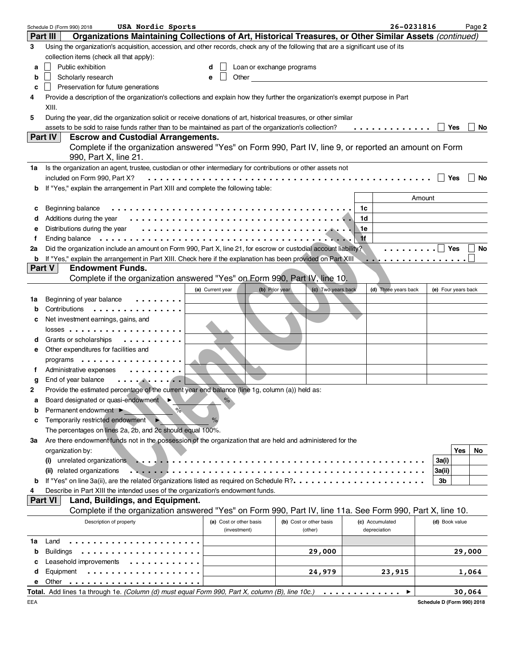|        | <b>USA Nordic Sports</b><br>Schedule D (Form 990) 2018                                                                           |                         |                                      | 26-0231816           |                | Page 2              |
|--------|----------------------------------------------------------------------------------------------------------------------------------|-------------------------|--------------------------------------|----------------------|----------------|---------------------|
|        | Organizations Maintaining Collections of Art, Historical Treasures, or Other Similar Assets (continued)<br>Part III              |                         |                                      |                      |                |                     |
| 3      | Using the organization's acquisition, accession, and other records, check any of the following that are a significant use of its |                         |                                      |                      |                |                     |
|        | collection items (check all that apply):                                                                                         |                         |                                      |                      |                |                     |
| a      | Public exhibition                                                                                                                | d                       | Loan or exchange programs            |                      |                |                     |
| b      | Scholarly research                                                                                                               | Other<br>e              |                                      |                      |                |                     |
| c      | Preservation for future generations                                                                                              |                         |                                      |                      |                |                     |
| 4      | Provide a description of the organization's collections and explain how they further the organization's exempt purpose in Part   |                         |                                      |                      |                |                     |
|        | XIII.                                                                                                                            |                         |                                      |                      |                |                     |
| 5      | During the year, did the organization solicit or receive donations of art, historical treasures, or other similar                |                         |                                      |                      |                |                     |
|        | assets to be sold to raise funds rather than to be maintained as part of the organization's collection?                          |                         |                                      | .                    |                | Yes<br>No           |
|        | Part IV<br><b>Escrow and Custodial Arrangements.</b>                                                                             |                         |                                      |                      |                |                     |
|        | Complete if the organization answered "Yes" on Form 990, Part IV, line 9, or reported an amount on Form                          |                         |                                      |                      |                |                     |
|        | 990, Part X, line 21.                                                                                                            |                         |                                      |                      |                |                     |
| 1a     | Is the organization an agent, trustee, custodian or other intermediary for contributions or other assets not                     |                         |                                      |                      |                |                     |
|        |                                                                                                                                  |                         |                                      |                      |                | Yes<br>No           |
|        | included on Form 990, Part X?                                                                                                    |                         |                                      |                      |                |                     |
| b      | If "Yes," explain the arrangement in Part XIII and complete the following table:                                                 |                         |                                      |                      |                |                     |
|        |                                                                                                                                  |                         |                                      |                      | Amount         |                     |
| с      | Beginning balance                                                                                                                |                         |                                      | 1с                   |                |                     |
| d      | Additions during the year                                                                                                        |                         |                                      | 1d                   |                |                     |
| е      | Distributions during the year                                                                                                    |                         |                                      | ∖1e                  |                |                     |
| f      | Ending balance                                                                                                                   |                         |                                      | 1 <sub>f</sub>       |                |                     |
| 2a     | Did the organization include an amount on Form 990, Part X, line 21, for escrow or custodial account liability?                  |                         |                                      | . <b>.</b>           |                | Yes<br>No           |
| b      | If "Yes," explain the arrangement in Part XIII. Check here if the explanation has been provided on Part XIII                     |                         |                                      | .                    |                |                     |
| Part V | <b>Endowment Funds.</b>                                                                                                          |                         |                                      |                      |                |                     |
|        | Complete if the organization answered "Yes" on Form 990, Part IV, line 10.                                                       |                         |                                      |                      |                |                     |
|        |                                                                                                                                  | (a) Current year        | (c) Two years back<br>(b) Prior year | (d) Three years back |                | (e) Four years back |
| 1a     | Beginning of year balance                                                                                                        |                         |                                      |                      |                |                     |
| b      | .<br>Contributions                                                                                                               |                         |                                      |                      |                |                     |
| c      | Net investment earnings, gains, and                                                                                              |                         |                                      |                      |                |                     |
|        | $losses \t\t\t \t\t \t\t \t\t \t\t$                                                                                              |                         |                                      |                      |                |                     |
| d      | .<br>Grants or scholarships                                                                                                      |                         |                                      |                      |                |                     |
| e      | Other expenditures for facilities and                                                                                            |                         |                                      |                      |                |                     |
|        | programs                                                                                                                         |                         |                                      |                      |                |                     |
| f      | Administrative expenses                                                                                                          |                         |                                      |                      |                |                     |
| g      | . <i>.</i><br>End of year balance                                                                                                |                         |                                      |                      |                |                     |
| 2      | Provide the estimated percentage of the current year end balance (line 1g, column (a)) held as:                                  |                         |                                      |                      |                |                     |
|        | Board designated or quasi-endowment                                                                                              | $\%$                    |                                      |                      |                |                     |
| b      | $\%$<br>Permanent endowment                                                                                                      |                         |                                      |                      |                |                     |
| c      | Temporarily restricted endowment                                                                                                 | $\frac{1}{2}$           |                                      |                      |                |                     |
|        | The percentages on lines 2a, 2b, and 2c should equal 100%.                                                                       |                         |                                      |                      |                |                     |
|        | Are there endowment funds not in the possession of the organization that are held and administered for the                       |                         |                                      |                      |                |                     |
| За     |                                                                                                                                  |                         |                                      |                      |                | Yes<br>No           |
|        | organization by:                                                                                                                 |                         |                                      |                      |                |                     |
|        | unrelated organizations<br>$\sf (i)$                                                                                             |                         |                                      |                      | 3a(i)          |                     |
|        | (ii) related organizations<br>.                                                                                                  |                         |                                      |                      | 3a(ii)         |                     |
| b      | If "Yes" on line 3a(ii), are the related organizations listed as required on Schedule $R$ ?.                                     |                         |                                      |                      | 3b             |                     |
| 4      | Describe in Part XIII the intended uses of the organization's endowment funds.                                                   |                         |                                      |                      |                |                     |
|        | Part VI<br>Land, Buildings, and Equipment.                                                                                       |                         |                                      |                      |                |                     |
|        | Complete if the organization answered "Yes" on Form 990, Part IV, line 11a. See Form 990, Part X, line 10.                       |                         |                                      |                      |                |                     |
|        | Description of property                                                                                                          | (a) Cost or other basis | (b) Cost or other basis              | (c) Accumulated      | (d) Book value |                     |
|        |                                                                                                                                  | (investment)            | (other)                              | depreciation         |                |                     |
| 1a     | Land                                                                                                                             |                         |                                      |                      |                |                     |
| b      | <b>Buildings</b>                                                                                                                 |                         | 29,000                               |                      |                | 29,000              |
| c      | Leasehold improvements                                                                                                           |                         |                                      |                      |                |                     |
| d      | Equipment                                                                                                                        |                         | 24,979                               | 23,915               |                | 1,064               |
| е      | Other<br>.                                                                                                                       |                         |                                      |                      |                |                     |
|        | Total. Add lines 1a through 1e. (Column (d) must equal Form 990, Part X, column (B), line 10c.)                                  |                         |                                      | .<br>▶               |                | 30,064              |

EEA

| Schedule D (Form 990) 2018 |  |  |
|----------------------------|--|--|
|                            |  |  |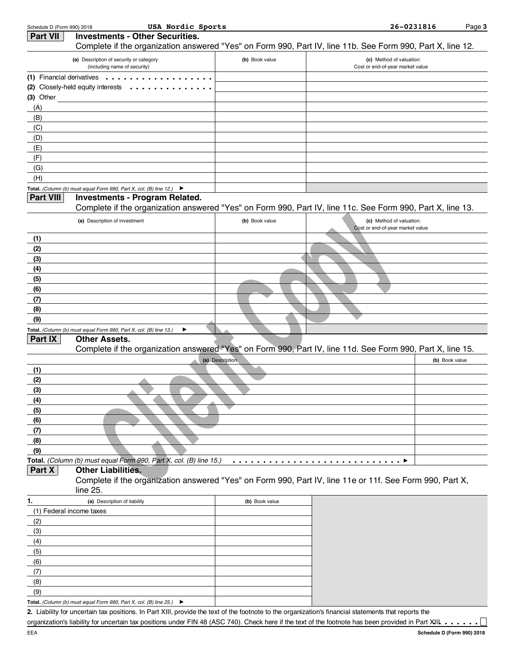| Schedule D (Form 990) 2018 | USA Nordic Sports                                                                                                                                    |                 | 26-0231816                                                   | Page 3         |
|----------------------------|------------------------------------------------------------------------------------------------------------------------------------------------------|-----------------|--------------------------------------------------------------|----------------|
| <b>Part VII</b>            | <b>Investments - Other Securities.</b>                                                                                                               |                 |                                                              |                |
|                            | Complete if the organization answered "Yes" on Form 990, Part IV, line 11b. See Form 990, Part X, line 12.                                           |                 |                                                              |                |
|                            | (a) Description of security or category<br>(including name of security)                                                                              | (b) Book value  | (c) Method of valuation:<br>Cost or end-of-year market value |                |
|                            | (1) Financial derivatives                                                                                                                            |                 |                                                              |                |
|                            | (2) Closely-held equity interests<br>.                                                                                                               |                 |                                                              |                |
| $(3)$ Other                |                                                                                                                                                      |                 |                                                              |                |
| (A)                        |                                                                                                                                                      |                 |                                                              |                |
| (B)<br>(C)                 |                                                                                                                                                      |                 |                                                              |                |
|                            |                                                                                                                                                      |                 |                                                              |                |
| (D)                        |                                                                                                                                                      |                 |                                                              |                |
| (E)                        |                                                                                                                                                      |                 |                                                              |                |
| (F)                        |                                                                                                                                                      |                 |                                                              |                |
| (G)<br>(H)                 |                                                                                                                                                      |                 |                                                              |                |
|                            |                                                                                                                                                      |                 |                                                              |                |
| <b>Part VIII</b>           | Total. (Column (b) must equal Form 990, Part X, col. (B) line 12.) $\blacktriangleright$<br><b>Investments - Program Related.</b>                    |                 |                                                              |                |
|                            | Complete if the organization answered "Yes" on Form 990, Part IV, line 11c. See Form 990, Part X, line 13.                                           |                 |                                                              |                |
|                            |                                                                                                                                                      |                 |                                                              |                |
|                            | (a) Description of investment                                                                                                                        | (b) Book value  | (c) Method of valuation:<br>Cost or end-of-year market value |                |
| (1)                        |                                                                                                                                                      |                 |                                                              |                |
| (2)                        |                                                                                                                                                      |                 |                                                              |                |
| (3)                        |                                                                                                                                                      |                 |                                                              |                |
| (4)                        |                                                                                                                                                      |                 |                                                              |                |
| (5)<br>(6)                 |                                                                                                                                                      |                 |                                                              |                |
| (7)                        |                                                                                                                                                      |                 |                                                              |                |
| (8)                        |                                                                                                                                                      |                 |                                                              |                |
| (9)                        |                                                                                                                                                      |                 |                                                              |                |
|                            | Total. (Column (b) must equal Form 990, Part X, col. (B) line 13.)<br>▶                                                                              |                 |                                                              |                |
| Part IX                    | <b>Other Assets.</b>                                                                                                                                 |                 |                                                              |                |
|                            | Complete if the organization answered "Yes" on Form 990, Part IV, line 11d. See Form 990, Part X, line 15.                                           |                 |                                                              |                |
|                            |                                                                                                                                                      | (a) Description |                                                              | (b) Book value |
| (1)                        |                                                                                                                                                      |                 |                                                              |                |
| (2)                        |                                                                                                                                                      |                 |                                                              |                |
| (3)                        |                                                                                                                                                      |                 |                                                              |                |
| (4)                        |                                                                                                                                                      |                 |                                                              |                |
| (5)                        |                                                                                                                                                      |                 |                                                              |                |
| (6)                        |                                                                                                                                                      |                 |                                                              |                |
| (7)                        |                                                                                                                                                      |                 |                                                              |                |
| (8)                        |                                                                                                                                                      |                 |                                                              |                |
| (9)                        |                                                                                                                                                      |                 |                                                              |                |
|                            | Total. (Column (b) must equal Form 990, Part X, col. (B) line 15.)                                                                                   |                 |                                                              |                |
| Part X                     | <b>Other Liabilities.</b>                                                                                                                            |                 |                                                              |                |
|                            | Complete if the organization answered "Yes" on Form 990, Part IV, line 11e or 11f. See Form 990, Part X,<br>$line 25$ .                              |                 |                                                              |                |
| 1.                         | (a) Description of liability                                                                                                                         | (b) Book value  |                                                              |                |
|                            | (1) Federal income taxes                                                                                                                             |                 |                                                              |                |
| (2)                        |                                                                                                                                                      |                 |                                                              |                |
| (3)                        |                                                                                                                                                      |                 |                                                              |                |
| (4)                        |                                                                                                                                                      |                 |                                                              |                |
| (5)                        |                                                                                                                                                      |                 |                                                              |                |
| (6)                        |                                                                                                                                                      |                 |                                                              |                |
| (7)                        |                                                                                                                                                      |                 |                                                              |                |
| (8)                        |                                                                                                                                                      |                 |                                                              |                |
| (9)                        |                                                                                                                                                      |                 |                                                              |                |
|                            | Total. (Column (b) must equal Form 990, Part X, col. (B) line 25.) $\blacktriangleright$                                                             |                 |                                                              |                |
|                            | 2. Liability for uncertain tax positions. In Part XIII, provide the text of the footnote to the organization's financial statements that reports the |                 |                                                              |                |

organization's liability for uncertain tax positions under FIN 48 (ASC 740). Check here if the text of the footnote has been provided in Part XIII . . . . . .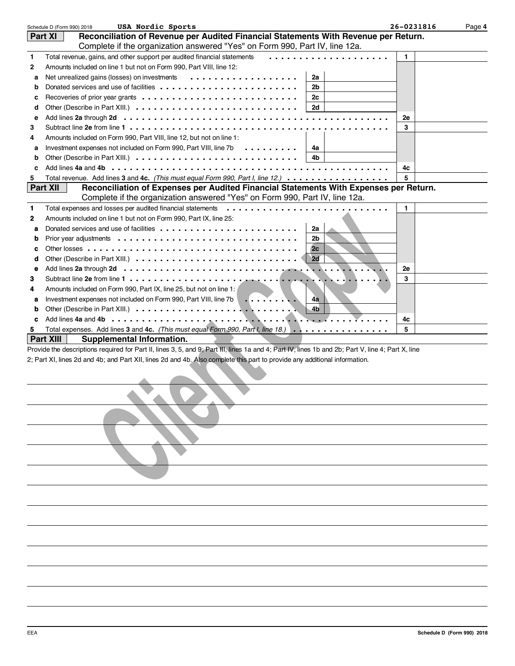|   | USA Nordic Sports<br>Schedule D (Form 990) 2018                                                                                                    | 26-0231816 | Page 4 |
|---|----------------------------------------------------------------------------------------------------------------------------------------------------|------------|--------|
|   | Reconciliation of Revenue per Audited Financial Statements With Revenue per Return.<br>Part XI                                                     |            |        |
|   | Complete if the organization answered "Yes" on Form 990, Part IV, line 12a.                                                                        |            |        |
| 1 | Total revenue, gains, and other support per audited financial statements                                                                           | 1          |        |
| 2 | Amounts included on line 1 but not on Form 990, Part VIII, line 12:                                                                                |            |        |
| a | .<br>Net unrealized gains (losses) on investments<br>2a                                                                                            |            |        |
| b | 2 <sub>b</sub>                                                                                                                                     |            |        |
| c | 2c                                                                                                                                                 |            |        |
|   | 2d                                                                                                                                                 |            |        |
| d |                                                                                                                                                    |            |        |
| e |                                                                                                                                                    | 2е         |        |
| 3 |                                                                                                                                                    | 3          |        |
| 4 | Amounts included on Form 990, Part VIII, line 12, but not on line 1:                                                                               |            |        |
| a | Investment expenses not included on Form 990, Part VIII, line 7b<br>.<br>4a                                                                        |            |        |
| b | 4b                                                                                                                                                 |            |        |
| c |                                                                                                                                                    | 4c         |        |
| 5 | Total revenue. Add lines 3 and 4c. (This must equal Form 990, Part I, line 12.) $\dots \dots \dots \dots \dots$                                    | 5          |        |
|   | Part XII<br>Reconciliation of Expenses per Audited Financial Statements With Expenses per Return.                                                  |            |        |
|   | Complete if the organization answered "Yes" on Form 990, Part IV, line 12a.                                                                        |            |        |
| 1 | Total expenses and losses per audited financial statements                                                                                         | 1          |        |
| 2 | Amounts included on line 1 but not on Form 990, Part IX, line 25:                                                                                  |            |        |
| a | 2a                                                                                                                                                 |            |        |
| b | 2 <sub>b</sub>                                                                                                                                     |            |        |
| c | 2c                                                                                                                                                 |            |        |
| d | 2d                                                                                                                                                 |            |        |
|   |                                                                                                                                                    | <b>2e</b>  |        |
| e |                                                                                                                                                    | 3          |        |
| 3 |                                                                                                                                                    |            |        |
| 4 | Amounts included on Form 990, Part IX, line 25, but not on line 1:                                                                                 |            |        |
| a | Investment expenses not included on Form 990, Part VIII, line 7b<br>$\cdot$<br>4a                                                                  |            |        |
| b | 4 <sub>b</sub>                                                                                                                                     |            |        |
| c |                                                                                                                                                    | 4с         |        |
| 5 | Total expenses. Add lines 3 and 4c. (This must equal Form 990, Part I, line 18.)                                                                   | 5          |        |
|   | Part XIII<br><b>Supplemental Information.</b>                                                                                                      |            |        |
|   | Provide the descriptions required for Part II, lines 3, 5, and 9; Part III, lines 1a and 4; Part IV, lines 1b and 2b; Part V, line 4; Part X, line |            |        |
|   | 2; Part XI, lines 2d and 4b; and Part XII, lines 2d and 4b. Also complete this part to provide any additional information.                         |            |        |
|   |                                                                                                                                                    |            |        |
|   |                                                                                                                                                    |            |        |
|   |                                                                                                                                                    |            |        |
|   |                                                                                                                                                    |            |        |
|   |                                                                                                                                                    |            |        |
|   |                                                                                                                                                    |            |        |
|   |                                                                                                                                                    |            |        |
|   |                                                                                                                                                    |            |        |
|   |                                                                                                                                                    |            |        |
|   |                                                                                                                                                    |            |        |
|   |                                                                                                                                                    |            |        |
|   |                                                                                                                                                    |            |        |
|   |                                                                                                                                                    |            |        |
|   |                                                                                                                                                    |            |        |
|   |                                                                                                                                                    |            |        |
|   |                                                                                                                                                    |            |        |
|   |                                                                                                                                                    |            |        |
|   |                                                                                                                                                    |            |        |
|   |                                                                                                                                                    |            |        |
|   |                                                                                                                                                    |            |        |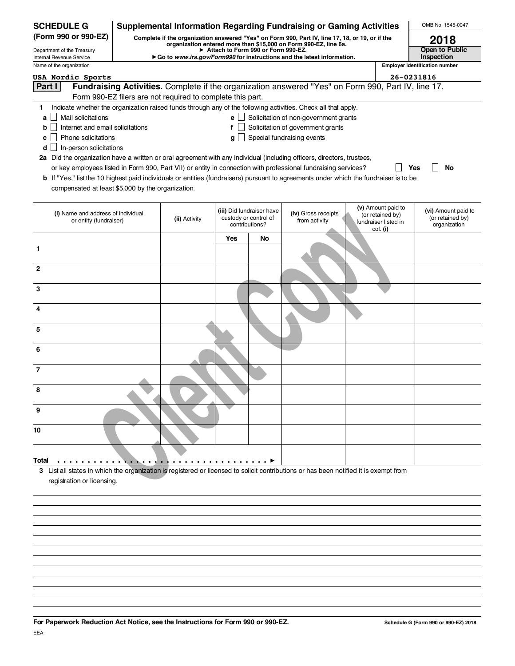| <b>SCHEDULE G</b>                                                                                                                            |                                                            | <b>Supplemental Information Regarding Fundraising or Gaming Activities</b>                                                                                          |                                           |                                        | OMB No. 1545-0047                     |
|----------------------------------------------------------------------------------------------------------------------------------------------|------------------------------------------------------------|---------------------------------------------------------------------------------------------------------------------------------------------------------------------|-------------------------------------------|----------------------------------------|---------------------------------------|
| (Form 990 or 990-EZ)                                                                                                                         |                                                            | Complete if the organization answered "Yes" on Form 990, Part IV, line 17, 18, or 19, or if the<br>organization entered more than \$15,000 on Form 990-EZ, line 6a. |                                           |                                        | 2018                                  |
| Department of the Treasury<br>Internal Revenue Service                                                                                       |                                                            | Attach to Form 990 or Form 990-EZ.<br>Go to www.irs.gov/Form990 for instructions and the latest information.                                                        |                                           |                                        | Open to Public<br>Inspection          |
| Name of the organization                                                                                                                     |                                                            |                                                                                                                                                                     |                                           |                                        | <b>Employer identification number</b> |
| USA Nordic Sports                                                                                                                            |                                                            |                                                                                                                                                                     |                                           |                                        | 26-0231816                            |
| Part I                                                                                                                                       |                                                            | Fundraising Activities. Complete if the organization answered "Yes" on Form 990, Part IV, line 17.                                                                  |                                           |                                        |                                       |
|                                                                                                                                              | Form 990-EZ filers are not required to complete this part. |                                                                                                                                                                     |                                           |                                        |                                       |
| $\mathbf{1}$                                                                                                                                 |                                                            | Indicate whether the organization raised funds through any of the following activities. Check all that apply.                                                       |                                           |                                        |                                       |
| Mail solicitations<br>a<br>$\Box$                                                                                                            |                                                            |                                                                                                                                                                     | $e$ Solicitation of non-government grants |                                        |                                       |
| Internet and email solicitations<br>b                                                                                                        |                                                            | f                                                                                                                                                                   | Solicitation of government grants         |                                        |                                       |
| Phone solicitations<br>$\blacksquare$<br>c<br>In-person solicitations<br>$\blacksquare$                                                      |                                                            | g                                                                                                                                                                   | Special fundraising events                |                                        |                                       |
| d  <br>2a Did the organization have a written or oral agreement with any individual (including officers, directors, trustees,                |                                                            |                                                                                                                                                                     |                                           |                                        |                                       |
|                                                                                                                                              |                                                            | or key employees listed in Form 990, Part VII) or entity in connection with professional fundraising services?                                                      |                                           |                                        | Yes<br>No                             |
| <b>b</b> If "Yes," list the 10 highest paid individuals or entities (fundraisers) pursuant to agreements under which the fundraiser is to be |                                                            |                                                                                                                                                                     |                                           |                                        |                                       |
| compensated at least \$5,000 by the organization.                                                                                            |                                                            |                                                                                                                                                                     |                                           |                                        |                                       |
|                                                                                                                                              |                                                            |                                                                                                                                                                     |                                           |                                        |                                       |
| (i) Name and address of individual                                                                                                           |                                                            | (iii) Did fundraiser have                                                                                                                                           | (iv) Gross receipts                       | (v) Amount paid to<br>(or retained by) | (vi) Amount paid to                   |
| or entity (fundraiser)                                                                                                                       | (ii) Activity                                              | custody or control of<br>contributions?                                                                                                                             | from activity                             | fundraiser listed in                   | (or retained by)<br>organization      |
|                                                                                                                                              |                                                            |                                                                                                                                                                     |                                           | col. (i)                               |                                       |
|                                                                                                                                              |                                                            | Yes<br>No                                                                                                                                                           |                                           |                                        |                                       |
|                                                                                                                                              |                                                            |                                                                                                                                                                     |                                           |                                        |                                       |
| $\mathbf{2}$                                                                                                                                 |                                                            |                                                                                                                                                                     |                                           |                                        |                                       |
|                                                                                                                                              |                                                            |                                                                                                                                                                     |                                           |                                        |                                       |
| 3                                                                                                                                            |                                                            |                                                                                                                                                                     |                                           |                                        |                                       |
|                                                                                                                                              |                                                            |                                                                                                                                                                     |                                           |                                        |                                       |
| 4                                                                                                                                            |                                                            |                                                                                                                                                                     |                                           |                                        |                                       |
|                                                                                                                                              |                                                            |                                                                                                                                                                     |                                           |                                        |                                       |
| 5                                                                                                                                            |                                                            |                                                                                                                                                                     |                                           |                                        |                                       |
| 6                                                                                                                                            |                                                            |                                                                                                                                                                     |                                           |                                        |                                       |
|                                                                                                                                              |                                                            |                                                                                                                                                                     |                                           |                                        |                                       |
| 7                                                                                                                                            |                                                            |                                                                                                                                                                     |                                           |                                        |                                       |
|                                                                                                                                              |                                                            |                                                                                                                                                                     |                                           |                                        |                                       |
| 8                                                                                                                                            |                                                            |                                                                                                                                                                     |                                           |                                        |                                       |
|                                                                                                                                              |                                                            |                                                                                                                                                                     |                                           |                                        |                                       |
| 9                                                                                                                                            |                                                            |                                                                                                                                                                     |                                           |                                        |                                       |
| 10                                                                                                                                           |                                                            |                                                                                                                                                                     |                                           |                                        |                                       |
|                                                                                                                                              |                                                            |                                                                                                                                                                     |                                           |                                        |                                       |
|                                                                                                                                              |                                                            |                                                                                                                                                                     |                                           |                                        |                                       |
| Total                                                                                                                                        | .                                                          |                                                                                                                                                                     |                                           |                                        |                                       |
| 3 List all states in which the organization is registered or licensed to solicit contributions or has been notified it is exempt from        |                                                            |                                                                                                                                                                     |                                           |                                        |                                       |
| registration or licensing.                                                                                                                   |                                                            |                                                                                                                                                                     |                                           |                                        |                                       |
|                                                                                                                                              |                                                            |                                                                                                                                                                     |                                           |                                        |                                       |
|                                                                                                                                              |                                                            |                                                                                                                                                                     |                                           |                                        |                                       |
|                                                                                                                                              |                                                            |                                                                                                                                                                     |                                           |                                        |                                       |
|                                                                                                                                              |                                                            |                                                                                                                                                                     |                                           |                                        |                                       |
|                                                                                                                                              |                                                            |                                                                                                                                                                     |                                           |                                        |                                       |
|                                                                                                                                              |                                                            |                                                                                                                                                                     |                                           |                                        |                                       |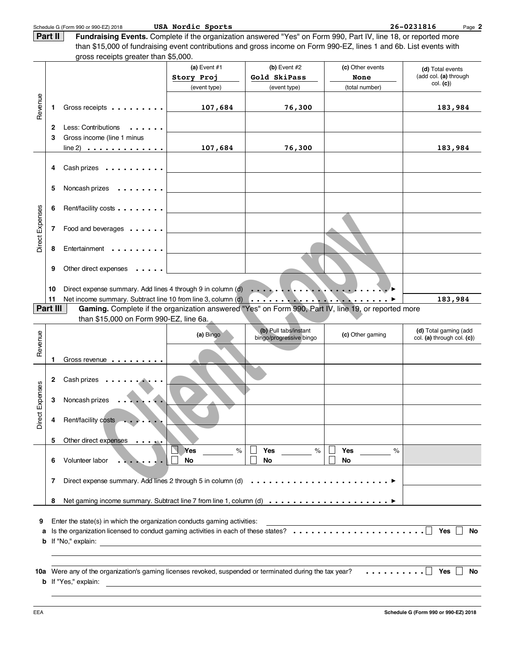|                 |                   | Schedule G (Form 990 or 990-EZ) 2018                                                                                                                       | USA Nordic Sports                            |                                                  |                                            | 26-0231816<br>Page 2                                  |
|-----------------|-------------------|------------------------------------------------------------------------------------------------------------------------------------------------------------|----------------------------------------------|--------------------------------------------------|--------------------------------------------|-------------------------------------------------------|
| Part II         |                   | Fundraising Events. Complete if the organization answered "Yes" on Form 990, Part IV, line 18, or reported more                                            |                                              |                                                  |                                            |                                                       |
|                 |                   | than \$15,000 of fundraising event contributions and gross income on Form 990-EZ, lines 1 and 6b. List events with<br>gross receipts greater than \$5,000. |                                              |                                                  |                                            |                                                       |
|                 |                   |                                                                                                                                                            | (a) Event $#1$<br>Story Proj<br>(event type) | (b) Event $#2$<br>Gold SkiPass<br>(event type)   | (c) Other events<br>None<br>(total number) | (d) Total events<br>(add col. (a) through<br>col. (c) |
| Revenue         | 1                 | Gross receipts                                                                                                                                             | 107,684                                      | 76,300                                           |                                            | 183,984                                               |
|                 | $\mathbf{2}$<br>3 | Less: Contributions<br>Gross income (line 1 minus<br>line 2) $\cdots$                                                                                      | 107,684                                      | 76,300                                           |                                            | 183,984                                               |
|                 | 4                 | Cash prizes                                                                                                                                                |                                              |                                                  |                                            |                                                       |
|                 | 5                 | Noncash prizes<br>.                                                                                                                                        |                                              |                                                  |                                            |                                                       |
|                 | 6                 | Rent/facility costs                                                                                                                                        |                                              |                                                  |                                            |                                                       |
| Direct Expenses | 7                 | Food and beverages                                                                                                                                         |                                              |                                                  |                                            |                                                       |
|                 | 8                 | Entertainment                                                                                                                                              |                                              |                                                  |                                            |                                                       |
|                 | 9                 | Other direct expenses                                                                                                                                      |                                              |                                                  |                                            |                                                       |
|                 | 10                | Direct expense summary. Add lines 4 through 9 in column (d)                                                                                                |                                              | $\cdots$                                         | .                                          |                                                       |
| Part III        | 11                | Gaming. Complete if the organization answered "Yes" on Form 990, Part IV, line 19, or reported more                                                        |                                              |                                                  |                                            | 183,984                                               |
|                 |                   | than \$15,000 on Form 990-EZ, line 6a.                                                                                                                     |                                              |                                                  |                                            |                                                       |
| Revenue         |                   |                                                                                                                                                            | (a) Bingo                                    | (b) Pull tabs/instant<br>bingo/progressive bingo | (c) Other gaming                           | (d) Total gaming (add<br>col. (a) through col. (c))   |
|                 | 1                 | Gross revenue $\cdots$                                                                                                                                     |                                              |                                                  |                                            |                                                       |
|                 | 2                 | Cash prizes                                                                                                                                                |                                              |                                                  |                                            |                                                       |
|                 | 3                 | Noncash prizes                                                                                                                                             |                                              |                                                  |                                            |                                                       |
| Direct Expenses | 4                 | Rent/facility costs                                                                                                                                        |                                              |                                                  |                                            |                                                       |
|                 | 5                 | Other direct expenses                                                                                                                                      | <b>Yes</b><br>$\%$                           | Yes<br>$\%$                                      | Yes<br>$\frac{1}{2}$                       |                                                       |
|                 | 6                 | Volunteer labor                                                                                                                                            | <b>No</b>                                    | <b>No</b>                                        | No                                         |                                                       |
|                 | 7                 | Direct expense summary. Add lines 2 through 5 in column (d)                                                                                                |                                              |                                                  |                                            |                                                       |
|                 | 8                 | Net gaming income summary. Subtract line 7 from line 1, column (d)                                                                                         |                                              |                                                  |                                            |                                                       |
| 9<br>а<br>b     |                   | Enter the state(s) in which the organization conducts gaming activities:<br>If "No," explain:                                                              |                                              |                                                  |                                            | Yes<br>No                                             |
| 10a             |                   | Were any of the organization's gaming licenses revoked, suspended or terminated during the tax year?<br>b If "Yes," explain:                               |                                              |                                                  |                                            | Yes<br>No                                             |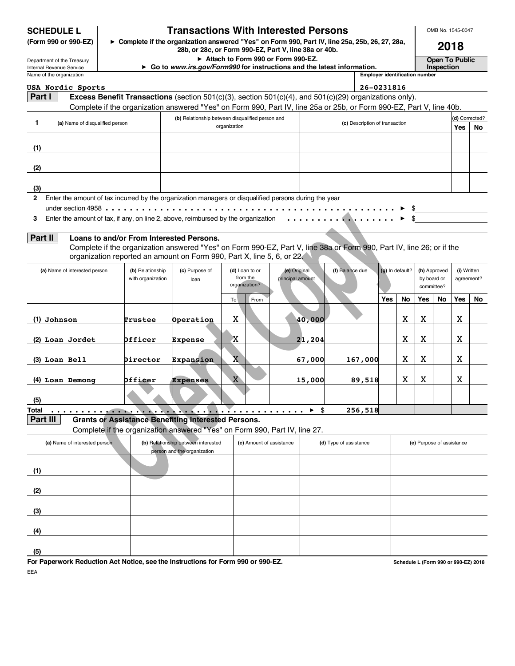| <b>SCHEDULE L</b>                                                                                                     |                                                                                                                       | <b>Transactions With Interested Persons</b>                                     |                                                       |                                  |           |                                |                                       |                           | OMB No. 1545-0047                         |                           |                |
|-----------------------------------------------------------------------------------------------------------------------|-----------------------------------------------------------------------------------------------------------------------|---------------------------------------------------------------------------------|-------------------------------------------------------|----------------------------------|-----------|--------------------------------|---------------------------------------|---------------------------|-------------------------------------------|---------------------------|----------------|
| (Form 990 or 990-EZ)                                                                                                  | ► Complete if the organization answered "Yes" on Form 990, Part IV, line 25a, 25b, 26, 27, 28a,                       |                                                                                 | 28b, or 28c, or Form 990-EZ, Part V, line 38a or 40b. |                                  |           |                                |                                       |                           |                                           | 2018                      |                |
| Department of the Treasury                                                                                            |                                                                                                                       | ► Go to <i>www.irs.gov/Form990</i> for instructions and the latest information. | Attach to Form 990 or Form 990-EZ.                    |                                  |           |                                |                                       |                           | <b>Open To Public</b><br>Inspection       |                           |                |
| Internal Revenue Service<br>Name of the organization                                                                  |                                                                                                                       |                                                                                 |                                                       |                                  |           |                                | <b>Employer identification number</b> |                           |                                           |                           |                |
| <b>USA Nordic Sports</b>                                                                                              |                                                                                                                       |                                                                                 |                                                       |                                  |           |                                | 26-0231816                            |                           |                                           |                           |                |
| Part I                                                                                                                | Excess Benefit Transactions (section $501(c)(3)$ , section $501(c)(4)$ , and $501(c)(29)$ organizations only).        |                                                                                 |                                                       |                                  |           |                                |                                       |                           |                                           |                           |                |
|                                                                                                                       | Complete if the organization answered "Yes" on Form 990, Part IV, line 25a or 25b, or Form 990-EZ, Part V, line 40b.  |                                                                                 |                                                       |                                  |           |                                |                                       |                           |                                           |                           |                |
| 1                                                                                                                     |                                                                                                                       |                                                                                 | (b) Relationship between disqualified person and      |                                  |           |                                |                                       |                           |                                           |                           | (d) Corrected? |
| (a) Name of disqualified person                                                                                       |                                                                                                                       |                                                                                 | organization                                          |                                  |           | (c) Description of transaction |                                       |                           |                                           | <b>Yes</b>                | No             |
| (1)                                                                                                                   |                                                                                                                       |                                                                                 |                                                       |                                  |           |                                |                                       |                           |                                           |                           |                |
| (2)                                                                                                                   |                                                                                                                       |                                                                                 |                                                       |                                  |           |                                |                                       |                           |                                           |                           |                |
| (3)                                                                                                                   |                                                                                                                       |                                                                                 |                                                       |                                  |           |                                |                                       |                           |                                           |                           |                |
| Enter the amount of tax incurred by the organization managers or disqualified persons during the year<br>$\mathbf{2}$ |                                                                                                                       |                                                                                 |                                                       |                                  |           |                                |                                       |                           |                                           |                           |                |
| under section 4958 $\dots$ , $\dots$ , $\dots$ , $\dots$ , $\dots$ , $\dots$ , $\dots$ , $\dots$ , $\dots$            |                                                                                                                       |                                                                                 |                                                       |                                  |           |                                |                                       |                           |                                           |                           |                |
| Enter the amount of tax, if any, on line 2, above, reimbursed by the organization<br>3                                |                                                                                                                       |                                                                                 |                                                       |                                  |           |                                |                                       | \$                        |                                           |                           |                |
|                                                                                                                       |                                                                                                                       |                                                                                 |                                                       |                                  |           |                                |                                       |                           |                                           |                           |                |
| Part II                                                                                                               | Loans to and/or From Interested Persons.                                                                              |                                                                                 |                                                       |                                  |           |                                |                                       |                           |                                           |                           |                |
|                                                                                                                       | Complete if the organization answered "Yes" on Form 990-EZ, Part V, line 38a or Form 990, Part IV, line 26; or if the |                                                                                 |                                                       |                                  |           |                                |                                       |                           |                                           |                           |                |
|                                                                                                                       | organization reported an amount on Form 990, Part X, line 5, 6, or 22.                                                |                                                                                 |                                                       |                                  |           |                                |                                       |                           |                                           |                           |                |
| (a) Name of interested person                                                                                         | (b) Relationship<br>with organization                                                                                 | (c) Purpose of<br>loan                                                          | (d) Loan to or<br>from the<br>organization?           | (e) Original<br>principal amount |           | (f) Balance due                | (g) In default?                       |                           | (h) Approved<br>by board or<br>committee? | (i) Written<br>agreement? |                |
|                                                                                                                       |                                                                                                                       |                                                                                 | To<br>From                                            |                                  |           |                                | <b>Yes</b><br>No                      | Yes                       | No                                        | Yes                       | No             |
| $(1)$ Johnson                                                                                                         | <b>Trustee</b>                                                                                                        | <b>Operation</b>                                                                | X                                                     |                                  | 40,000    |                                | Χ                                     | X                         |                                           | X                         |                |
|                                                                                                                       |                                                                                                                       |                                                                                 |                                                       |                                  |           |                                |                                       |                           |                                           |                           |                |
| (2) Loan Jordet                                                                                                       | Officer                                                                                                               | Expense                                                                         | X                                                     |                                  | 21,204    |                                | X                                     | X                         |                                           | X                         |                |
| $(3)$ Loan Bell                                                                                                       | <b>Director</b>                                                                                                       | <b>Expansion</b>                                                                | X                                                     |                                  | 67,000    | 167,000                        | X                                     | X                         |                                           | X                         |                |
| (4) Loan Demong                                                                                                       | Officer                                                                                                               | <b>Expenses</b>                                                                 | X                                                     |                                  | 15,000    | 89,518                         | X                                     | X                         |                                           | X                         |                |
| (5)                                                                                                                   |                                                                                                                       |                                                                                 |                                                       |                                  |           |                                |                                       |                           |                                           |                           |                |
| Total                                                                                                                 | $\sim$ $\sim$                                                                                                         |                                                                                 |                                                       |                                  | - \$<br>▶ | 256,518                        |                                       |                           |                                           |                           |                |
| Part III                                                                                                              | <b>Grants or Assistance Benefiting Interested Persons.</b>                                                            |                                                                                 |                                                       |                                  |           |                                |                                       |                           |                                           |                           |                |
|                                                                                                                       | Complete if the organization answered "Yes" on Form 990, Part IV, line 27.                                            |                                                                                 |                                                       |                                  |           |                                |                                       |                           |                                           |                           |                |
| (a) Name of interested person                                                                                         |                                                                                                                       | (b) Relationship between interested<br>person and the organization              | (c) Amount of assistance                              |                                  |           | (d) Type of assistance         |                                       | (e) Purpose of assistance |                                           |                           |                |
| (1)                                                                                                                   |                                                                                                                       |                                                                                 |                                                       |                                  |           |                                |                                       |                           |                                           |                           |                |
| (2)                                                                                                                   |                                                                                                                       |                                                                                 |                                                       |                                  |           |                                |                                       |                           |                                           |                           |                |
| (3)                                                                                                                   |                                                                                                                       |                                                                                 |                                                       |                                  |           |                                |                                       |                           |                                           |                           |                |
|                                                                                                                       |                                                                                                                       |                                                                                 |                                                       |                                  |           |                                |                                       |                           |                                           |                           |                |
| (4)                                                                                                                   |                                                                                                                       |                                                                                 |                                                       |                                  |           |                                |                                       |                           |                                           |                           |                |
|                                                                                                                       |                                                                                                                       |                                                                                 |                                                       |                                  |           |                                |                                       |                           |                                           |                           |                |

**For Paperwork Reduction Act Notice, see the Instructions for Form 990 or 990-EZ.** EEA

**(5)**

**Schedule L (Form 990 or 990-EZ) 2018**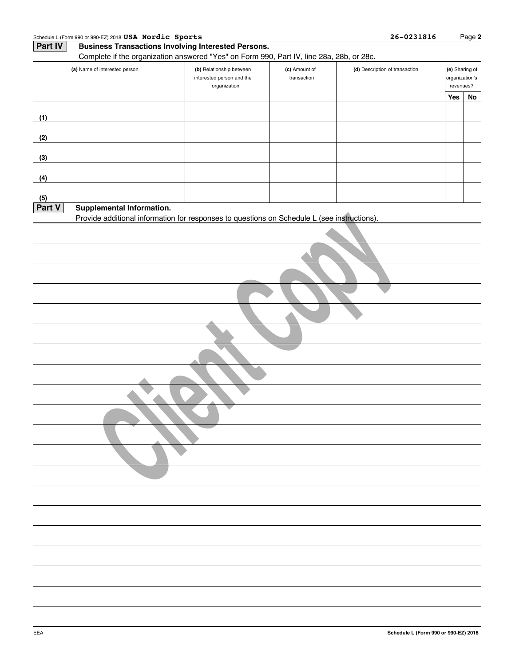#### Schedule L (Form 990 or 990-EZ) 2018 **USA Nordic Sports 26-0231816**

#### Page **2**

| Part IV       | <b>Business Transactions Involving Interested Persons.</b>                                  |                                                                       |                              |                                |                                                      |    |
|---------------|---------------------------------------------------------------------------------------------|-----------------------------------------------------------------------|------------------------------|--------------------------------|------------------------------------------------------|----|
|               | Complete if the organization answered "Yes" on Form 990, Part IV, line 28a, 28b, or 28c.    |                                                                       |                              |                                |                                                      |    |
|               | (a) Name of interested person                                                               | (b) Relationship between<br>interested person and the<br>organization | (c) Amount of<br>transaction | (d) Description of transaction | (e) Sharing of<br>organization's<br>revenues?<br>Yes | No |
| (1)           |                                                                                             |                                                                       |                              |                                |                                                      |    |
| (2)           |                                                                                             |                                                                       |                              |                                |                                                      |    |
| (3)           |                                                                                             |                                                                       |                              |                                |                                                      |    |
| (4)           |                                                                                             |                                                                       |                              |                                |                                                      |    |
| (5)<br>Part V | Supplemental Information.                                                                   |                                                                       |                              |                                |                                                      |    |
|               | Provide additional information for responses to questions on Schedule L (see instructions). |                                                                       |                              |                                |                                                      |    |
|               |                                                                                             |                                                                       |                              |                                |                                                      |    |
|               |                                                                                             |                                                                       |                              |                                |                                                      |    |
|               |                                                                                             |                                                                       |                              |                                |                                                      |    |
|               |                                                                                             |                                                                       |                              |                                |                                                      |    |
|               |                                                                                             |                                                                       |                              |                                |                                                      |    |
|               |                                                                                             |                                                                       |                              |                                |                                                      |    |
|               |                                                                                             |                                                                       |                              |                                |                                                      |    |
|               |                                                                                             |                                                                       |                              |                                |                                                      |    |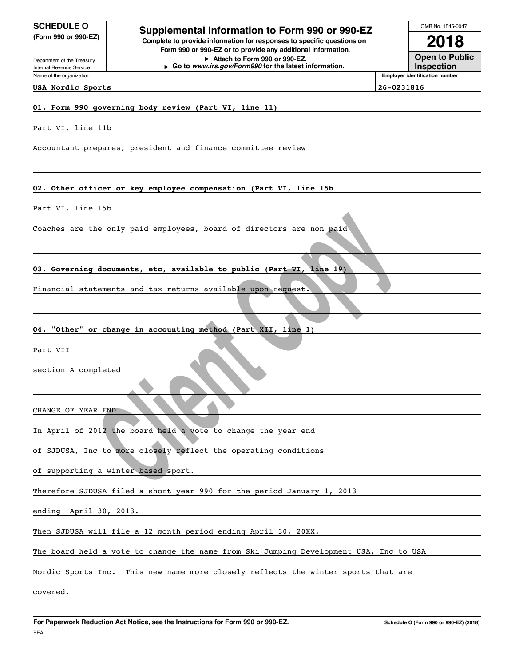Department of the Treasury Internal Revenue Service Name of the organization

**2018 Supplemental Information to Form 990 or 990-EZ Supplemental Information to Form 990 or 990-EZ Supplemental Information for responses to specific questions on (Form 990 or 990-EZ) Complete to provide information for responses to specific questions on Form 990 or 990-EZ or to provide any additional information. Attach to Form 990 or 990-EZ.**

**Go to** *www.irs.gov/Form990* **for the latest information.**

**Open to Public**

OMB No. 1545-0047

**Inspection Employer identification number**

**USA Nordic Sports 26-0231816**

**01. Form 990 governing body review (Part VI, line 11)**

Part VI, line 11b

Accountant prepares, president and finance committee review

**02. Other officer or key employee compensation (Part VI, line 15b**

Part VI, line 15b

Coaches are the only paid employees, board of directors are non paid

**03. Governing documents, etc, available to public (Part VI, line 19)**

Financial statements and tax returns available upon request.

**04. "Other" or change in accounting method (Part XII, line 1)**

Part VII

section A completed

CHANGE OF YEAR END

In April of 2012 the board held a vote to change the year end

of SJDUSA, Inc to more closely reflect the operating conditions

of supporting a winter based sport.

the only paid employees, board of directors are non paid<br> **Example 19** documents, etc, available to public (Part VI, line 19<br> **OF Consecuting in accounting method (Part XII, line 1)**<br> **OF Consecuting in accounting method (** Therefore SJDUSA filed a short year 990 for the period January 1, 2013

ending April 30, 2013.

Then SJDUSA will file a 12 month period ending April 30, 20XX.

The board held a vote to change the name from Ski Jumping Development USA, Inc to USA

Nordic Sports Inc. This new name more closely reflects the winter sports that are

covered.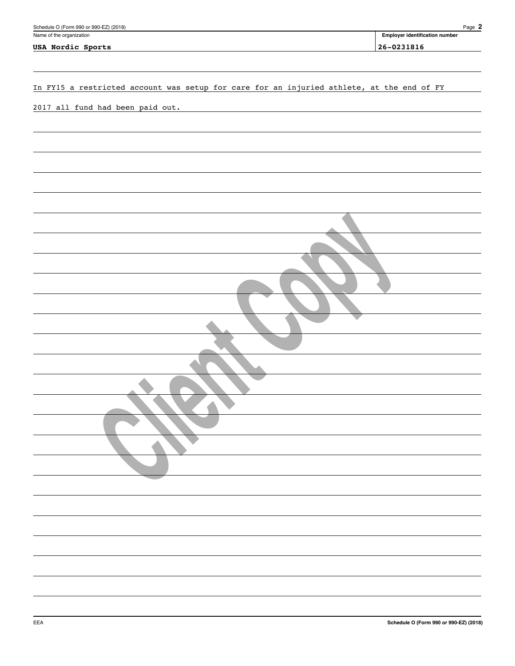| Schedule O (Form 990 or 990-EZ) (2018)                                                    | Page 2                                |
|-------------------------------------------------------------------------------------------|---------------------------------------|
| Name of the organization                                                                  | <b>Employer identification number</b> |
| USA Nordic Sports                                                                         | 26-0231816                            |
|                                                                                           |                                       |
|                                                                                           |                                       |
| In FY15 a restricted account was setup for care for an injuried athlete, at the end of FY |                                       |
|                                                                                           |                                       |
| 2017 all fund had been paid out.                                                          |                                       |
|                                                                                           |                                       |
|                                                                                           |                                       |
|                                                                                           |                                       |
|                                                                                           |                                       |
|                                                                                           |                                       |
|                                                                                           |                                       |
|                                                                                           |                                       |
|                                                                                           |                                       |
|                                                                                           |                                       |
|                                                                                           |                                       |
|                                                                                           |                                       |
|                                                                                           |                                       |
|                                                                                           |                                       |
|                                                                                           |                                       |
|                                                                                           |                                       |
|                                                                                           |                                       |
|                                                                                           |                                       |
|                                                                                           |                                       |
|                                                                                           |                                       |
|                                                                                           |                                       |
|                                                                                           |                                       |
|                                                                                           |                                       |
|                                                                                           |                                       |
|                                                                                           |                                       |
|                                                                                           |                                       |
|                                                                                           |                                       |
|                                                                                           |                                       |
|                                                                                           |                                       |
|                                                                                           |                                       |
|                                                                                           |                                       |
|                                                                                           |                                       |
|                                                                                           |                                       |
|                                                                                           |                                       |
|                                                                                           |                                       |
|                                                                                           |                                       |
|                                                                                           |                                       |
|                                                                                           |                                       |
|                                                                                           |                                       |
|                                                                                           |                                       |
|                                                                                           |                                       |
|                                                                                           |                                       |
|                                                                                           |                                       |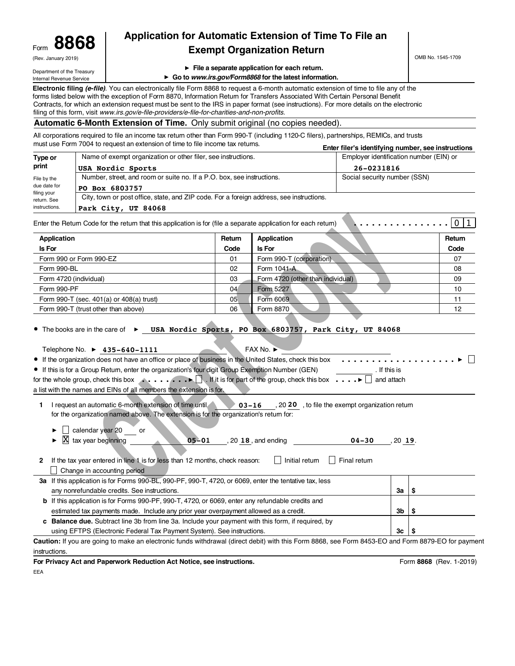|                            | Application for Automatic Extension of Time To File an             |                   |
|----------------------------|--------------------------------------------------------------------|-------------------|
| Form 8868                  | <b>Exempt Organization Return</b>                                  |                   |
| (Rev. January 2019)        |                                                                    | OMB No. 1545-1709 |
| Department of the Treasury | $\blacktriangleright$ File a separate application for each return. |                   |

Internal Revenue Service

## **8868 Application for Automatic Extension of Time To File an Exempt Organization Return**

|  |  |  |  |  |  |  |  |  |  |  | $\triangleright$ File a separate application for each return. |  |
|--|--|--|--|--|--|--|--|--|--|--|---------------------------------------------------------------|--|
|--|--|--|--|--|--|--|--|--|--|--|---------------------------------------------------------------|--|

#### **Go to** *www.irs.gov/Form8868* **for the latest information.**

**Electronic filing** *(e-file)*. You can electronically file Form 8868 to request a 6-month automatic extension of time to file any of the forms listed below with the exception of Form 8870, Information Return for Transfers Associated With Certain Personal Benefit Contracts, for which an extension request must be sent to the IRS in paper format (see instructions). For more details on the electronic filing of this form, visit *www.irs.gov/e-file-providers/e-file-for-charities-and-non-profits.*

#### **Automatic 6-Month Extension of Time.** Only submit original (no copies needed).

All corporations required to file an income tax return other than Form 990-T (including 1120-C filers), partnerships, REMICs, and trusts must use Form 7004 to request an extension of time to file income tax returns.

|                            |                                                                                          | Enter filer's identifying number, see instructions |
|----------------------------|------------------------------------------------------------------------------------------|----------------------------------------------------|
| Type or                    | Name of exempt organization or other filer, see instructions.                            | Employer identification number (EIN) or            |
| print                      | USA Nordic Sports                                                                        | 26-0231816                                         |
| File by the                | Number, street, and room or suite no. If a P.O. box, see instructions.                   | Social security number (SSN)                       |
| due date for               | PO Box 6803757                                                                           |                                                    |
| filing your<br>return. See | City, town or post office, state, and ZIP code. For a foreign address, see instructions. |                                                    |
| instructions.              | Park City, UT 84068                                                                      |                                                    |

| Application                              | Return | Application                       | Return |
|------------------------------------------|--------|-----------------------------------|--------|
| <b>Is For</b>                            | Code   | <b>Is For</b>                     | Code   |
| Form 990 or Form 990-EZ                  | 01     | Form 990-T (corporation).         | 07     |
| Form 990-BL                              | 02     | Form 1041-A                       | 08     |
| Form 4720 (individual)                   | 03     | Form 4720 (other than individual) | 09     |
| Form 990-PF                              | 04     | Form 5227                         | 10     |
| Form 990-T (sec. 401(a) or 408(a) trust) | 05     | Form 6069                         | 11     |
| Form 990-T (trust other than above)      | 06     | Form 8870                         | 12     |

#### $\bullet$  The books are in the care of  $\blacktriangleright$ **USA Nordic Sports, PO Box 6803757, Park City, UT 84068**

| <b>Application</b>                                                                                                                                                                         | Return | <b>Application</b>                                                                                                                         | Return |
|--------------------------------------------------------------------------------------------------------------------------------------------------------------------------------------------|--------|--------------------------------------------------------------------------------------------------------------------------------------------|--------|
| <b>Is For</b>                                                                                                                                                                              | Code   | <b>Is For</b>                                                                                                                              | Code   |
| Form 990 or Form 990-EZ                                                                                                                                                                    | 01     | Form 990-T (corporation)                                                                                                                   | 07     |
| Form 990-BL                                                                                                                                                                                | 02     | Form 1041-A                                                                                                                                | 08     |
| Form 4720 (individual)                                                                                                                                                                     | 03     | Form 4720 (other than individual)                                                                                                          | 09     |
| Form 990-PF                                                                                                                                                                                | 04     | Form 5227                                                                                                                                  | 10     |
| Form 990-T (sec. 401(a) or 408(a) trust)                                                                                                                                                   | 05     | Form 6069                                                                                                                                  | 11     |
| Form 990-T (trust other than above)                                                                                                                                                        | 06     | Form 8870                                                                                                                                  | 12     |
| Telephone No. ▶ 435-640-1111                                                                                                                                                               |        | $FAX$ No. $\blacktriangleright$<br>• If the organization does not have an office or place of business in the United States, check this box |        |
|                                                                                                                                                                                            |        |                                                                                                                                            |        |
|                                                                                                                                                                                            |        |                                                                                                                                            |        |
|                                                                                                                                                                                            |        | . If this is                                                                                                                               |        |
|                                                                                                                                                                                            |        | for the whole group, check this box $\ldots$ , $\ldots$ , if it is for part of the group, check this box $\ldots$ . $\Box$ and attach      |        |
|                                                                                                                                                                                            |        |                                                                                                                                            |        |
| I request an automatic 6-month extension of time until<br>1.<br>for the organization named above. The extension is for the organization's retum for:                                       |        | 03-16, 2020, to file the exempt organization return                                                                                        |        |
| • If this is for a Group Retum, enter the organization's four digit Group Exemption Number (GEN)<br>a list with the names and EINs of all members the extension is for.                    |        |                                                                                                                                            |        |
| calendar year 20 or<br>▶                                                                                                                                                                   |        |                                                                                                                                            |        |
| $\overline{X}$ tax year beginning                                                                                                                                                          |        | $04-30$ , 20 19.                                                                                                                           |        |
|                                                                                                                                                                                            |        | $\mathbf{L}$                                                                                                                               |        |
| If the tax year entered in line 1 is for less than 12 months, check reason:<br>2                                                                                                           |        | Initial return<br>Final retum                                                                                                              |        |
| Change in accounting period<br>3a If this application is for Forms 990-BL, 990-PF, 990-T, 4720, or 6069, enter the tentative tax, less                                                     |        |                                                                                                                                            |        |
|                                                                                                                                                                                            |        |                                                                                                                                            |        |
| any nonrefundable credits. See instructions.<br><b>b</b> If this application is for Forms 990-PF, 990-T, 4720, or 6069, enter any refundable credits and                                   |        | За                                                                                                                                         | \$     |
|                                                                                                                                                                                            |        | 3b                                                                                                                                         | \$     |
| estimated tax payments made. Include any prior year overpayment allowed as a credit.<br>c Balance due. Subtract line 3b from line 3a. Include your payment with this form, if required, by |        |                                                                                                                                            |        |

**For Privacy Act and Paperwork Reduction Act Notice, see instructions.**

Form **8868** (Rev. 1-2019)

EEA

instructions.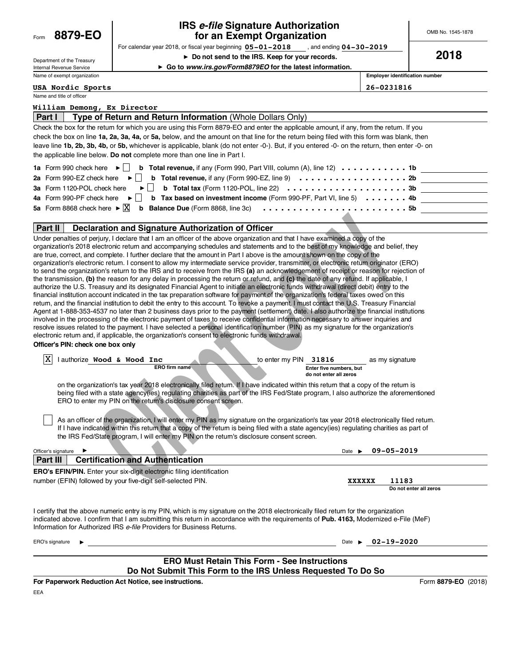| Form |  | 8879-EO |
|------|--|---------|
|------|--|---------|

#### **for an Exempt Organization IRS** *e-file* **Signature Authorization**

For calendar year 2018, or fiscal year beginning  $05 - 01 - 2018$ **05-01-2018 04-30-2019** OMB No. 1545-1878

**2018**

Form **8879-EO** (2018)

| Department of the Treasury  |
|-----------------------------|
| Internal Revenue Service    |
| Name of exempt organization |

### **Do not send to the IRS. Keep for your records.**

**Go to** *www.irs.gov/Form8879EO* **for the latest information.**

**Employer identification number**

**USA Nordic Sports 26-0231816**

| --------                  |  |  |  |
|---------------------------|--|--|--|
| Name and title of officer |  |  |  |

#### **William Demong, Ex Director**

| <b>Part I</b> Type of Return and Return Information (Whole Dollars Only)                                                                      |  |
|-----------------------------------------------------------------------------------------------------------------------------------------------|--|
| Check the box for the retum for which you are using this Form 8879-EO and enter the applicable amount, if any, from the retum. If you         |  |
| check the box on line 1a, 2a, 3a, 4a, or 5a, below, and the amount on that line for the return being filed with this form was blank, then     |  |
| leave line 1b, 2b, 3b, 4b, or 5b, whichever is applicable, blank (do not enter -0-). But, if you entered -0- on the return, then enter -0- on |  |
| the applicable line below. Do not complete more than one line in Part I.                                                                      |  |
|                                                                                                                                               |  |

| 1a Form 990 check here $\blacktriangleright$ <b>b</b> Total revenue, if any (Form 990, Part VIII, column (A), line 12) $\dots \dots \dots \dots$ 1b |  |
|-----------------------------------------------------------------------------------------------------------------------------------------------------|--|
| 2a Form 990-EZ check here ► b Total revenue, if any (Form 990-EZ, line 9) 2b                                                                        |  |
|                                                                                                                                                     |  |
| 4a Form 990-PF check here ► b Tax based on investment income (Form 990-PF, Part VI, line 5) 4b                                                      |  |
|                                                                                                                                                     |  |

#### **Part II Declaration and Signature Authorization of Officer**

| Part II<br>Declaration and Signature Authorization of Officer                                                                                                                                                                                                                                                                                                                                                                                                                                                                                                                                                                                                                                                                                                                                                                                                                                                                                                                                                                                                                                                                                                                                                                                                                                                                                                                                                                                                                                                                                                                                                                                                                                                                                                                                                            |                                                   |  |  |  |
|--------------------------------------------------------------------------------------------------------------------------------------------------------------------------------------------------------------------------------------------------------------------------------------------------------------------------------------------------------------------------------------------------------------------------------------------------------------------------------------------------------------------------------------------------------------------------------------------------------------------------------------------------------------------------------------------------------------------------------------------------------------------------------------------------------------------------------------------------------------------------------------------------------------------------------------------------------------------------------------------------------------------------------------------------------------------------------------------------------------------------------------------------------------------------------------------------------------------------------------------------------------------------------------------------------------------------------------------------------------------------------------------------------------------------------------------------------------------------------------------------------------------------------------------------------------------------------------------------------------------------------------------------------------------------------------------------------------------------------------------------------------------------------------------------------------------------|---------------------------------------------------|--|--|--|
| Under penalties of perjury, I declare that I am an officer of the above organization and that I have examined a copy of the<br>organization's 2018 electronic retum and accompanying schedules and statements and to the best of my knowledge and belief, they<br>are true, correct, and complete. I further declare that the amount in Part I above is the amount shown on the copy of the<br>organization's electronic retum. I consent to allow my intermediate service provider, transmitter, or electronic retum originator (ERO)<br>to send the organization's return to the IRS and to receive from the IRS (a) an acknowledgement of receipt or reason for rejection of<br>the transmission, (b) the reason for any delay in processing the return or refund, and (c) the date of any refund. If applicable, I<br>authorize the U.S. Treasury and its designated Financial Agent to initiate an electronic funds withdrawal (direct debit) entry to the<br>financial institution account indicated in the tax preparation software for payment of the organization's federal taxes owed on this<br>retum, and the financial institution to debit the entry to this account. To revoke a payment, I must contact the U.S. Treasury Financial<br>Agent at 1-888-353-4537 no later than 2 business days prior to the payment (settlement) date. I also authorize the financial institutions<br>involved in the processing of the electronic payment of taxes to receive confidential information necessary to answer inquiries and<br>resolve issues related to the payment. I have selected a personal identification number (PIN) as my signature for the organization's<br>electronic return and, if applicable, the organization's consent to electronic funds withdrawal.<br>Officer's PIN: check one box only |                                                   |  |  |  |
| $\overline{\mathtt{x}}$<br>l authorize Wood & Wood Inc                                                                                                                                                                                                                                                                                                                                                                                                                                                                                                                                                                                                                                                                                                                                                                                                                                                                                                                                                                                                                                                                                                                                                                                                                                                                                                                                                                                                                                                                                                                                                                                                                                                                                                                                                                   | to enter my $PIN \quad 31816$<br>as my signature  |  |  |  |
| <b>ERO firm name</b>                                                                                                                                                                                                                                                                                                                                                                                                                                                                                                                                                                                                                                                                                                                                                                                                                                                                                                                                                                                                                                                                                                                                                                                                                                                                                                                                                                                                                                                                                                                                                                                                                                                                                                                                                                                                     | Enter five numbers, but<br>do not enter all zeros |  |  |  |
| on the organization's tax year 2018 electronically filed retum. If I have indicated within this retum that a copy of the retum is<br>being filed with a state agency(ies) regulating charities as part of the IRS Fed/State program, I also authorize the aforementioned<br>ERO to enter my PIN on the return's disclosure consent screen.                                                                                                                                                                                                                                                                                                                                                                                                                                                                                                                                                                                                                                                                                                                                                                                                                                                                                                                                                                                                                                                                                                                                                                                                                                                                                                                                                                                                                                                                               |                                                   |  |  |  |
| As an officer of the organization, I will enter my PIN as my signature on the organization's tax year 2018 electronically filed return.<br>If I have indicated within this return that a copy of the return is being filed with a state agency(ies) regulating charities as part of<br>the IRS Fed/State program, I will enter my PIN on the retum's disclosure consent screen.                                                                                                                                                                                                                                                                                                                                                                                                                                                                                                                                                                                                                                                                                                                                                                                                                                                                                                                                                                                                                                                                                                                                                                                                                                                                                                                                                                                                                                          |                                                   |  |  |  |
| Officer's signature                                                                                                                                                                                                                                                                                                                                                                                                                                                                                                                                                                                                                                                                                                                                                                                                                                                                                                                                                                                                                                                                                                                                                                                                                                                                                                                                                                                                                                                                                                                                                                                                                                                                                                                                                                                                      | 09-05-2019<br>Date $\blacktriangleright$          |  |  |  |
| <b>Certification and Authentication</b><br>Part III                                                                                                                                                                                                                                                                                                                                                                                                                                                                                                                                                                                                                                                                                                                                                                                                                                                                                                                                                                                                                                                                                                                                                                                                                                                                                                                                                                                                                                                                                                                                                                                                                                                                                                                                                                      |                                                   |  |  |  |
| <b>ERO's EFIN/PIN.</b> Enter your six-digit electronic filing identification                                                                                                                                                                                                                                                                                                                                                                                                                                                                                                                                                                                                                                                                                                                                                                                                                                                                                                                                                                                                                                                                                                                                                                                                                                                                                                                                                                                                                                                                                                                                                                                                                                                                                                                                             |                                                   |  |  |  |
| number (EFIN) followed by your five-digit self-selected PIN.                                                                                                                                                                                                                                                                                                                                                                                                                                                                                                                                                                                                                                                                                                                                                                                                                                                                                                                                                                                                                                                                                                                                                                                                                                                                                                                                                                                                                                                                                                                                                                                                                                                                                                                                                             | 11183<br>xxxxxx                                   |  |  |  |
|                                                                                                                                                                                                                                                                                                                                                                                                                                                                                                                                                                                                                                                                                                                                                                                                                                                                                                                                                                                                                                                                                                                                                                                                                                                                                                                                                                                                                                                                                                                                                                                                                                                                                                                                                                                                                          | Do not enter all zeros                            |  |  |  |
| I certify that the above numeric entry is my PIN, which is my signature on the 2018 electronically filed retum for the organization<br>indicated above. I confirm that I am submitting this return in accordance with the requirements of Pub. 4163, Modernized e-File (MeF)<br>Information for Authorized IRS e-file Providers for Business Returns.                                                                                                                                                                                                                                                                                                                                                                                                                                                                                                                                                                                                                                                                                                                                                                                                                                                                                                                                                                                                                                                                                                                                                                                                                                                                                                                                                                                                                                                                    |                                                   |  |  |  |
| ERO's signature                                                                                                                                                                                                                                                                                                                                                                                                                                                                                                                                                                                                                                                                                                                                                                                                                                                                                                                                                                                                                                                                                                                                                                                                                                                                                                                                                                                                                                                                                                                                                                                                                                                                                                                                                                                                          | 02-19-2020<br>Date $\blacktriangleright$          |  |  |  |
|                                                                                                                                                                                                                                                                                                                                                                                                                                                                                                                                                                                                                                                                                                                                                                                                                                                                                                                                                                                                                                                                                                                                                                                                                                                                                                                                                                                                                                                                                                                                                                                                                                                                                                                                                                                                                          |                                                   |  |  |  |
| <b>ERO Must Retain This Form - See Instructions</b>                                                                                                                                                                                                                                                                                                                                                                                                                                                                                                                                                                                                                                                                                                                                                                                                                                                                                                                                                                                                                                                                                                                                                                                                                                                                                                                                                                                                                                                                                                                                                                                                                                                                                                                                                                      |                                                   |  |  |  |
| Do Not Submit This Form to the IRS Unless Requested To Do So                                                                                                                                                                                                                                                                                                                                                                                                                                                                                                                                                                                                                                                                                                                                                                                                                                                                                                                                                                                                                                                                                                                                                                                                                                                                                                                                                                                                                                                                                                                                                                                                                                                                                                                                                             |                                                   |  |  |  |

**For Paperwork Reduction Act Notice, see instructions.**

EEA